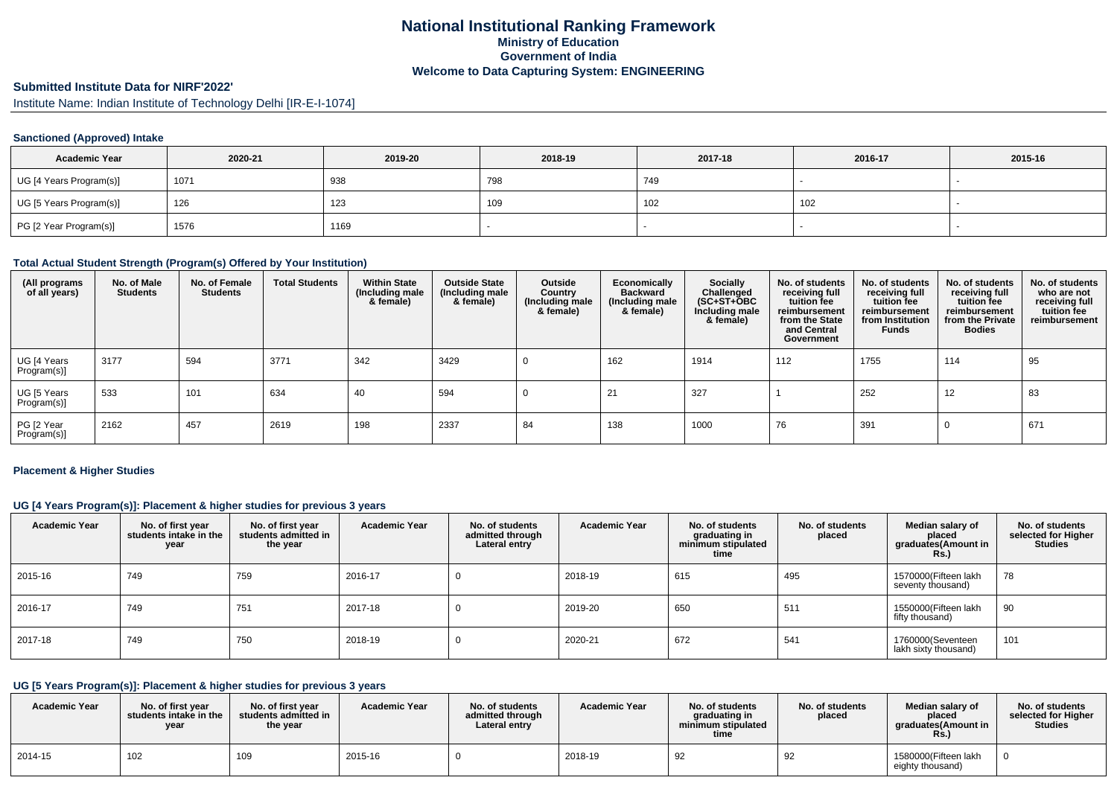## **National Institutional Ranking FrameworkMinistry of Education Government of IndiaWelcome to Data Capturing System: ENGINEERING**

## **Submitted Institute Data for NIRF'2022'**

Institute Name: Indian Institute of Technology Delhi [IR-E-I-1074]

### **Sanctioned (Approved) Intake**

| <b>Academic Year</b>    | 2020-21 | 2019-20 | 2018-19 | 2017-18 | 2016-17 | 2015-16 |
|-------------------------|---------|---------|---------|---------|---------|---------|
| UG [4 Years Program(s)] | 1071    | 938     | 798     | 749     |         |         |
| UG [5 Years Program(s)] | 126     | 123     | 109     | 102     | 102     |         |
| PG [2 Year Program(s)]  | 1576    | 1169    |         |         |         |         |

#### **Total Actual Student Strength (Program(s) Offered by Your Institution)**

| (All programs<br>of all years) | No. of Male<br><b>Students</b> | No. of Female<br><b>Students</b> | <b>Total Students</b> | <b>Within State</b><br>(Including male<br>& female) | <b>Outside State</b><br>(Including male<br>& female) | Outside<br>Country<br>(Including male<br>& female) | Economically<br><b>Backward</b><br>(Including male<br>& female) | Socially<br>Challenged<br>$(SC+ST+OBC)$<br>Including male<br>& female) | No. of students<br>receiving full<br>tuition fee<br>reimbursement<br>from the State<br>and Central<br>Government | No. of students<br>receiving full<br>tuition fee<br>reimbursement<br>from Institution<br>Funds | No. of students<br>receiving full<br>tuition fee<br>reimbursement<br>from the Private<br><b>Bodies</b> | No. of students<br>who are not<br>receiving full<br>tuition fee<br>reimbursement |
|--------------------------------|--------------------------------|----------------------------------|-----------------------|-----------------------------------------------------|------------------------------------------------------|----------------------------------------------------|-----------------------------------------------------------------|------------------------------------------------------------------------|------------------------------------------------------------------------------------------------------------------|------------------------------------------------------------------------------------------------|--------------------------------------------------------------------------------------------------------|----------------------------------------------------------------------------------|
| UG [4 Years<br>Program(s)]     | 3177                           | 594                              | 3771                  | 342                                                 | 3429                                                 |                                                    | 162                                                             | 1914                                                                   | 112                                                                                                              | 1755                                                                                           | 114                                                                                                    | 95                                                                               |
| UG [5 Years<br>Program(s)]     | 533                            | 101                              | 634                   | 40                                                  | 594                                                  | 0                                                  | 21                                                              | 327                                                                    |                                                                                                                  | 252                                                                                            | 12                                                                                                     | 83                                                                               |
| PG [2 Year<br>Program(s)]      | 2162                           | 457                              | 2619                  | 198                                                 | 2337                                                 | 84                                                 | 138                                                             | 1000                                                                   | 76                                                                                                               | 391                                                                                            |                                                                                                        | 671                                                                              |

#### **Placement & Higher Studies**

### **UG [4 Years Program(s)]: Placement & higher studies for previous 3 years**

| <b>Academic Year</b> | No. of first year<br>students intake in the<br>year | No. of first year<br>students admitted in<br>the year | <b>Academic Year</b> | No. of students<br>admitted through<br>Lateral entry | <b>Academic Year</b> | No. of students<br>graduating in<br>minimum stipulated<br>time | No. of students<br>placed | Median salary of<br>placed<br>graduates(Amount in<br><b>Rs.)</b> | No. of students<br>selected for Higher<br><b>Studies</b> |
|----------------------|-----------------------------------------------------|-------------------------------------------------------|----------------------|------------------------------------------------------|----------------------|----------------------------------------------------------------|---------------------------|------------------------------------------------------------------|----------------------------------------------------------|
| 2015-16              | 749                                                 | 759                                                   | 2016-17              |                                                      | 2018-19              | 615                                                            | 495                       | 1570000(Fifteen lakh<br>seventy thousand)                        | 78                                                       |
| 2016-17              | 749                                                 | 751                                                   | 2017-18              |                                                      | 2019-20              | 650                                                            | 511                       | 1550000(Fifteen lakh<br>fifty thousand)                          | 90                                                       |
| 2017-18              | 749                                                 | 750                                                   | 2018-19              |                                                      | 2020-21              | 672                                                            | 541                       | 1760000(Seventeen<br>lakh sixty thousand)                        | 101                                                      |

# **UG [5 Years Program(s)]: Placement & higher studies for previous 3 years**

| <b>Academic Year</b> | No. of first vear<br>students intake in the<br>year | No. of first vear<br>students admitted in<br>the year | <b>Academic Year</b> | No. of students<br>admitted through<br>Lateral entry | <b>Academic Year</b> | No. of students<br>graduating in<br>minimum stipulated<br>time | No. of students<br>placed | Median salary of<br>placed<br>araduates(Amount in<br>Rs. | No. of students<br>selected for Higher<br>Studies |
|----------------------|-----------------------------------------------------|-------------------------------------------------------|----------------------|------------------------------------------------------|----------------------|----------------------------------------------------------------|---------------------------|----------------------------------------------------------|---------------------------------------------------|
| 2014-15              | 102                                                 | 10 <sub>S</sub>                                       | 2015-16              |                                                      | 2018-19              | 92                                                             | 92                        | 1580000(Fifteen lakh<br>eighty thousand)                 | $\Omega$                                          |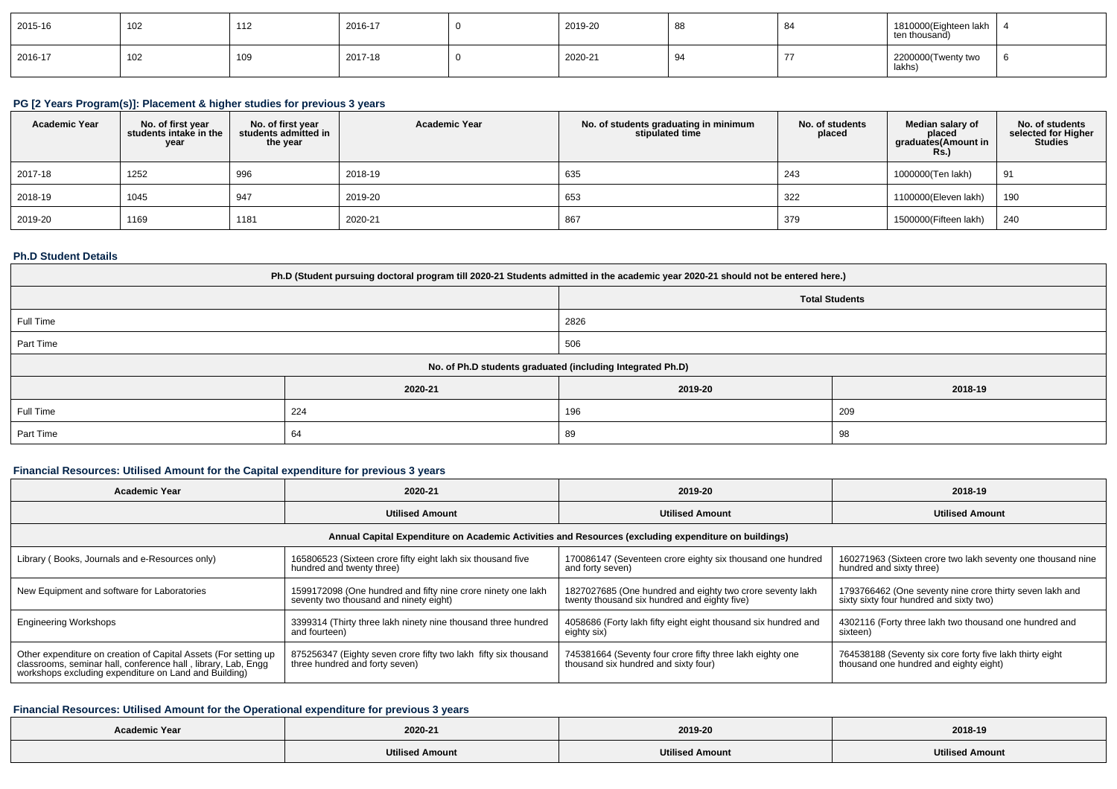| 2015-16 | 102 | 44 <sup>o</sup><br>╶╹┻ | 2016-17 | 2019-20 | 88 | െ | 1810000(Eighteen lakh<br>ten thousand) |   |
|---------|-----|------------------------|---------|---------|----|---|----------------------------------------|---|
| 2016-17 | 102 | 105                    | 2017-18 | 2020-21 |    |   | 2200000(Twenty two<br>lakhs)           | O |

### **PG [2 Years Program(s)]: Placement & higher studies for previous 3 years**

| <b>Academic Year</b> | No. of first year<br>students intake in the<br>year | No. of first year<br>students admitted in<br>the year | <b>Academic Year</b> | No. of students graduating in minimum<br>stipulated time | No. of students<br>placed | Median salary of<br>placed<br>graduates(Amount in<br><b>Rs.)</b> | No. of students<br>selected for Higher<br>Studies |
|----------------------|-----------------------------------------------------|-------------------------------------------------------|----------------------|----------------------------------------------------------|---------------------------|------------------------------------------------------------------|---------------------------------------------------|
| 2017-18              | 1252                                                | 996                                                   | 2018-19              | 635                                                      | 243                       | 1000000(Ten lakh)                                                | 91                                                |
| 2018-19              | 1045                                                | 947                                                   | 2019-20              | 653                                                      | 322                       | 1100000(Eleven lakh)                                             | 190                                               |
| 2019-20              | 1169                                                | 1181                                                  | 2020-21              | 867                                                      | 379                       | 1500000(Fifteen lakh)                                            | 240                                               |

### **Ph.D Student Details**

| Ph.D (Student pursuing doctoral program till 2020-21 Students admitted in the academic year 2020-21 should not be entered here.) |         |         |         |  |  |  |
|----------------------------------------------------------------------------------------------------------------------------------|---------|---------|---------|--|--|--|
| <b>Total Students</b>                                                                                                            |         |         |         |  |  |  |
| Full Time                                                                                                                        |         | 2826    |         |  |  |  |
| Part Time                                                                                                                        |         | 506     |         |  |  |  |
| No. of Ph.D students graduated (including Integrated Ph.D)                                                                       |         |         |         |  |  |  |
|                                                                                                                                  | 2020-21 | 2019-20 | 2018-19 |  |  |  |
| Full Time                                                                                                                        | 224     | 196     | 209     |  |  |  |
| Part Time                                                                                                                        | 64      | 89      | 98      |  |  |  |

### **Financial Resources: Utilised Amount for the Capital expenditure for previous 3 years**

| <b>Academic Year</b>                                                                                                                                                                      | 2020-21                                                                                                | 2019-20                                                                                                   | 2018-19                                                                                             |  |  |  |  |  |
|-------------------------------------------------------------------------------------------------------------------------------------------------------------------------------------------|--------------------------------------------------------------------------------------------------------|-----------------------------------------------------------------------------------------------------------|-----------------------------------------------------------------------------------------------------|--|--|--|--|--|
|                                                                                                                                                                                           | <b>Utilised Amount</b>                                                                                 | <b>Utilised Amount</b>                                                                                    | <b>Utilised Amount</b>                                                                              |  |  |  |  |  |
| Annual Capital Expenditure on Academic Activities and Resources (excluding expenditure on buildings)                                                                                      |                                                                                                        |                                                                                                           |                                                                                                     |  |  |  |  |  |
| Library (Books, Journals and e-Resources only)                                                                                                                                            | 165806523 (Sixteen crore fifty eight lakh six thousand five<br>hundred and twenty three)               | 170086147 (Seventeen crore eighty six thousand one hundred<br>and forty seven)                            | 160271963 (Sixteen crore two lakh seventy one thousand nine<br>hundred and sixty three)             |  |  |  |  |  |
| New Equipment and software for Laboratories                                                                                                                                               | 1599172098 (One hundred and fifty nine crore ninety one lakh<br>seventy two thousand and ninety eight) | 1827027685 (One hundred and eighty two crore seventy lakh<br>twenty thousand six hundred and eighty five) | 1793766462 (One seventy nine crore thirty seven lakh and<br>sixty sixty four hundred and sixty two) |  |  |  |  |  |
| <b>Engineering Workshops</b>                                                                                                                                                              | 3399314 (Thirty three lakh ninety nine thousand three hundred<br>and fourteen)                         | 4058686 (Forty lakh fifty eight eight thousand six hundred and<br>eighty six)                             | 4302116 (Forty three lakh two thousand one hundred and<br>sixteen)                                  |  |  |  |  |  |
| Other expenditure on creation of Capital Assets (For setting up<br>classrooms, seminar hall, conference hall, library, Lab, Engg<br>workshops excluding expenditure on Land and Building) | 875256347 (Eighty seven crore fifty two lakh fifty six thousand<br>three hundred and forty seven)      | 745381664 (Seventy four crore fifty three lakh eighty one<br>thousand six hundred and sixty four)         | 764538188 (Seventy six core forty five lakh thirty eight<br>thousand one hundred and eighty eight)  |  |  |  |  |  |

### **Financial Resources: Utilised Amount for the Operational expenditure for previous 3 years**

| <b>Academic Year</b> | 2020-21                | 2019-20                | 2018-19                |
|----------------------|------------------------|------------------------|------------------------|
|                      | <b>Utilised Amount</b> | <b>Utilised Amount</b> | <b>Utilised Amount</b> |
|                      |                        |                        |                        |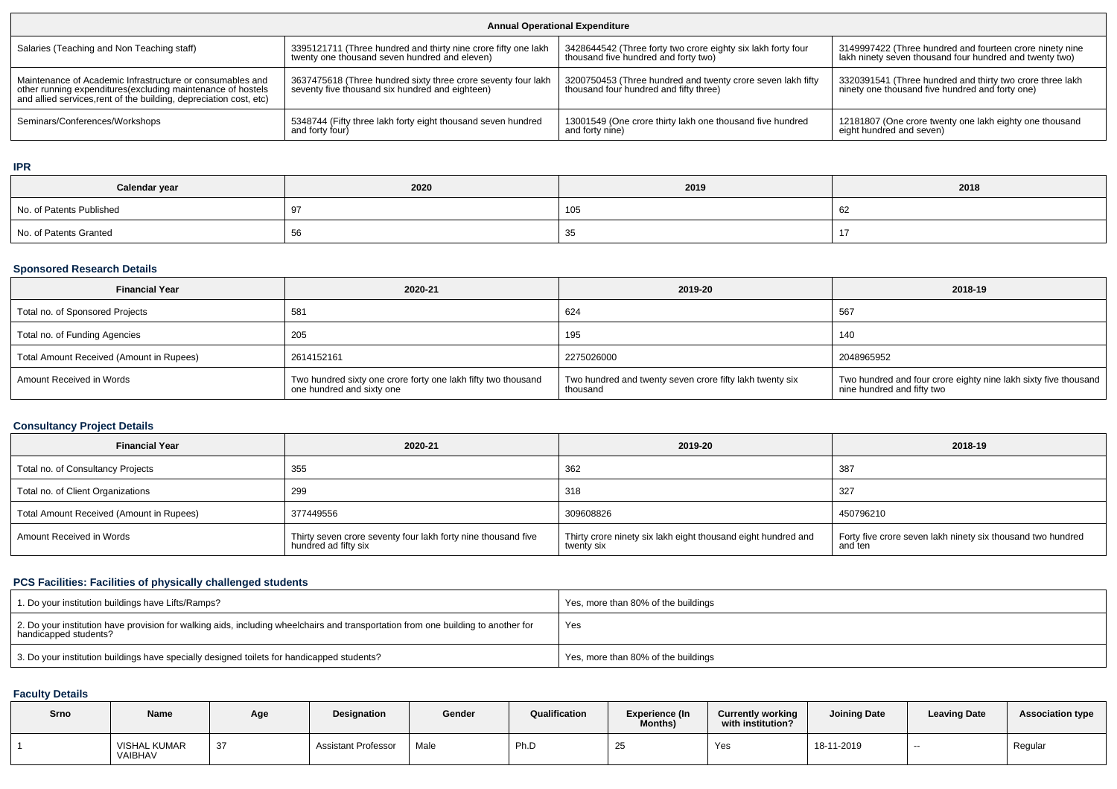| <b>Annual Operational Expenditure</b>                                                                                                                                                           |                                                                                                                  |                                                                                                       |                                                                                                              |  |  |  |  |
|-------------------------------------------------------------------------------------------------------------------------------------------------------------------------------------------------|------------------------------------------------------------------------------------------------------------------|-------------------------------------------------------------------------------------------------------|--------------------------------------------------------------------------------------------------------------|--|--|--|--|
| Salaries (Teaching and Non Teaching staff)                                                                                                                                                      | 3395121711 (Three hundred and thirty nine crore fifty one lakh                                                   | 3428644542 (Three forty two crore eighty six lakh forty four                                          | 3149997422 (Three hundred and fourteen crore ninety nine                                                     |  |  |  |  |
|                                                                                                                                                                                                 | twenty one thousand seven hundred and eleven)                                                                    | thousand five hundred and forty two)                                                                  | lakh ninety seven thousand four hundred and twenty two)                                                      |  |  |  |  |
| Maintenance of Academic Infrastructure or consumables and<br>other running expenditures (excluding maintenance of hostels<br>and allied services, rent of the building, depreciation cost, etc) | 3637475618 (Three hundred sixty three crore seventy four lakh<br>seventy five thousand six hundred and eighteen) | 3200750453 (Three hundred and twenty crore seven lakh fifty<br>thousand four hundred and fifty three) | 3320391541 (Three hundred and thirty two crore three lakh<br>ninety one thousand five hundred and forty one) |  |  |  |  |
| Seminars/Conferences/Workshops                                                                                                                                                                  | 5348744 (Fifty three lakh forty eight thousand seven hundred                                                     | 13001549 (One crore thirty lakh one thousand five hundred                                             | 12181807 (One crore twenty one lakh eighty one thousand                                                      |  |  |  |  |
|                                                                                                                                                                                                 | and forty four)                                                                                                  | and forty nine)                                                                                       | eight hundred and seven)                                                                                     |  |  |  |  |

**IPR**

| Calendar year            | 2020 | 2019 | 2018 |
|--------------------------|------|------|------|
| No. of Patents Published |      | 105  | ০∠   |
| No. of Patents Granted   | ັບບ  | ັບ   |      |

#### **Sponsored Research Details**

| <b>Financial Year</b>                    | 2020-21                                                                                    | 2019-20                                                              | 2018-19                                                                                         |
|------------------------------------------|--------------------------------------------------------------------------------------------|----------------------------------------------------------------------|-------------------------------------------------------------------------------------------------|
| Total no. of Sponsored Projects          | 581                                                                                        | 624                                                                  | 567                                                                                             |
| Total no. of Funding Agencies            | 205                                                                                        | 195                                                                  | 140                                                                                             |
| Total Amount Received (Amount in Rupees) | 2614152161                                                                                 | 2275026000                                                           | 2048965952                                                                                      |
| Amount Received in Words                 | Two hundred sixty one crore forty one lakh fifty two thousand<br>one hundred and sixty one | Two hundred and twenty seven crore fifty lakh twenty six<br>thousand | Two hundred and four crore eighty nine lakh sixty five thousand<br>  nine hundred and fifty two |

### **Consultancy Project Details**

| <b>Financial Year</b>                    | 2020-21                                                                               | 2019-20                                                                     | 2018-19                                                                |
|------------------------------------------|---------------------------------------------------------------------------------------|-----------------------------------------------------------------------------|------------------------------------------------------------------------|
| Total no. of Consultancy Projects        | 355                                                                                   | 362                                                                         | 387                                                                    |
| Total no. of Client Organizations        | 299                                                                                   | 318                                                                         | 327                                                                    |
| Total Amount Received (Amount in Rupees) | 377449556                                                                             | 309608826                                                                   | 450796210                                                              |
| Amount Received in Words                 | Thirty seven crore seventy four lakh forty nine thousand five<br>hundred ad fifty six | Thirty crore ninety six lakh eight thousand eight hundred and<br>twenty six | Forty five crore seven lakh ninety six thousand two hundred<br>and ten |

## **PCS Facilities: Facilities of physically challenged students**

| 1. Do your institution buildings have Lifts/Ramps?                                                                                                         | Yes, more than 80% of the buildings |
|------------------------------------------------------------------------------------------------------------------------------------------------------------|-------------------------------------|
| 2. Do your institution have provision for walking aids, including wheelchairs and transportation from one building to another for<br>handicapped students? | Yes                                 |
| 3. Do your institution buildings have specially designed toilets for handicapped students?                                                                 | Yes, more than 80% of the buildings |

### **Faculty Details**

| Srno | <b>Name</b>             | Age | <b>Designation</b>         | Gender | Qualification | <b>Experience (In</b><br><b>Months)</b> | <b>Currently working</b><br>with institution? | <b>Joining Date</b> | <b>Leaving Date</b> | <b>Association type</b> |
|------|-------------------------|-----|----------------------------|--------|---------------|-----------------------------------------|-----------------------------------------------|---------------------|---------------------|-------------------------|
|      | VISHAL KUMAR<br>VAIBHAV | 37  | <b>Assistant Professor</b> | Male   |               | ںے                                      | Yes                                           | 18-11-2019          | $-$                 | Regular                 |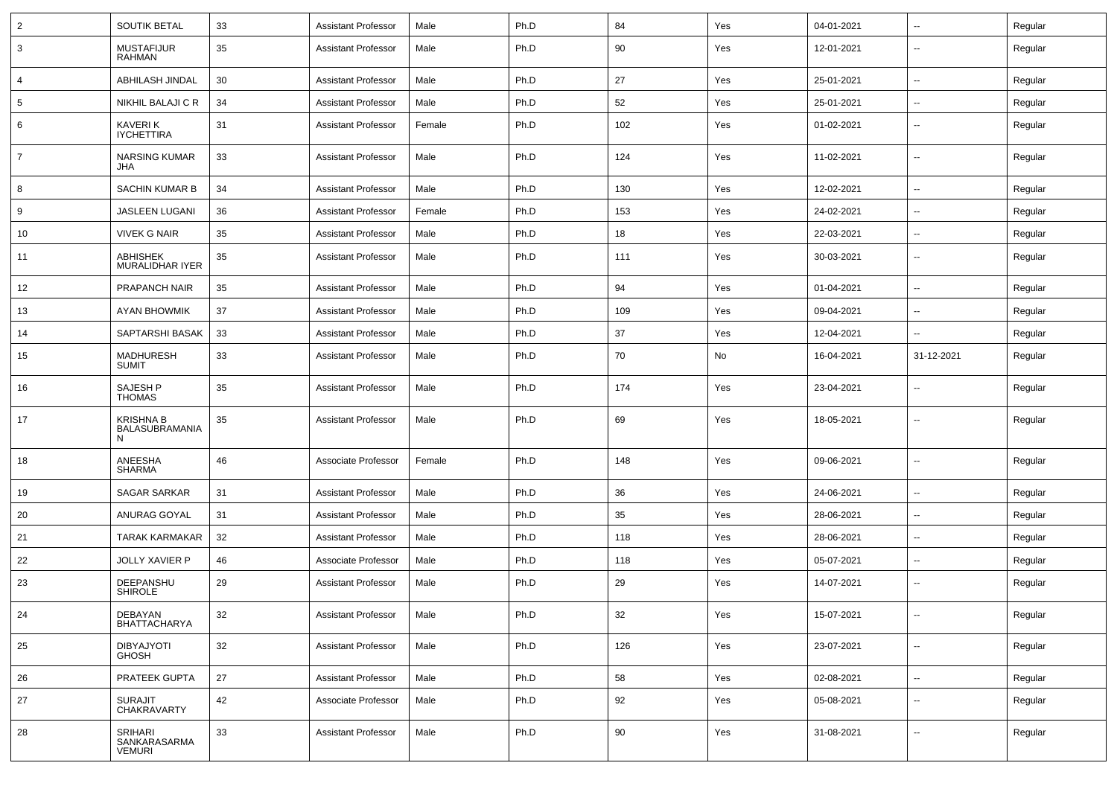| <b>SOUTIK BETAL</b>                      | 33 | <b>Assistant Professor</b> | Male   | Ph.D | 84  | Yes | 04-01-2021 | $\overline{\phantom{a}}$ | Regular |
|------------------------------------------|----|----------------------------|--------|------|-----|-----|------------|--------------------------|---------|
| <b>MUSTAFIJUR</b><br><b>RAHMAN</b>       | 35 | <b>Assistant Professor</b> | Male   | Ph.D | 90  | Yes | 12-01-2021 | $\overline{\phantom{a}}$ | Regular |
| ABHILASH JINDAL                          | 30 | <b>Assistant Professor</b> | Male   | Ph.D | 27  | Yes | 25-01-2021 | ⊷.                       | Regular |
| NIKHIL BALAJI C R                        | 34 | <b>Assistant Professor</b> | Male   | Ph.D | 52  | Yes | 25-01-2021 | $\overline{\phantom{a}}$ | Regular |
| <b>KAVERIK</b><br><b>IYCHETTIRA</b>      | 31 | <b>Assistant Professor</b> | Female | Ph.D | 102 | Yes | 01-02-2021 | --                       | Regular |
| <b>NARSING KUMAR</b><br><b>JHA</b>       | 33 | <b>Assistant Professor</b> | Male   | Ph.D | 124 | Yes | 11-02-2021 | $\overline{\phantom{a}}$ | Regular |
| <b>SACHIN KUMAR B</b>                    | 34 | <b>Assistant Professor</b> | Male   | Ph.D | 130 | Yes | 12-02-2021 | -−                       | Regular |
| JASLEEN LUGANI                           | 36 | <b>Assistant Professor</b> | Female | Ph.D | 153 | Yes | 24-02-2021 | $\overline{\phantom{a}}$ | Regular |
| <b>VIVEK G NAIR</b>                      | 35 | <b>Assistant Professor</b> | Male   | Ph.D | 18  | Yes | 22-03-2021 | $\overline{\phantom{a}}$ | Regular |
| ABHISHEK<br>MURALIDHAR IYER              | 35 | <b>Assistant Professor</b> | Male   | Ph.D | 111 | Yes | 30-03-2021 | ⊷.                       | Regular |
| PRAPANCH NAIR                            | 35 | <b>Assistant Professor</b> | Male   | Ph.D | 94  | Yes | 01-04-2021 | $\overline{\phantom{a}}$ | Regular |
| <b>AYAN BHOWMIK</b>                      | 37 | <b>Assistant Professor</b> | Male   | Ph.D | 109 | Yes | 09-04-2021 | ⊷.                       | Regular |
| SAPTARSHI BASAK                          | 33 | <b>Assistant Professor</b> | Male   | Ph.D | 37  | Yes | 12-04-2021 | $\overline{\phantom{a}}$ | Regular |
| <b>MADHURESH</b><br><b>SUMIT</b>         | 33 | <b>Assistant Professor</b> | Male   | Ph.D | 70  | No  | 16-04-2021 | 31-12-2021               | Regular |
| SAJESH P<br><b>THOMAS</b>                | 35 | <b>Assistant Professor</b> | Male   | Ph.D | 174 | Yes | 23-04-2021 | --                       | Regular |
| <b>KRISHNA B</b><br>BALASUBRAMANIA<br>N  | 35 | <b>Assistant Professor</b> | Male   | Ph.D | 69  | Yes | 18-05-2021 | --                       | Regular |
| ANEESHA<br>SHARMA                        | 46 | Associate Professor        | Female | Ph.D | 148 | Yes | 09-06-2021 | --                       | Regular |
| <b>SAGAR SARKAR</b>                      | 31 | <b>Assistant Professor</b> | Male   | Ph.D | 36  | Yes | 24-06-2021 | --                       | Regular |
| ANURAG GOYAL                             | 31 | <b>Assistant Professor</b> | Male   | Ph.D | 35  | Yes | 28-06-2021 | --                       | Regular |
| <b>TARAK KARMAKAR</b>                    | 32 | <b>Assistant Professor</b> | Male   | Ph.D | 118 | Yes | 28-06-2021 | --                       | Regular |
| <b>JOLLY XAVIER P</b>                    | 46 | Associate Professor        | Male   | Ph.D | 118 | Yes | 05-07-2021 | $\overline{\phantom{a}}$ | Regular |
| DEEPANSHU<br><b>SHIROLE</b>              | 29 | <b>Assistant Professor</b> | Male   | Ph.D | 29  | Yes | 14-07-2021 | $\overline{\phantom{a}}$ | Regular |
| DEBAYAN<br><b>BHATTACHARYA</b>           | 32 | <b>Assistant Professor</b> | Male   | Ph.D | 32  | Yes | 15-07-2021 | ⊶.                       | Regular |
| <b>DIBYAJYOTI</b><br><b>GHOSH</b>        | 32 | <b>Assistant Professor</b> | Male   | Ph.D | 126 | Yes | 23-07-2021 | $\sim$                   | Regular |
| PRATEEK GUPTA                            | 27 | <b>Assistant Professor</b> | Male   | Ph.D | 58  | Yes | 02-08-2021 | ш.                       | Regular |
| <b>SURAJIT</b><br>CHAKRAVARTY            | 42 | Associate Professor        | Male   | Ph.D | 92  | Yes | 05-08-2021 | $\overline{\phantom{a}}$ | Regular |
| SRIHARI<br>SANKARASARMA<br><b>VEMURI</b> | 33 | <b>Assistant Professor</b> | Male   | Ph.D | 90  | Yes | 31-08-2021 | ⊶.                       | Regular |
|                                          |    |                            |        |      |     |     |            |                          |         |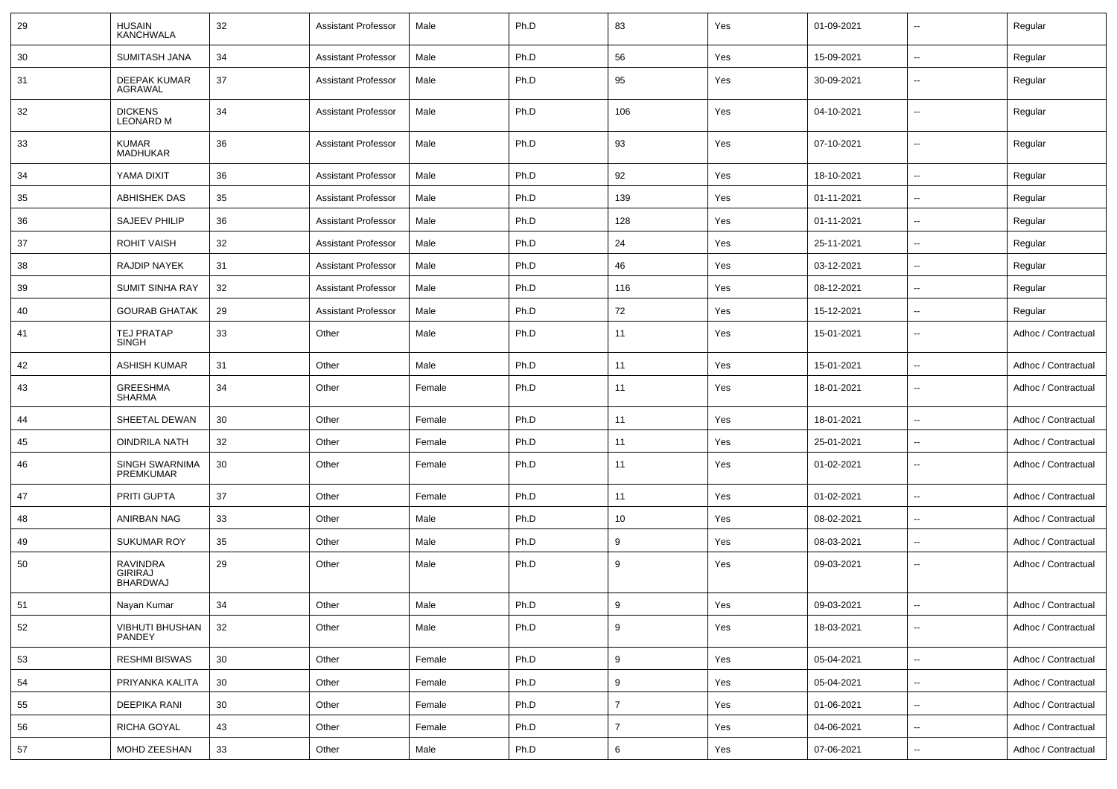| 29 | <b>HUSAIN</b><br><b>KANCHWALA</b>                    | 32 | <b>Assistant Professor</b> | Male   | Ph.D | 83             | Yes | 01-09-2021 | $\overline{\phantom{a}}$ | Regular             |
|----|------------------------------------------------------|----|----------------------------|--------|------|----------------|-----|------------|--------------------------|---------------------|
| 30 | SUMITASH JANA                                        | 34 | <b>Assistant Professor</b> | Male   | Ph.D | 56             | Yes | 15-09-2021 | $\overline{\phantom{a}}$ | Regular             |
| 31 | DEEPAK KUMAR<br>AGRAWAL                              | 37 | <b>Assistant Professor</b> | Male   | Ph.D | 95             | Yes | 30-09-2021 | $\overline{\phantom{a}}$ | Regular             |
| 32 | <b>DICKENS</b><br><b>LEONARD M</b>                   | 34 | <b>Assistant Professor</b> | Male   | Ph.D | 106            | Yes | 04-10-2021 | $\overline{\phantom{a}}$ | Regular             |
| 33 | <b>KUMAR</b><br><b>MADHUKAR</b>                      | 36 | <b>Assistant Professor</b> | Male   | Ph.D | 93             | Yes | 07-10-2021 | $\overline{\phantom{a}}$ | Regular             |
| 34 | YAMA DIXIT                                           | 36 | <b>Assistant Professor</b> | Male   | Ph.D | 92             | Yes | 18-10-2021 | $\overline{\phantom{a}}$ | Regular             |
| 35 | ABHISHEK DAS                                         | 35 | <b>Assistant Professor</b> | Male   | Ph.D | 139            | Yes | 01-11-2021 | $\overline{\phantom{a}}$ | Regular             |
| 36 | <b>SAJEEV PHILIP</b>                                 | 36 | <b>Assistant Professor</b> | Male   | Ph.D | 128            | Yes | 01-11-2021 | $\overline{\phantom{a}}$ | Regular             |
| 37 | ROHIT VAISH                                          | 32 | <b>Assistant Professor</b> | Male   | Ph.D | 24             | Yes | 25-11-2021 | $\overline{\phantom{a}}$ | Regular             |
| 38 | RAJDIP NAYEK                                         | 31 | <b>Assistant Professor</b> | Male   | Ph.D | 46             | Yes | 03-12-2021 | ⊶.                       | Regular             |
| 39 | <b>SUMIT SINHA RAY</b>                               | 32 | <b>Assistant Professor</b> | Male   | Ph.D | 116            | Yes | 08-12-2021 | $\overline{\phantom{a}}$ | Regular             |
| 40 | <b>GOURAB GHATAK</b>                                 | 29 | <b>Assistant Professor</b> | Male   | Ph.D | 72             | Yes | 15-12-2021 | $\overline{\phantom{a}}$ | Regular             |
| 41 | TEJ PRATAP<br><b>SINGH</b>                           | 33 | Other                      | Male   | Ph.D | 11             | Yes | 15-01-2021 | $\overline{\phantom{a}}$ | Adhoc / Contractual |
| 42 | <b>ASHISH KUMAR</b>                                  | 31 | Other                      | Male   | Ph.D | 11             | Yes | 15-01-2021 | $\overline{\phantom{a}}$ | Adhoc / Contractual |
| 43 | GREESHMA<br><b>SHARMA</b>                            | 34 | Other                      | Female | Ph.D | 11             | Yes | 18-01-2021 | $\overline{\phantom{a}}$ | Adhoc / Contractual |
| 44 | SHEETAL DEWAN                                        | 30 | Other                      | Female | Ph.D | 11             | Yes | 18-01-2021 | $\overline{\phantom{a}}$ | Adhoc / Contractual |
| 45 | <b>OINDRILA NATH</b>                                 | 32 | Other                      | Female | Ph.D | 11             | Yes | 25-01-2021 | $\overline{\phantom{a}}$ | Adhoc / Contractual |
| 46 | SINGH SWARNIMA<br>PREMKUMAR                          | 30 | Other                      | Female | Ph.D | 11             | Yes | 01-02-2021 | $\overline{\phantom{a}}$ | Adhoc / Contractual |
| 47 | PRITI GUPTA                                          | 37 | Other                      | Female | Ph.D | 11             | Yes | 01-02-2021 | $\overline{\phantom{a}}$ | Adhoc / Contractual |
| 48 | ANIRBAN NAG                                          | 33 | Other                      | Male   | Ph.D | 10             | Yes | 08-02-2021 | $\overline{\phantom{a}}$ | Adhoc / Contractual |
| 49 | <b>SUKUMAR ROY</b>                                   | 35 | Other                      | Male   | Ph.D | 9              | Yes | 08-03-2021 | $\overline{\phantom{a}}$ | Adhoc / Contractual |
| 50 | <b>RAVINDRA</b><br><b>GIRIRAJ</b><br><b>BHARDWAJ</b> | 29 | Other                      | Male   | Ph.D | 9              | Yes | 09-03-2021 | $\overline{\phantom{a}}$ | Adhoc / Contractual |
| 51 | Nayan Kumar                                          | 34 | Other                      | Male   | Ph.D | 9              | Yes | 09-03-2021 | $\overline{\phantom{a}}$ | Adhoc / Contractual |
| 52 | <b>VIBHUTI BHUSHAN</b><br><b>PANDEY</b>              | 32 | Other                      | Male   | Ph.D | 9              | Yes | 18-03-2021 | $\overline{\phantom{a}}$ | Adhoc / Contractual |
| 53 | <b>RESHMI BISWAS</b>                                 | 30 | Other                      | Female | Ph.D | 9              | Yes | 05-04-2021 | $\overline{\phantom{a}}$ | Adhoc / Contractual |
| 54 | PRIYANKA KALITA                                      | 30 | Other                      | Female | Ph.D | 9              | Yes | 05-04-2021 | $\overline{\phantom{a}}$ | Adhoc / Contractual |
| 55 | DEEPIKA RANI                                         | 30 | Other                      | Female | Ph.D | $\overline{7}$ | Yes | 01-06-2021 | $\overline{\phantom{a}}$ | Adhoc / Contractual |
| 56 | RICHA GOYAL                                          | 43 | Other                      | Female | Ph.D | $\overline{7}$ | Yes | 04-06-2021 | $\overline{\phantom{a}}$ | Adhoc / Contractual |
| 57 | MOHD ZEESHAN                                         | 33 | Other                      | Male   | Ph.D | 6              | Yes | 07-06-2021 | ⊷                        | Adhoc / Contractual |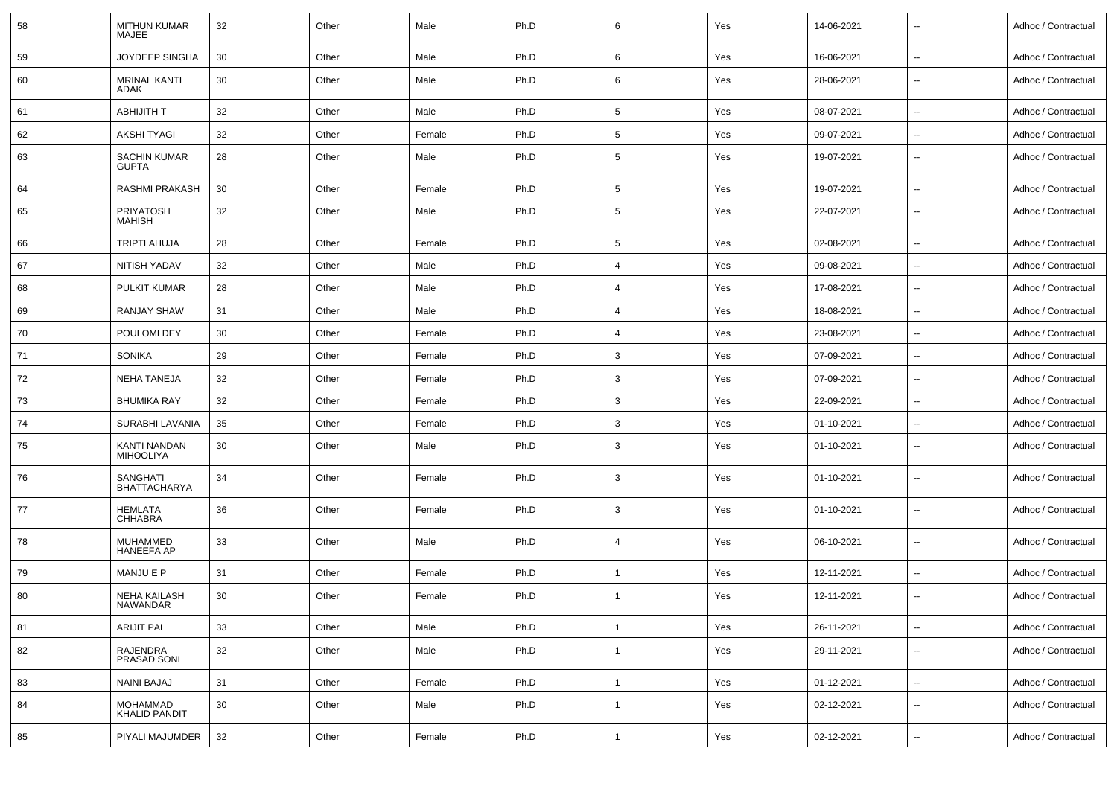| 58 | <b>MITHUN KUMAR</b><br><b>MAJEE</b> | 32     | Other | Male   | Ph.D | 6              | Yes | 14-06-2021 | $\overline{\phantom{a}}$ | Adhoc / Contractual |
|----|-------------------------------------|--------|-------|--------|------|----------------|-----|------------|--------------------------|---------------------|
| 59 | JOYDEEP SINGHA                      | 30     | Other | Male   | Ph.D | 6              | Yes | 16-06-2021 | $\overline{\phantom{a}}$ | Adhoc / Contractual |
| 60 | <b>MRINAL KANTI</b><br>ADAK         | 30     | Other | Male   | Ph.D | 6              | Yes | 28-06-2021 | $\overline{\phantom{a}}$ | Adhoc / Contractual |
| 61 | ABHIJITH T                          | 32     | Other | Male   | Ph.D | 5              | Yes | 08-07-2021 | $\sim$                   | Adhoc / Contractual |
| 62 | <b>AKSHI TYAGI</b>                  | 32     | Other | Female | Ph.D | 5              | Yes | 09-07-2021 | $\overline{\phantom{a}}$ | Adhoc / Contractual |
| 63 | <b>SACHIN KUMAR</b><br><b>GUPTA</b> | 28     | Other | Male   | Ph.D | 5              | Yes | 19-07-2021 | $\overline{\phantom{a}}$ | Adhoc / Contractual |
| 64 | <b>RASHMI PRAKASH</b>               | 30     | Other | Female | Ph.D | 5              | Yes | 19-07-2021 | $\overline{\phantom{a}}$ | Adhoc / Contractual |
| 65 | <b>PRIYATOSH</b><br>MAHISH          | 32     | Other | Male   | Ph.D | 5              | Yes | 22-07-2021 | $\overline{\phantom{a}}$ | Adhoc / Contractual |
| 66 | TRIPTI AHUJA                        | 28     | Other | Female | Ph.D | 5              | Yes | 02-08-2021 | $\overline{\phantom{a}}$ | Adhoc / Contractual |
| 67 | NITISH YADAV                        | 32     | Other | Male   | Ph.D | $\overline{4}$ | Yes | 09-08-2021 | --                       | Adhoc / Contractual |
| 68 | <b>PULKIT KUMAR</b>                 | 28     | Other | Male   | Ph.D | 4              | Yes | 17-08-2021 | $\overline{\phantom{a}}$ | Adhoc / Contractual |
| 69 | RANJAY SHAW                         | 31     | Other | Male   | Ph.D | $\overline{4}$ | Yes | 18-08-2021 | $\overline{\phantom{a}}$ | Adhoc / Contractual |
| 70 | POULOMI DEY                         | 30     | Other | Female | Ph.D | $\overline{4}$ | Yes | 23-08-2021 | --                       | Adhoc / Contractual |
| 71 | <b>SONIKA</b>                       | 29     | Other | Female | Ph.D | 3              | Yes | 07-09-2021 | $\overline{\phantom{a}}$ | Adhoc / Contractual |
| 72 | <b>NEHA TANEJA</b>                  | 32     | Other | Female | Ph.D | 3              | Yes | 07-09-2021 | $\sim$                   | Adhoc / Contractual |
| 73 | <b>BHUMIKA RAY</b>                  | 32     | Other | Female | Ph.D | 3              | Yes | 22-09-2021 | $\overline{\phantom{a}}$ | Adhoc / Contractual |
| 74 | SURABHI LAVANIA                     | 35     | Other | Female | Ph.D | 3              | Yes | 01-10-2021 | $\overline{\phantom{a}}$ | Adhoc / Contractual |
| 75 | KANTI NANDAN<br>MIHOOLIYA           | 30     | Other | Male   | Ph.D | 3              | Yes | 01-10-2021 | $\overline{\phantom{a}}$ | Adhoc / Contractual |
| 76 | SANGHATI<br><b>BHATTACHARYA</b>     | 34     | Other | Female | Ph.D | 3              | Yes | 01-10-2021 | $\overline{\phantom{a}}$ | Adhoc / Contractual |
| 77 | HEMLATA<br><b>CHHABRA</b>           | 36     | Other | Female | Ph.D | 3              | Yes | 01-10-2021 | $\overline{\phantom{a}}$ | Adhoc / Contractual |
| 78 | MUHAMMED<br><b>HANEEFA AP</b>       | 33     | Other | Male   | Ph.D | $\overline{4}$ | Yes | 06-10-2021 | $\overline{\phantom{a}}$ | Adhoc / Contractual |
| 79 | MANJU E P                           | 31     | Other | Female | Ph.D | $\overline{1}$ | Yes | 12-11-2021 | $\overline{\phantom{a}}$ | Adhoc / Contractual |
| 80 | NEHA KAILASH<br>NAWANDAR            | 30     | Other | Female | Ph.D | -1             | Yes | 12-11-2021 | $\overline{\phantom{a}}$ | Adhoc / Contractual |
| 81 | <b>ARIJIT PAL</b>                   | 33     | Other | Male   | Ph.D | -1             | Yes | 26-11-2021 | $\overline{\phantom{a}}$ | Adhoc / Contractual |
| 82 | RAJENDRA<br>PRASAD SONI             | 32     | Other | Male   | Ph.D |                | Yes | 29-11-2021 | $\overline{\phantom{a}}$ | Adhoc / Contractual |
| 83 | <b>NAINI BAJAJ</b>                  | 31     | Other | Female | Ph.D | $\overline{1}$ | Yes | 01-12-2021 | $\sim$                   | Adhoc / Contractual |
| 84 | MOHAMMAD<br><b>KHALID PANDIT</b>    | 30     | Other | Male   | Ph.D | $\overline{1}$ | Yes | 02-12-2021 | $\sim$                   | Adhoc / Contractual |
| 85 | PIYALI MAJUMDER                     | $32\,$ | Other | Female | Ph.D | $\overline{1}$ | Yes | 02-12-2021 | $\sim$                   | Adhoc / Contractual |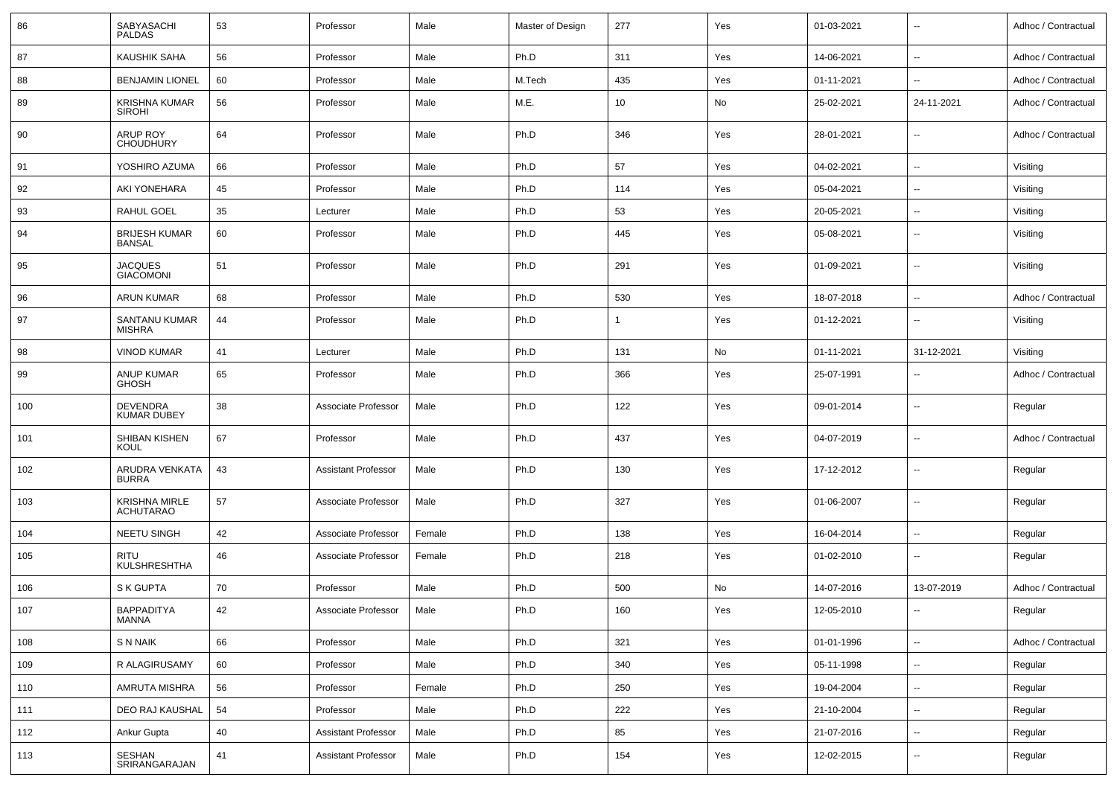| 86  | SABYASACHI<br><b>PALDAS</b>              | 53 | Professor                  | Male   | Master of Design | 277 | Yes | 01-03-2021 | $\sim$                   | Adhoc / Contractual |
|-----|------------------------------------------|----|----------------------------|--------|------------------|-----|-----|------------|--------------------------|---------------------|
| 87  | <b>KAUSHIK SAHA</b>                      | 56 | Professor                  | Male   | Ph.D             | 311 | Yes | 14-06-2021 | $\sim$                   | Adhoc / Contractual |
| 88  | <b>BENJAMIN LIONEL</b>                   | 60 | Professor                  | Male   | M.Tech           | 435 | Yes | 01-11-2021 | $\sim$                   | Adhoc / Contractual |
| 89  | <b>KRISHNA KUMAR</b><br><b>SIROHI</b>    | 56 | Professor                  | Male   | M.E.             | 10  | No  | 25-02-2021 | 24-11-2021               | Adhoc / Contractual |
| 90  | <b>ARUP ROY</b><br><b>CHOUDHURY</b>      | 64 | Professor                  | Male   | Ph.D             | 346 | Yes | 28-01-2021 | $\overline{\phantom{a}}$ | Adhoc / Contractual |
| 91  | YOSHIRO AZUMA                            | 66 | Professor                  | Male   | Ph.D             | 57  | Yes | 04-02-2021 | $\sim$                   | Visiting            |
| 92  | AKI YONEHARA                             | 45 | Professor                  | Male   | Ph.D             | 114 | Yes | 05-04-2021 | $\sim$                   | Visiting            |
| 93  | RAHUL GOEL                               | 35 | Lecturer                   | Male   | Ph.D             | 53  | Yes | 20-05-2021 | $\sim$                   | Visiting            |
| 94  | <b>BRIJESH KUMAR</b><br>BANSAL           | 60 | Professor                  | Male   | Ph.D             | 445 | Yes | 05-08-2021 | $\sim$                   | Visiting            |
| 95  | <b>JACQUES</b><br><b>GIACOMONI</b>       | 51 | Professor                  | Male   | Ph.D             | 291 | Yes | 01-09-2021 | $\overline{\phantom{a}}$ | Visiting            |
| 96  | <b>ARUN KUMAR</b>                        | 68 | Professor                  | Male   | Ph.D             | 530 | Yes | 18-07-2018 | $\sim$                   | Adhoc / Contractual |
| 97  | SANTANU KUMAR<br><b>MISHRA</b>           | 44 | Professor                  | Male   | Ph.D             |     | Yes | 01-12-2021 | $\sim$                   | Visiting            |
| 98  | <b>VINOD KUMAR</b>                       | 41 | Lecturer                   | Male   | Ph.D             | 131 | No  | 01-11-2021 | 31-12-2021               | Visiting            |
| 99  | <b>ANUP KUMAR</b><br><b>GHOSH</b>        | 65 | Professor                  | Male   | Ph.D             | 366 | Yes | 25-07-1991 | $\sim$                   | Adhoc / Contractual |
| 100 | <b>DEVENDRA</b><br><b>KUMAR DUBEY</b>    | 38 | Associate Professor        | Male   | Ph.D             | 122 | Yes | 09-01-2014 | $\sim$                   | Regular             |
| 101 | SHIBAN KISHEN<br>KOUL                    | 67 | Professor                  | Male   | Ph.D             | 437 | Yes | 04-07-2019 | $\sim$                   | Adhoc / Contractual |
| 102 | ARUDRA VENKATA<br><b>BURRA</b>           | 43 | <b>Assistant Professor</b> | Male   | Ph.D             | 130 | Yes | 17-12-2012 | $\sim$                   | Regular             |
| 103 | <b>KRISHNA MIRLE</b><br><b>ACHUTARAO</b> | 57 | Associate Professor        | Male   | Ph.D             | 327 | Yes | 01-06-2007 | $\sim$                   | Regular             |
| 104 | <b>NEETU SINGH</b>                       | 42 | Associate Professor        | Female | Ph.D             | 138 | Yes | 16-04-2014 | $\sim$                   | Regular             |
| 105 | <b>RITU</b><br>KULSHRESHTHA              | 46 | Associate Professor        | Female | Ph.D             | 218 | Yes | 01-02-2010 | $\overline{\phantom{a}}$ | Regular             |
| 106 | S K GUPTA                                | 70 | Professor                  | Male   | Ph.D             | 500 | No  | 14-07-2016 | 13-07-2019               | Adhoc / Contractual |
| 107 | BAPPADITYA<br><b>MANNA</b>               | 42 | Associate Professor        | Male   | Ph.D             | 160 | Yes | 12-05-2010 | $\sim$                   | Regular             |
| 108 | S N NAIK                                 | 66 | Professor                  | Male   | Ph.D             | 321 | Yes | 01-01-1996 | $\overline{\phantom{a}}$ | Adhoc / Contractual |
| 109 | R ALAGIRUSAMY                            | 60 | Professor                  | Male   | Ph.D             | 340 | Yes | 05-11-1998 | $\sim$                   | Regular             |
| 110 | AMRUTA MISHRA                            | 56 | Professor                  | Female | Ph.D             | 250 | Yes | 19-04-2004 | $\sim$                   | Regular             |
| 111 | DEO RAJ KAUSHAL                          | 54 | Professor                  | Male   | Ph.D             | 222 | Yes | 21-10-2004 | $\sim$                   | Regular             |
| 112 | Ankur Gupta                              | 40 | <b>Assistant Professor</b> | Male   | Ph.D             | 85  | Yes | 21-07-2016 | $\sim$                   | Regular             |
| 113 | SESHAN<br>SRIRANGARAJAN                  | 41 | <b>Assistant Professor</b> | Male   | Ph.D             | 154 | Yes | 12-02-2015 | $\sim$                   | Regular             |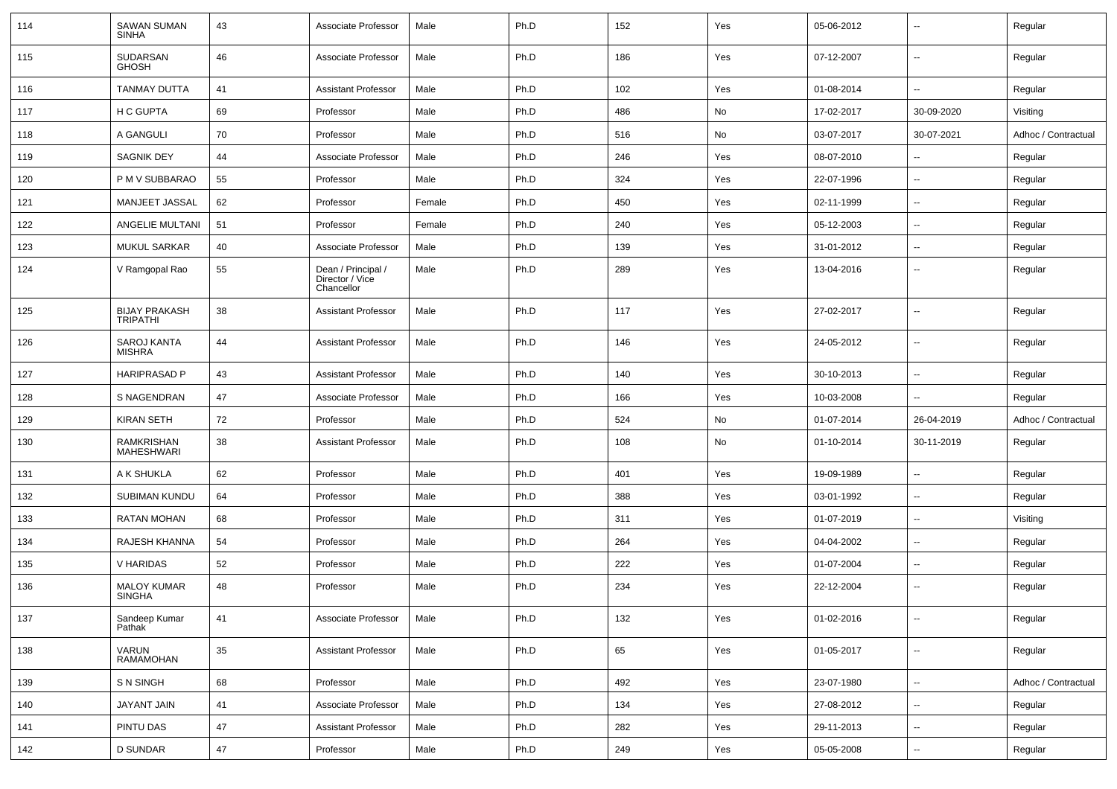| 114 | <b>SAWAN SUMAN</b><br><b>SINHA</b>      | 43     | Associate Professor                                 | Male   | Ph.D | 152 | Yes | 05-06-2012 | ۰.                       | Regular             |
|-----|-----------------------------------------|--------|-----------------------------------------------------|--------|------|-----|-----|------------|--------------------------|---------------------|
| 115 | SUDARSAN<br><b>GHOSH</b>                | 46     | Associate Professor                                 | Male   | Ph.D | 186 | Yes | 07-12-2007 | $\overline{\phantom{a}}$ | Regular             |
| 116 | <b>TANMAY DUTTA</b>                     | 41     | <b>Assistant Professor</b>                          | Male   | Ph.D | 102 | Yes | 01-08-2014 | $\overline{\phantom{a}}$ | Regular             |
| 117 | <b>H C GUPTA</b>                        | 69     | Professor                                           | Male   | Ph.D | 486 | No  | 17-02-2017 | 30-09-2020               | Visiting            |
| 118 | A GANGULI                               | 70     | Professor                                           | Male   | Ph.D | 516 | No  | 03-07-2017 | 30-07-2021               | Adhoc / Contractual |
| 119 | <b>SAGNIK DEY</b>                       | 44     | Associate Professor                                 | Male   | Ph.D | 246 | Yes | 08-07-2010 | $-$                      | Regular             |
| 120 | P M V SUBBARAO                          | 55     | Professor                                           | Male   | Ph.D | 324 | Yes | 22-07-1996 | --                       | Regular             |
| 121 | MANJEET JASSAL                          | 62     | Professor                                           | Female | Ph.D | 450 | Yes | 02-11-1999 | $\overline{\phantom{a}}$ | Regular             |
| 122 | ANGELIE MULTANI                         | 51     | Professor                                           | Female | Ph.D | 240 | Yes | 05-12-2003 | $\overline{\phantom{a}}$ | Regular             |
| 123 | <b>MUKUL SARKAR</b>                     | 40     | Associate Professor                                 | Male   | Ph.D | 139 | Yes | 31-01-2012 | ۰.                       | Regular             |
| 124 | V Ramgopal Rao                          | 55     | Dean / Principal /<br>Director / Vice<br>Chancellor | Male   | Ph.D | 289 | Yes | 13-04-2016 | ۰.                       | Regular             |
| 125 | <b>BIJAY PRAKASH</b><br><b>TRIPATHI</b> | 38     | <b>Assistant Professor</b>                          | Male   | Ph.D | 117 | Yes | 27-02-2017 | --                       | Regular             |
| 126 | SAROJ KANTA<br><b>MISHRA</b>            | 44     | <b>Assistant Professor</b>                          | Male   | Ph.D | 146 | Yes | 24-05-2012 | --                       | Regular             |
| 127 | <b>HARIPRASAD P</b>                     | 43     | <b>Assistant Professor</b>                          | Male   | Ph.D | 140 | Yes | 30-10-2013 | --                       | Regular             |
| 128 | S NAGENDRAN                             | 47     | Associate Professor                                 | Male   | Ph.D | 166 | Yes | 10-03-2008 | $\overline{\phantom{a}}$ | Regular             |
| 129 | <b>KIRAN SETH</b>                       | 72     | Professor                                           | Male   | Ph.D | 524 | No  | 01-07-2014 | 26-04-2019               | Adhoc / Contractual |
| 130 | <b>RAMKRISHAN</b><br>MAHESHWARI         | 38     | <b>Assistant Professor</b>                          | Male   | Ph.D | 108 | No  | 01-10-2014 | 30-11-2019               | Regular             |
| 131 | A K SHUKLA                              | 62     | Professor                                           | Male   | Ph.D | 401 | Yes | 19-09-1989 |                          | Regular             |
| 132 | <b>SUBIMAN KUNDU</b>                    | 64     | Professor                                           | Male   | Ph.D | 388 | Yes | 03-01-1992 | $\overline{\phantom{a}}$ | Regular             |
| 133 | RATAN MOHAN                             | 68     | Professor                                           | Male   | Ph.D | 311 | Yes | 01-07-2019 | ۰.                       | Visiting            |
| 134 | RAJESH KHANNA                           | 54     | Professor                                           | Male   | Ph.D | 264 | Yes | 04-04-2002 | ۰.                       | Regular             |
| 135 | V HARIDAS                               | 52     | Professor                                           | Male   | Ph.D | 222 | Yes | 01-07-2004 | $\overline{\phantom{a}}$ | Regular             |
| 136 | <b>MALOY KUMAR</b><br><b>SINGHA</b>     | 48     | Professor                                           | Male   | Ph.D | 234 | Yes | 22-12-2004 | $-$                      | Regular             |
| 137 | Sandeep Kumar<br>Pathak                 | 41     | Associate Professor                                 | Male   | Ph.D | 132 | Yes | 01-02-2016 | Ξ.                       | Regular             |
| 138 | VARUN<br><b>RAMAMOHAN</b>               | $35\,$ | <b>Assistant Professor</b>                          | Male   | Ph.D | 65  | Yes | 01-05-2017 | Ξ.                       | Regular             |
| 139 | S N SINGH                               | 68     | Professor                                           | Male   | Ph.D | 492 | Yes | 23-07-1980 | Щ,                       | Adhoc / Contractual |
| 140 | JAYANT JAIN                             | 41     | Associate Professor                                 | Male   | Ph.D | 134 | Yes | 27-08-2012 | Ξ.                       | Regular             |
| 141 | PINTU DAS                               | 47     | <b>Assistant Professor</b>                          | Male   | Ph.D | 282 | Yes | 29-11-2013 | ۰.                       | Regular             |
| 142 | D SUNDAR                                | 47     | Professor                                           | Male   | Ph.D | 249 | Yes | 05-05-2008 | $\overline{\phantom{a}}$ | Regular             |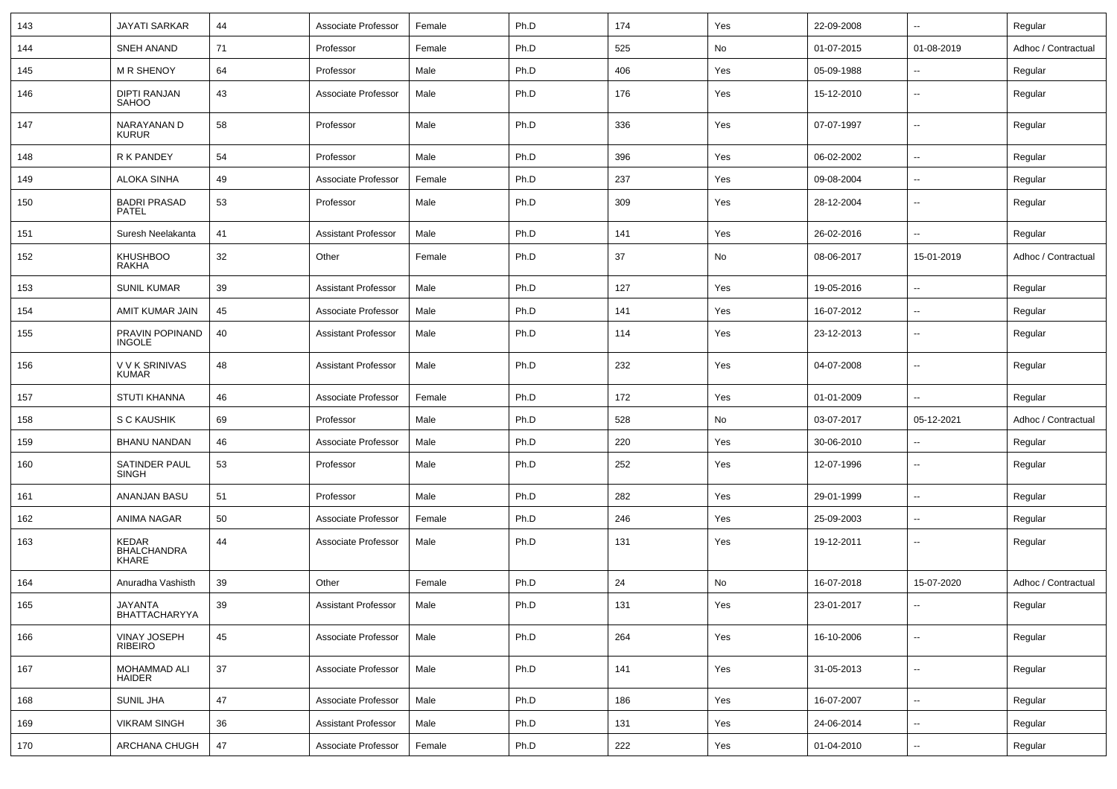| 143 | <b>JAYATI SARKAR</b>                        | 44 | Associate Professor        | Female | Ph.D | 174 | Yes | 22-09-2008 | $\overline{\phantom{a}}$ | Regular             |
|-----|---------------------------------------------|----|----------------------------|--------|------|-----|-----|------------|--------------------------|---------------------|
| 144 | SNEH ANAND                                  | 71 | Professor                  | Female | Ph.D | 525 | No  | 01-07-2015 | 01-08-2019               | Adhoc / Contractual |
| 145 | <b>M R SHENOY</b>                           | 64 | Professor                  | Male   | Ph.D | 406 | Yes | 05-09-1988 | $\overline{\phantom{a}}$ | Regular             |
| 146 | DIPTI RANJAN<br>SAHOO                       | 43 | Associate Professor        | Male   | Ph.D | 176 | Yes | 15-12-2010 | $\overline{\phantom{a}}$ | Regular             |
| 147 | NARAYANAN D<br><b>KURUR</b>                 | 58 | Professor                  | Male   | Ph.D | 336 | Yes | 07-07-1997 | --                       | Regular             |
| 148 | R K PANDEY                                  | 54 | Professor                  | Male   | Ph.D | 396 | Yes | 06-02-2002 | $\overline{\phantom{a}}$ | Regular             |
| 149 | <b>ALOKA SINHA</b>                          | 49 | Associate Professor        | Female | Ph.D | 237 | Yes | 09-08-2004 | $\overline{\phantom{a}}$ | Regular             |
| 150 | <b>BADRI PRASAD</b><br><b>PATEL</b>         | 53 | Professor                  | Male   | Ph.D | 309 | Yes | 28-12-2004 | $\overline{\phantom{a}}$ | Regular             |
| 151 | Suresh Neelakanta                           | 41 | <b>Assistant Professor</b> | Male   | Ph.D | 141 | Yes | 26-02-2016 | $\overline{\phantom{a}}$ | Regular             |
| 152 | <b>KHUSHBOO</b><br>RAKHA                    | 32 | Other                      | Female | Ph.D | 37  | No  | 08-06-2017 | 15-01-2019               | Adhoc / Contractual |
| 153 | <b>SUNIL KUMAR</b>                          | 39 | <b>Assistant Professor</b> | Male   | Ph.D | 127 | Yes | 19-05-2016 | Ξ.                       | Regular             |
| 154 | AMIT KUMAR JAIN                             | 45 | Associate Professor        | Male   | Ph.D | 141 | Yes | 16-07-2012 | --                       | Regular             |
| 155 | PRAVIN POPINAND<br><b>INGOLE</b>            | 40 | <b>Assistant Professor</b> | Male   | Ph.D | 114 | Yes | 23-12-2013 | $\overline{\phantom{a}}$ | Regular             |
| 156 | V V K SRINIVAS<br><b>KUMAR</b>              | 48 | <b>Assistant Professor</b> | Male   | Ph.D | 232 | Yes | 04-07-2008 | $\overline{\phantom{a}}$ | Regular             |
| 157 | <b>STUTI KHANNA</b>                         | 46 | Associate Professor        | Female | Ph.D | 172 | Yes | 01-01-2009 | $\overline{\phantom{a}}$ | Regular             |
| 158 | S C KAUSHIK                                 | 69 | Professor                  | Male   | Ph.D | 528 | No  | 03-07-2017 | 05-12-2021               | Adhoc / Contractual |
| 159 | <b>BHANU NANDAN</b>                         | 46 | Associate Professor        | Male   | Ph.D | 220 | Yes | 30-06-2010 | $\overline{\phantom{a}}$ | Regular             |
| 160 | SATINDER PAUL<br><b>SINGH</b>               | 53 | Professor                  | Male   | Ph.D | 252 | Yes | 12-07-1996 | $\overline{\phantom{a}}$ | Regular             |
| 161 | ANANJAN BASU                                | 51 | Professor                  | Male   | Ph.D | 282 | Yes | 29-01-1999 | $\overline{\phantom{a}}$ | Regular             |
| 162 | ANIMA NAGAR                                 | 50 | Associate Professor        | Female | Ph.D | 246 | Yes | 25-09-2003 | $\overline{\phantom{a}}$ | Regular             |
| 163 | <b>KEDAR</b><br><b>BHALCHANDRA</b><br>KHARE | 44 | Associate Professor        | Male   | Ph.D | 131 | Yes | 19-12-2011 | --                       | Regular             |
| 164 | Anuradha Vashisth                           | 39 | Other                      | Female | Ph.D | 24  | No  | 16-07-2018 | 15-07-2020               | Adhoc / Contractual |
| 165 | <b>JAYANTA</b><br><b>BHATTACHARYYA</b>      | 39 | <b>Assistant Professor</b> | Male   | Ph.D | 131 | Yes | 23-01-2017 | $\overline{\phantom{a}}$ | Regular             |
| 166 | VINAY JOSEPH<br>RIBEIRO                     | 45 | Associate Professor        | Male   | Ph.D | 264 | Yes | 16-10-2006 | Щ,                       | Regular             |
| 167 | MOHAMMAD ALI<br>HAIDER                      | 37 | Associate Professor        | Male   | Ph.D | 141 | Yes | 31-05-2013 | н,                       | Regular             |
| 168 | <b>SUNIL JHA</b>                            | 47 | Associate Professor        | Male   | Ph.D | 186 | Yes | 16-07-2007 | Щ,                       | Regular             |
| 169 | <b>VIKRAM SINGH</b>                         | 36 | <b>Assistant Professor</b> | Male   | Ph.D | 131 | Yes | 24-06-2014 | $\overline{\phantom{a}}$ | Regular             |
| 170 | ARCHANA CHUGH                               | 47 | Associate Professor        | Female | Ph.D | 222 | Yes | 01-04-2010 | −−                       | Regular             |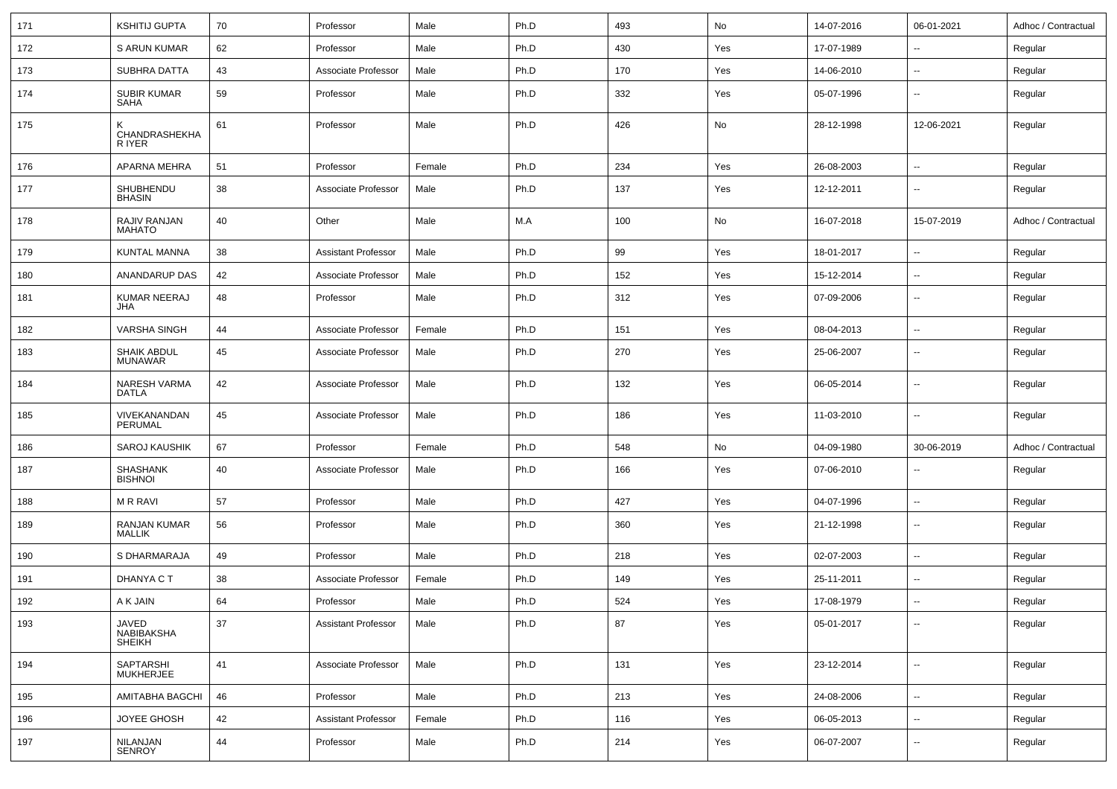| 171 | <b>KSHITIJ GUPTA</b>                 | 70 | Professor                  | Male   | Ph.D | 493 | No  | 14-07-2016 | 06-01-2021               | Adhoc / Contractual |
|-----|--------------------------------------|----|----------------------------|--------|------|-----|-----|------------|--------------------------|---------------------|
| 172 | <b>S ARUN KUMAR</b>                  | 62 | Professor                  | Male   | Ph.D | 430 | Yes | 17-07-1989 | --                       | Regular             |
| 173 | SUBHRA DATTA                         | 43 | Associate Professor        | Male   | Ph.D | 170 | Yes | 14-06-2010 | $\overline{\phantom{a}}$ | Regular             |
| 174 | <b>SUBIR KUMAR</b><br>SAHA           | 59 | Professor                  | Male   | Ph.D | 332 | Yes | 05-07-1996 | --                       | Regular             |
| 175 | CHANDRASHEKHA<br>R IYER              | 61 | Professor                  | Male   | Ph.D | 426 | No  | 28-12-1998 | 12-06-2021               | Regular             |
| 176 | APARNA MEHRA                         | 51 | Professor                  | Female | Ph.D | 234 | Yes | 26-08-2003 | $\overline{\phantom{a}}$ | Regular             |
| 177 | SHUBHENDU<br>BHASIN                  | 38 | Associate Professor        | Male   | Ph.D | 137 | Yes | 12-12-2011 | --                       | Regular             |
| 178 | RAJIV RANJAN<br>MAHATO               | 40 | Other                      | Male   | M.A  | 100 | No  | 16-07-2018 | 15-07-2019               | Adhoc / Contractual |
| 179 | KUNTAL MANNA                         | 38 | <b>Assistant Professor</b> | Male   | Ph.D | 99  | Yes | 18-01-2017 | --                       | Regular             |
| 180 | ANANDARUP DAS                        | 42 | Associate Professor        | Male   | Ph.D | 152 | Yes | 15-12-2014 | $\overline{\phantom{a}}$ | Regular             |
| 181 | KUMAR NEERAJ<br>JHA                  | 48 | Professor                  | Male   | Ph.D | 312 | Yes | 07-09-2006 | $\overline{\phantom{a}}$ | Regular             |
| 182 | <b>VARSHA SINGH</b>                  | 44 | Associate Professor        | Female | Ph.D | 151 | Yes | 08-04-2013 | u.                       | Regular             |
| 183 | <b>SHAIK ABDUL</b><br>MUNAWAR        | 45 | Associate Professor        | Male   | Ph.D | 270 | Yes | 25-06-2007 | --                       | Regular             |
| 184 | <b>NARESH VARMA</b><br>DATLA         | 42 | Associate Professor        | Male   | Ph.D | 132 | Yes | 06-05-2014 | --                       | Regular             |
| 185 | VIVEKANANDAN<br>PERUMAL              | 45 | Associate Professor        | Male   | Ph.D | 186 | Yes | 11-03-2010 | --                       | Regular             |
| 186 | <b>SAROJ KAUSHIK</b>                 | 67 | Professor                  | Female | Ph.D | 548 | No  | 04-09-1980 | 30-06-2019               | Adhoc / Contractual |
| 187 | <b>SHASHANK</b><br><b>BISHNOI</b>    | 40 | Associate Professor        | Male   | Ph.D | 166 | Yes | 07-06-2010 | --                       | Regular             |
| 188 | <b>MRRAVI</b>                        | 57 | Professor                  | Male   | Ph.D | 427 | Yes | 04-07-1996 | $\overline{\phantom{a}}$ | Regular             |
| 189 | RANJAN KUMAR<br><b>MALLIK</b>        | 56 | Professor                  | Male   | Ph.D | 360 | Yes | 21-12-1998 | $\overline{\phantom{a}}$ | Regular             |
| 190 | S DHARMARAJA                         | 49 | Professor                  | Male   | Ph.D | 218 | Yes | 02-07-2003 | $\overline{\phantom{a}}$ | Regular             |
| 191 | DHANYA C T                           | 38 | Associate Professor        | Female | Ph.D | 149 | Yes | 25-11-2011 | --                       | Regular             |
| 192 | A K JAIN                             | 64 | Professor                  | Male   | Ph.D | 524 | Yes | 17-08-1979 | --                       | Regular             |
| 193 | JAVED<br>NABIBAKSHA<br><b>SHEIKH</b> | 37 | <b>Assistant Professor</b> | Male   | Ph.D | 87  | Yes | 05-01-2017 | $\overline{\phantom{a}}$ | Regular             |
| 194 | SAPTARSHI<br><b>MUKHERJEE</b>        | 41 | Associate Professor        | Male   | Ph.D | 131 | Yes | 23-12-2014 | ÷.                       | Regular             |
| 195 | <b>AMITABHA BAGCHI</b>               | 46 | Professor                  | Male   | Ph.D | 213 | Yes | 24-08-2006 | Ξ.                       | Regular             |
| 196 | JOYEE GHOSH                          | 42 | <b>Assistant Professor</b> | Female | Ph.D | 116 | Yes | 06-05-2013 | u.                       | Regular             |
| 197 | NILANJAN<br>SENROY                   | 44 | Professor                  | Male   | Ph.D | 214 | Yes | 06-07-2007 | --                       | Regular             |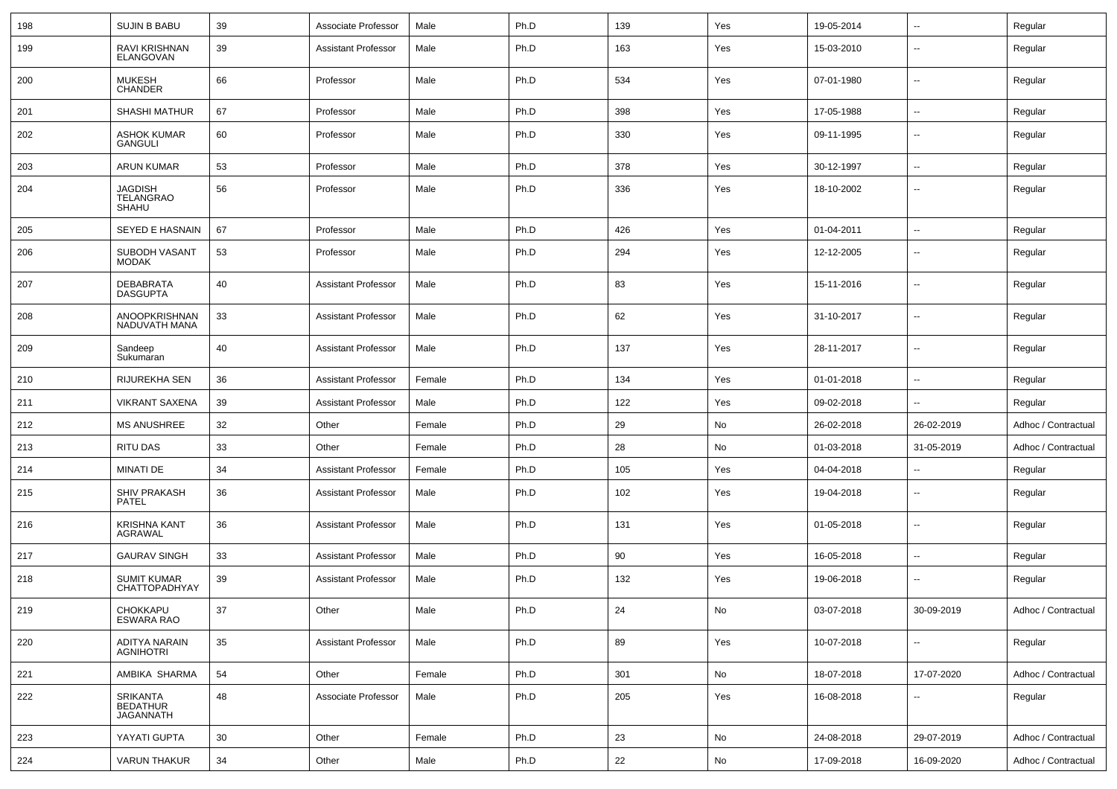| 198 | <b>SUJIN B BABU</b>                      | 39     | Associate Professor        | Male   | Ph.D | 139 | Yes | 19-05-2014 | $\sim$                   | Regular             |
|-----|------------------------------------------|--------|----------------------------|--------|------|-----|-----|------------|--------------------------|---------------------|
| 199 | RAVI KRISHNAN<br>ELANGOVAN               | 39     | Assistant Professor        | Male   | Ph.D | 163 | Yes | 15-03-2010 | --                       | Regular             |
| 200 | <b>MUKESH</b><br><b>CHANDER</b>          | 66     | Professor                  | Male   | Ph.D | 534 | Yes | 07-01-1980 | --                       | Regular             |
| 201 | SHASHI MATHUR                            | 67     | Professor                  | Male   | Ph.D | 398 | Yes | 17-05-1988 | $\overline{\phantom{a}}$ | Regular             |
| 202 | ASHOK KUMAR<br><b>GANGULI</b>            | 60     | Professor                  | Male   | Ph.D | 330 | Yes | 09-11-1995 | --                       | Regular             |
| 203 | <b>ARUN KUMAR</b>                        | 53     | Professor                  | Male   | Ph.D | 378 | Yes | 30-12-1997 | $\overline{\phantom{a}}$ | Regular             |
| 204 | JAGDISH<br>TELANGRAO<br><b>SHAHU</b>     | 56     | Professor                  | Male   | Ph.D | 336 | Yes | 18-10-2002 | --                       | Regular             |
| 205 | SEYED E HASNAIN                          | 67     | Professor                  | Male   | Ph.D | 426 | Yes | 01-04-2011 | Ξ.                       | Regular             |
| 206 | SUBODH VASANT<br><b>MODAK</b>            | 53     | Professor                  | Male   | Ph.D | 294 | Yes | 12-12-2005 | ۰.                       | Regular             |
| 207 | DEBABRATA<br><b>DASGUPTA</b>             | 40     | <b>Assistant Professor</b> | Male   | Ph.D | 83  | Yes | 15-11-2016 | --                       | Regular             |
| 208 | ANOOPKRISHNAN<br>NADUVATH MANA           | 33     | <b>Assistant Professor</b> | Male   | Ph.D | 62  | Yes | 31-10-2017 | --                       | Regular             |
| 209 | Sandeep<br>Sukumaran                     | 40     | <b>Assistant Professor</b> | Male   | Ph.D | 137 | Yes | 28-11-2017 | ۰.                       | Regular             |
| 210 | RIJUREKHA SEN                            | 36     | Assistant Professor        | Female | Ph.D | 134 | Yes | 01-01-2018 | $\overline{a}$           | Regular             |
| 211 | <b>VIKRANT SAXENA</b>                    | 39     | Assistant Professor        | Male   | Ph.D | 122 | Yes | 09-02-2018 |                          | Regular             |
| 212 | <b>MS ANUSHREE</b>                       | 32     | Other                      | Female | Ph.D | 29  | No  | 26-02-2018 | 26-02-2019               | Adhoc / Contractual |
| 213 | <b>RITU DAS</b>                          | 33     | Other                      | Female | Ph.D | 28  | No  | 01-03-2018 | 31-05-2019               | Adhoc / Contractual |
| 214 | MINATI DE                                | 34     | <b>Assistant Professor</b> | Female | Ph.D | 105 | Yes | 04-04-2018 | --                       | Regular             |
| 215 | SHIV PRAKASH<br>PATEL                    | 36     | <b>Assistant Professor</b> | Male   | Ph.D | 102 | Yes | 19-04-2018 | --                       | Regular             |
| 216 | KRISHNA KANT<br>AGRAWAL                  | 36     | <b>Assistant Professor</b> | Male   | Ph.D | 131 | Yes | 01-05-2018 | --                       | Regular             |
| 217 | <b>GAURAV SINGH</b>                      | 33     | <b>Assistant Professor</b> | Male   | Ph.D | 90  | Yes | 16-05-2018 | $\overline{\phantom{a}}$ | Regular             |
| 218 | SUMIT KUMAR<br><b>CHATTOPADHYAY</b>      | 39     | <b>Assistant Professor</b> | Male   | Ph.D | 132 | Yes | 19-06-2018 | ۰.                       | Regular             |
| 219 | CHOKKAPU<br><b>ESWARA RAO</b>            | $37\,$ | Other                      | Male   | Ph.D | 24  | No  | 03-07-2018 | 30-09-2019               | Adhoc / Contractual |
| 220 | ADITYA NARAIN<br><b>AGNIHOTRI</b>        | 35     | <b>Assistant Professor</b> | Male   | Ph.D | 89  | Yes | 10-07-2018 | $\sim$                   | Regular             |
| 221 | AMBIKA SHARMA                            | 54     | Other                      | Female | Ph.D | 301 | No  | 18-07-2018 | 17-07-2020               | Adhoc / Contractual |
| 222 | SRIKANTA<br>BEDATHUR<br><b>JAGANNATH</b> | 48     | Associate Professor        | Male   | Ph.D | 205 | Yes | 16-08-2018 | Ξ.                       | Regular             |
| 223 | YAYATI GUPTA                             | 30     | Other                      | Female | Ph.D | 23  | No  | 24-08-2018 | 29-07-2019               | Adhoc / Contractual |
| 224 | <b>VARUN THAKUR</b>                      | 34     | Other                      | Male   | Ph.D | 22  | No  | 17-09-2018 | 16-09-2020               | Adhoc / Contractual |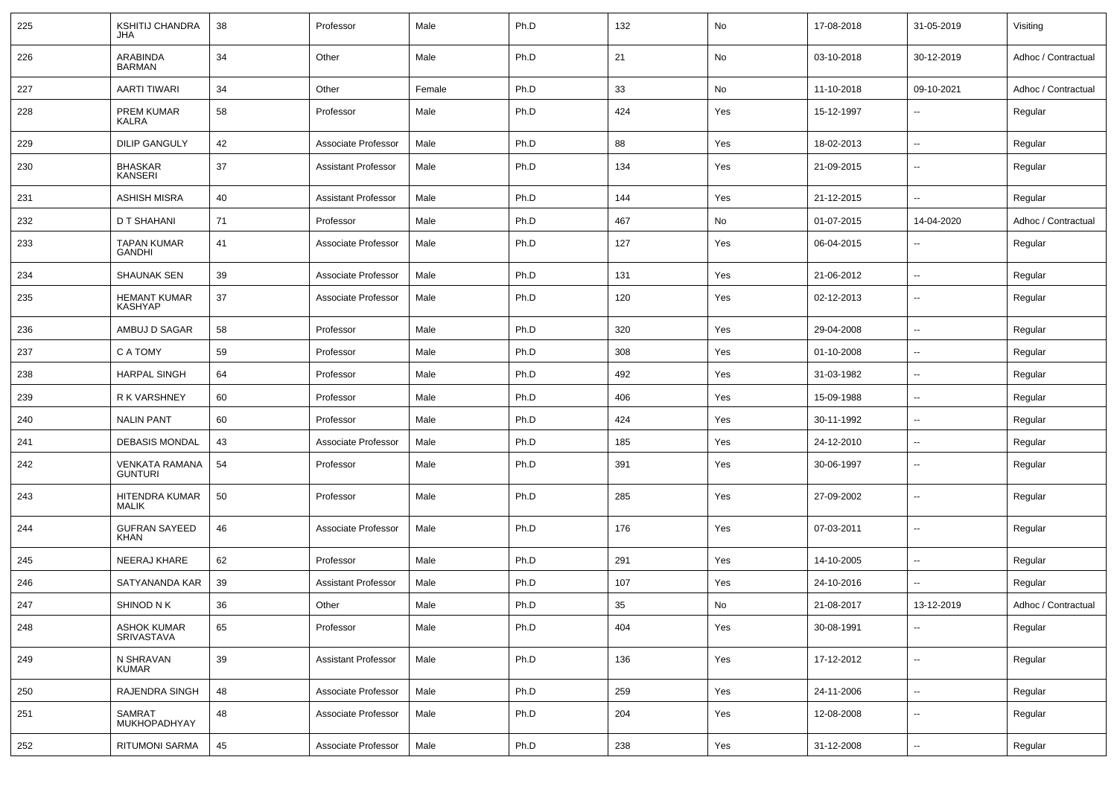| 225 | <b>KSHITIJ CHANDRA</b><br>JHA           | 38 | Professor                  | Male   | Ph.D | 132 | No  | 17-08-2018 | 31-05-2019               | Visiting            |
|-----|-----------------------------------------|----|----------------------------|--------|------|-----|-----|------------|--------------------------|---------------------|
| 226 | ARABINDA<br><b>BARMAN</b>               | 34 | Other                      | Male   | Ph.D | 21  | No  | 03-10-2018 | 30-12-2019               | Adhoc / Contractual |
| 227 | <b>AARTI TIWARI</b>                     | 34 | Other                      | Female | Ph.D | 33  | No  | 11-10-2018 | 09-10-2021               | Adhoc / Contractual |
| 228 | PREM KUMAR<br>KALRA                     | 58 | Professor                  | Male   | Ph.D | 424 | Yes | 15-12-1997 | --                       | Regular             |
| 229 | <b>DILIP GANGULY</b>                    | 42 | Associate Professor        | Male   | Ph.D | 88  | Yes | 18-02-2013 | $\overline{\phantom{a}}$ | Regular             |
| 230 | <b>BHASKAR</b><br><b>KANSERI</b>        | 37 | <b>Assistant Professor</b> | Male   | Ph.D | 134 | Yes | 21-09-2015 | $\overline{\phantom{a}}$ | Regular             |
| 231 | <b>ASHISH MISRA</b>                     | 40 | <b>Assistant Professor</b> | Male   | Ph.D | 144 | Yes | 21-12-2015 | $\overline{\phantom{a}}$ | Regular             |
| 232 | D T SHAHANI                             | 71 | Professor                  | Male   | Ph.D | 467 | No  | 01-07-2015 | 14-04-2020               | Adhoc / Contractual |
| 233 | TAPAN KUMAR<br>GANDHI                   | 41 | Associate Professor        | Male   | Ph.D | 127 | Yes | 06-04-2015 | $\overline{\phantom{a}}$ | Regular             |
| 234 | <b>SHAUNAK SEN</b>                      | 39 | Associate Professor        | Male   | Ph.D | 131 | Yes | 21-06-2012 | $\overline{\phantom{a}}$ | Regular             |
| 235 | <b>HEMANT KUMAR</b><br><b>KASHYAP</b>   | 37 | Associate Professor        | Male   | Ph.D | 120 | Yes | 02-12-2013 | $\overline{\phantom{a}}$ | Regular             |
| 236 | AMBUJ D SAGAR                           | 58 | Professor                  | Male   | Ph.D | 320 | Yes | 29-04-2008 | $\overline{\phantom{a}}$ | Regular             |
| 237 | C A TOMY                                | 59 | Professor                  | Male   | Ph.D | 308 | Yes | 01-10-2008 | $\sim$                   | Regular             |
| 238 | <b>HARPAL SINGH</b>                     | 64 | Professor                  | Male   | Ph.D | 492 | Yes | 31-03-1982 | --                       | Regular             |
| 239 | R K VARSHNEY                            | 60 | Professor                  | Male   | Ph.D | 406 | Yes | 15-09-1988 | $\overline{\phantom{a}}$ | Regular             |
| 240 | <b>NALIN PANT</b>                       | 60 | Professor                  | Male   | Ph.D | 424 | Yes | 30-11-1992 | $\overline{\phantom{a}}$ | Regular             |
| 241 | <b>DEBASIS MONDAL</b>                   | 43 | Associate Professor        | Male   | Ph.D | 185 | Yes | 24-12-2010 | --                       | Regular             |
| 242 | <b>VENKATA RAMANA</b><br><b>GUNTURI</b> | 54 | Professor                  | Male   | Ph.D | 391 | Yes | 30-06-1997 | $\overline{\phantom{a}}$ | Regular             |
| 243 | HITENDRA KUMAR<br><b>MALIK</b>          | 50 | Professor                  | Male   | Ph.D | 285 | Yes | 27-09-2002 | $\overline{\phantom{a}}$ | Regular             |
| 244 | <b>GUFRAN SAYEED</b><br>KHAN            | 46 | Associate Professor        | Male   | Ph.D | 176 | Yes | 07-03-2011 | $\overline{\phantom{a}}$ | Regular             |
| 245 | NEERAJ KHARE                            | 62 | Professor                  | Male   | Ph.D | 291 | Yes | 14-10-2005 | $\overline{\phantom{a}}$ | Regular             |
| 246 | SATYANANDA KAR                          | 39 | <b>Assistant Professor</b> | Male   | Ph.D | 107 | Yes | 24-10-2016 | $\overline{\phantom{a}}$ | Regular             |
| 247 | SHINOD N K                              | 36 | Other                      | Male   | Ph.D | 35  | No  | 21-08-2017 | 13-12-2019               | Adhoc / Contractual |
| 248 | ASHOK KUMAR<br>SRIVASTAVA               | 65 | Professor                  | Male   | Ph.D | 404 | Yes | 30-08-1991 | $\overline{\phantom{a}}$ | Regular             |
| 249 | N SHRAVAN<br><b>KUMAR</b>               | 39 | <b>Assistant Professor</b> | Male   | Ph.D | 136 | Yes | 17-12-2012 | $\overline{\phantom{a}}$ | Regular             |
| 250 | RAJENDRA SINGH                          | 48 | Associate Professor        | Male   | Ph.D | 259 | Yes | 24-11-2006 | Щ,                       | Regular             |
| 251 | SAMRAT<br>MUKHOPADHYAY                  | 48 | Associate Professor        | Male   | Ph.D | 204 | Yes | 12-08-2008 | $\sim$                   | Regular             |
| 252 | RITUMONI SARMA                          | 45 | Associate Professor        | Male   | Ph.D | 238 | Yes | 31-12-2008 | $\overline{\phantom{a}}$ | Regular             |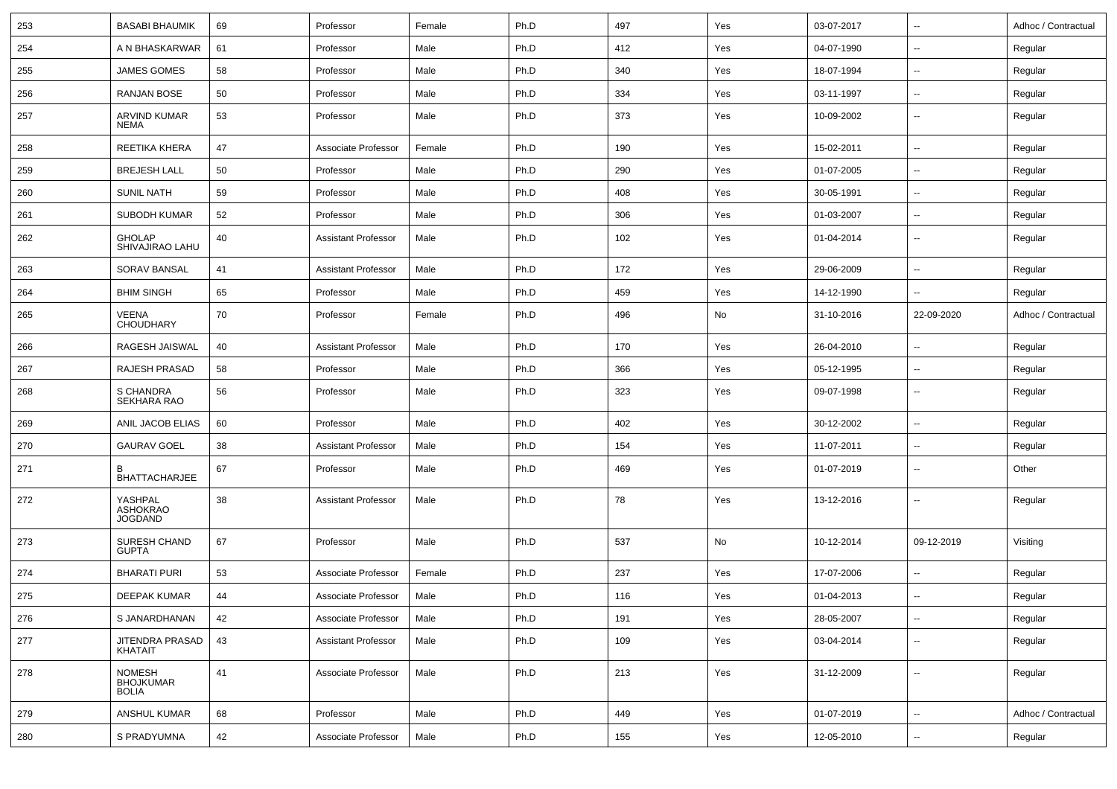| 253 | <b>BASABI BHAUMIK</b>                             | 69 | Professor                  | Female | Ph.D | 497 | Yes | 03-07-2017 | --                       | Adhoc / Contractual |
|-----|---------------------------------------------------|----|----------------------------|--------|------|-----|-----|------------|--------------------------|---------------------|
| 254 | A N BHASKARWAR                                    | 61 | Professor                  | Male   | Ph.D | 412 | Yes | 04-07-1990 | $\overline{\phantom{a}}$ | Regular             |
| 255 | <b>JAMES GOMES</b>                                | 58 | Professor                  | Male   | Ph.D | 340 | Yes | 18-07-1994 | --                       | Regular             |
| 256 | <b>RANJAN BOSE</b>                                | 50 | Professor                  | Male   | Ph.D | 334 | Yes | 03-11-1997 | --                       | Regular             |
| 257 | <b>ARVIND KUMAR</b><br>NEMA                       | 53 | Professor                  | Male   | Ph.D | 373 | Yes | 10-09-2002 | --                       | Regular             |
| 258 | REETIKA KHERA                                     | 47 | Associate Professor        | Female | Ph.D | 190 | Yes | 15-02-2011 | --                       | Regular             |
| 259 | <b>BREJESH LALL</b>                               | 50 | Professor                  | Male   | Ph.D | 290 | Yes | 01-07-2005 | $\overline{\phantom{a}}$ | Regular             |
| 260 | <b>SUNIL NATH</b>                                 | 59 | Professor                  | Male   | Ph.D | 408 | Yes | 30-05-1991 | --                       | Regular             |
| 261 | SUBODH KUMAR                                      | 52 | Professor                  | Male   | Ph.D | 306 | Yes | 01-03-2007 | $\overline{\phantom{a}}$ | Regular             |
| 262 | <b>GHOLAP</b><br>SHIVAJIRAO LAHU                  | 40 | <b>Assistant Professor</b> | Male   | Ph.D | 102 | Yes | 01-04-2014 | --                       | Regular             |
| 263 | SORAV BANSAL                                      | 41 | <b>Assistant Professor</b> | Male   | Ph.D | 172 | Yes | 29-06-2009 | $\overline{\phantom{a}}$ | Regular             |
| 264 | <b>BHIM SINGH</b>                                 | 65 | Professor                  | Male   | Ph.D | 459 | Yes | 14-12-1990 | ۰.                       | Regular             |
| 265 | <b>VEENA</b><br><b>CHOUDHARY</b>                  | 70 | Professor                  | Female | Ph.D | 496 | No  | 31-10-2016 | 22-09-2020               | Adhoc / Contractual |
| 266 | RAGESH JAISWAL                                    | 40 | <b>Assistant Professor</b> | Male   | Ph.D | 170 | Yes | 26-04-2010 | --                       | Regular             |
| 267 | RAJESH PRASAD                                     | 58 | Professor                  | Male   | Ph.D | 366 | Yes | 05-12-1995 | $\sim$                   | Regular             |
| 268 | S CHANDRA<br>SEKHARA RAO                          | 56 | Professor                  | Male   | Ph.D | 323 | Yes | 09-07-1998 | --                       | Regular             |
| 269 | ANIL JACOB ELIAS                                  | 60 | Professor                  | Male   | Ph.D | 402 | Yes | 30-12-2002 | --                       | Regular             |
| 270 | <b>GAURAV GOEL</b>                                | 38 | <b>Assistant Professor</b> | Male   | Ph.D | 154 | Yes | 11-07-2011 | --                       | Regular             |
| 271 | <b>BHATTACHARJEE</b>                              | 67 | Professor                  | Male   | Ph.D | 469 | Yes | 01-07-2019 | --                       | Other               |
| 272 | YASHPAL<br><b>ASHOKRAO</b><br><b>JOGDAND</b>      | 38 | <b>Assistant Professor</b> | Male   | Ph.D | 78  | Yes | 13-12-2016 | $\overline{\phantom{a}}$ | Regular             |
| 273 | SURESH CHAND<br><b>GUPTA</b>                      | 67 | Professor                  | Male   | Ph.D | 537 | No  | 10-12-2014 | 09-12-2019               | Visiting            |
| 274 | <b>BHARATI PURI</b>                               | 53 | Associate Professor        | Female | Ph.D | 237 | Yes | 17-07-2006 | $\overline{\phantom{a}}$ | Regular             |
| 275 | DEEPAK KUMAR                                      | 44 | Associate Professor        | Male   | Ph.D | 116 | Yes | 01-04-2013 | $\overline{a}$           | Regular             |
| 276 | S JANARDHANAN                                     | 42 | Associate Professor        | Male   | Ph.D | 191 | Yes | 28-05-2007 | Ξ.                       | Regular             |
| 277 | JITENDRA PRASAD<br>KHATAIT                        | 43 | <b>Assistant Professor</b> | Male   | Ph.D | 109 | Yes | 03-04-2014 | ÷.                       | Regular             |
| 278 | <b>NOMESH</b><br><b>BHOJKUMAR</b><br><b>BOLIA</b> | 41 | Associate Professor        | Male   | Ph.D | 213 | Yes | 31-12-2009 | Ξ.                       | Regular             |
| 279 | ANSHUL KUMAR                                      | 68 | Professor                  | Male   | Ph.D | 449 | Yes | 01-07-2019 | Ξ.                       | Adhoc / Contractual |
| 280 | S PRADYUMNA                                       | 42 | Associate Professor        | Male   | Ph.D | 155 | Yes | 12-05-2010 | Ξ.                       | Regular             |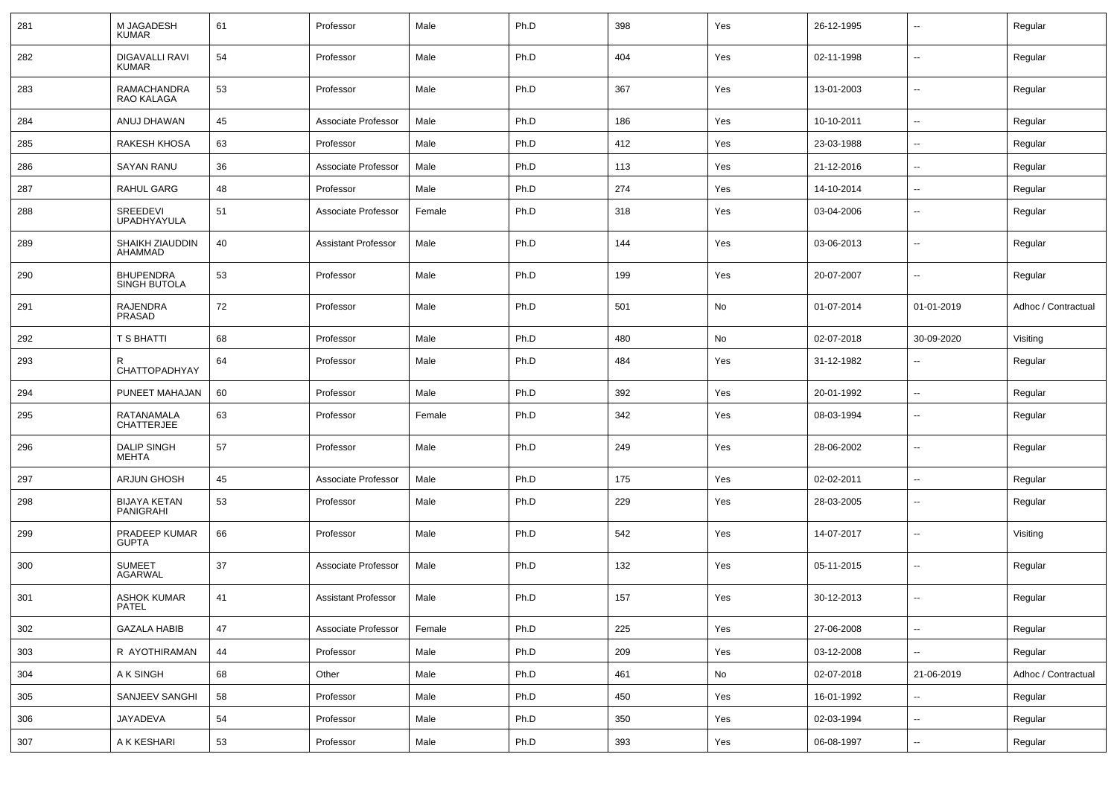| 281 | M JAGADESH<br><b>KUMAR</b>              | 61     | Professor                  | Male   | Ph.D | 398 | Yes | 26-12-1995 | $\overline{\phantom{a}}$ | Regular             |
|-----|-----------------------------------------|--------|----------------------------|--------|------|-----|-----|------------|--------------------------|---------------------|
| 282 | DIGAVALLI RAVI<br><b>KUMAR</b>          | 54     | Professor                  | Male   | Ph.D | 404 | Yes | 02-11-1998 | $\sim$                   | Regular             |
| 283 | RAMACHANDRA<br>RAO KALAGA               | 53     | Professor                  | Male   | Ph.D | 367 | Yes | 13-01-2003 | $\sim$                   | Regular             |
| 284 | ANUJ DHAWAN                             | 45     | Associate Professor        | Male   | Ph.D | 186 | Yes | 10-10-2011 | $\sim$                   | Regular             |
| 285 | RAKESH KHOSA                            | 63     | Professor                  | Male   | Ph.D | 412 | Yes | 23-03-1988 | $\overline{\phantom{a}}$ | Regular             |
| 286 | <b>SAYAN RANU</b>                       | 36     | Associate Professor        | Male   | Ph.D | 113 | Yes | 21-12-2016 | $\overline{\phantom{a}}$ | Regular             |
| 287 | RAHUL GARG                              | 48     | Professor                  | Male   | Ph.D | 274 | Yes | 14-10-2014 | $\overline{\phantom{a}}$ | Regular             |
| 288 | SREEDEVI<br><b>UPADHYAYULA</b>          | 51     | Associate Professor        | Female | Ph.D | 318 | Yes | 03-04-2006 | --                       | Regular             |
| 289 | SHAIKH ZIAUDDIN<br>AHAMMAD              | 40     | <b>Assistant Professor</b> | Male   | Ph.D | 144 | Yes | 03-06-2013 | $\overline{\phantom{a}}$ | Regular             |
| 290 | <b>BHUPENDRA</b><br>SINGH BUTOLA        | 53     | Professor                  | Male   | Ph.D | 199 | Yes | 20-07-2007 | $\overline{\phantom{a}}$ | Regular             |
| 291 | RAJENDRA<br>PRASAD                      | 72     | Professor                  | Male   | Ph.D | 501 | No  | 01-07-2014 | 01-01-2019               | Adhoc / Contractual |
| 292 | <b>T S BHATTI</b>                       | 68     | Professor                  | Male   | Ph.D | 480 | No  | 02-07-2018 | 30-09-2020               | Visiting            |
| 293 | R<br>CHATTOPADHYAY                      | 64     | Professor                  | Male   | Ph.D | 484 | Yes | 31-12-1982 | $\overline{\phantom{a}}$ | Regular             |
| 294 | PUNEET MAHAJAN                          | 60     | Professor                  | Male   | Ph.D | 392 | Yes | 20-01-1992 | $\sim$                   | Regular             |
| 295 | RATANAMALA<br><b>CHATTERJEE</b>         | 63     | Professor                  | Female | Ph.D | 342 | Yes | 08-03-1994 | $\overline{\phantom{a}}$ | Regular             |
| 296 | <b>DALIP SINGH</b><br>MEHTA             | 57     | Professor                  | Male   | Ph.D | 249 | Yes | 28-06-2002 | $\overline{\phantom{a}}$ | Regular             |
| 297 | <b>ARJUN GHOSH</b>                      | 45     | Associate Professor        | Male   | Ph.D | 175 | Yes | 02-02-2011 | ⊷.                       | Regular             |
| 298 | <b>BIJAYA KETAN</b><br><b>PANIGRAHI</b> | 53     | Professor                  | Male   | Ph.D | 229 | Yes | 28-03-2005 | $\overline{\phantom{a}}$ | Regular             |
| 299 | PRADEEP KUMAR<br><b>GUPTA</b>           | 66     | Professor                  | Male   | Ph.D | 542 | Yes | 14-07-2017 | ⊷.                       | Visiting            |
| 300 | <b>SUMEET</b><br><b>AGARWAL</b>         | 37     | Associate Professor        | Male   | Ph.D | 132 | Yes | 05-11-2015 | $\overline{\phantom{a}}$ | Regular             |
| 301 | <b>ASHOK KUMAR</b><br>PATEL             | 41     | <b>Assistant Professor</b> | Male   | Ph.D | 157 | Yes | 30-12-2013 | --                       | Regular             |
| 302 | <b>GAZALA HABIB</b>                     | 47     | Associate Professor        | Female | Ph.D | 225 | Yes | 27-06-2008 | $\sim$                   | Regular             |
| 303 | R AYOTHIRAMAN                           | 44     | Professor                  | Male   | Ph.D | 209 | Yes | 03-12-2008 | ⊷.                       | Regular             |
| 304 | A K SINGH                               | 68     | Other                      | Male   | Ph.D | 461 | No  | 02-07-2018 | 21-06-2019               | Adhoc / Contractual |
| 305 | SANJEEV SANGHI                          | 58     | Professor                  | Male   | Ph.D | 450 | Yes | 16-01-1992 | Ξ.                       | Regular             |
| 306 | JAYADEVA                                | 54     | Professor                  | Male   | Ph.D | 350 | Yes | 02-03-1994 | $\sim$                   | Regular             |
| 307 | A K KESHARI                             | $53\,$ | Professor                  | Male   | Ph.D | 393 | Yes | 06-08-1997 | $\sim$                   | Regular             |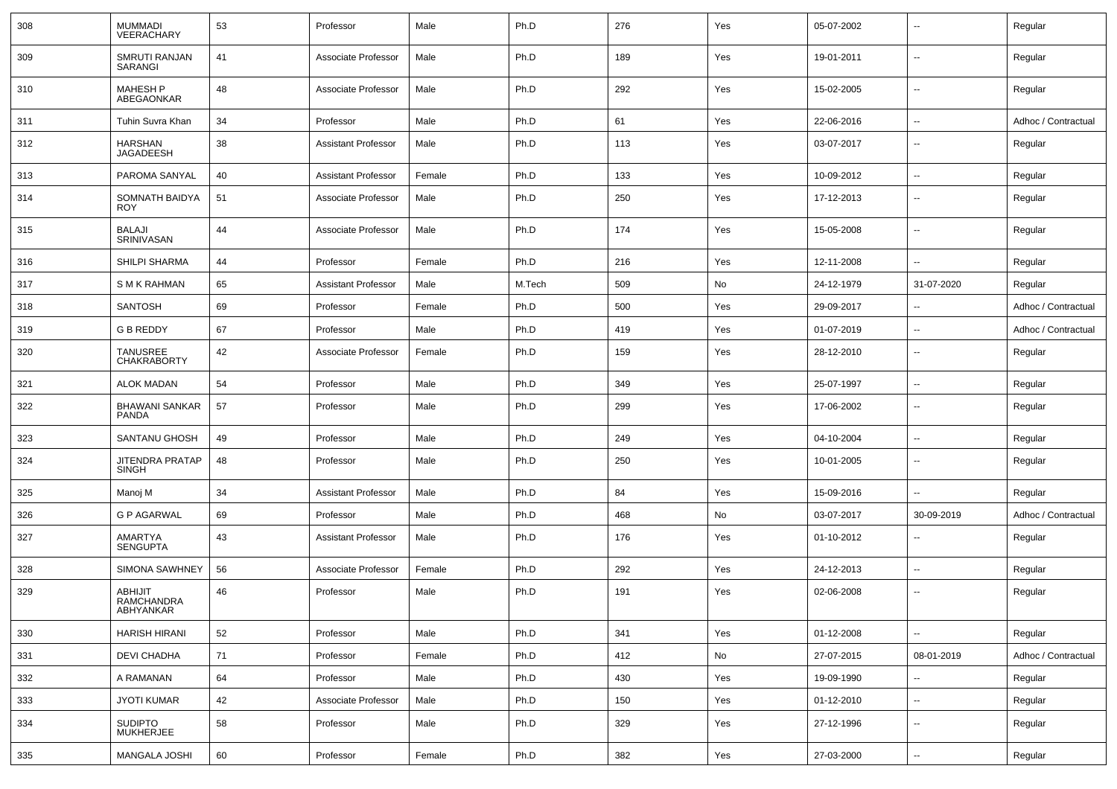| 308 | <b>MUMMADI</b><br>VEERACHARY              | 53 | Professor                  | Male   | Ph.D   | 276 | Yes | 05-07-2002 | $\overline{\phantom{a}}$ | Regular             |
|-----|-------------------------------------------|----|----------------------------|--------|--------|-----|-----|------------|--------------------------|---------------------|
| 309 | SMRUTI RANJAN<br>SARANGI                  | 41 | Associate Professor        | Male   | Ph.D   | 189 | Yes | 19-01-2011 | $\sim$                   | Regular             |
| 310 | <b>MAHESH P</b><br>ABEGAONKAR             | 48 | Associate Professor        | Male   | Ph.D   | 292 | Yes | 15-02-2005 | $\sim$                   | Regular             |
| 311 | Tuhin Suvra Khan                          | 34 | Professor                  | Male   | Ph.D   | 61  | Yes | 22-06-2016 | $\sim$                   | Adhoc / Contractual |
| 312 | <b>HARSHAN</b><br>JAGADEESH               | 38 | <b>Assistant Professor</b> | Male   | Ph.D   | 113 | Yes | 03-07-2017 | $\overline{a}$           | Regular             |
| 313 | PAROMA SANYAL                             | 40 | <b>Assistant Professor</b> | Female | Ph.D   | 133 | Yes | 10-09-2012 | $\sim$                   | Regular             |
| 314 | SOMNATH BAIDYA<br><b>ROY</b>              | 51 | Associate Professor        | Male   | Ph.D   | 250 | Yes | 17-12-2013 | $\overline{\phantom{a}}$ | Regular             |
| 315 | <b>BALAJI</b><br>SRINIVASAN               | 44 | Associate Professor        | Male   | Ph.D   | 174 | Yes | 15-05-2008 | $\overline{\phantom{a}}$ | Regular             |
| 316 | <b>SHILPI SHARMA</b>                      | 44 | Professor                  | Female | Ph.D   | 216 | Yes | 12-11-2008 | ۰.                       | Regular             |
| 317 | S M K RAHMAN                              | 65 | <b>Assistant Professor</b> | Male   | M.Tech | 509 | No  | 24-12-1979 | 31-07-2020               | Regular             |
| 318 | <b>SANTOSH</b>                            | 69 | Professor                  | Female | Ph.D   | 500 | Yes | 29-09-2017 | $\sim$                   | Adhoc / Contractual |
| 319 | <b>G B REDDY</b>                          | 67 | Professor                  | Male   | Ph.D   | 419 | Yes | 01-07-2019 | $\sim$                   | Adhoc / Contractual |
| 320 | TANUSREE<br><b>CHAKRABORTY</b>            | 42 | Associate Professor        | Female | Ph.D   | 159 | Yes | 28-12-2010 | $\overline{\phantom{a}}$ | Regular             |
| 321 | <b>ALOK MADAN</b>                         | 54 | Professor                  | Male   | Ph.D   | 349 | Yes | 25-07-1997 | $\sim$                   | Regular             |
| 322 | <b>BHAWANI SANKAR</b><br>PANDA            | 57 | Professor                  | Male   | Ph.D   | 299 | Yes | 17-06-2002 | $\overline{\phantom{a}}$ | Regular             |
| 323 | SANTANU GHOSH                             | 49 | Professor                  | Male   | Ph.D   | 249 | Yes | 04-10-2004 | $\sim$                   | Regular             |
| 324 | JITENDRA PRATAP<br>SINGH                  | 48 | Professor                  | Male   | Ph.D   | 250 | Yes | 10-01-2005 | ۰.                       | Regular             |
| 325 | Manoj M                                   | 34 | <b>Assistant Professor</b> | Male   | Ph.D   | 84  | Yes | 15-09-2016 | --                       | Regular             |
| 326 | <b>G P AGARWAL</b>                        | 69 | Professor                  | Male   | Ph.D   | 468 | No  | 03-07-2017 | 30-09-2019               | Adhoc / Contractual |
| 327 | AMARTYA<br><b>SENGUPTA</b>                | 43 | <b>Assistant Professor</b> | Male   | Ph.D   | 176 | Yes | 01-10-2012 | $-$                      | Regular             |
| 328 | <b>SIMONA SAWHNEY</b>                     | 56 | Associate Professor        | Female | Ph.D   | 292 | Yes | 24-12-2013 | $\sim$                   | Regular             |
| 329 | <b>ABHIJIT</b><br>RAMCHANDRA<br>ABHYANKAR | 46 | Professor                  | Male   | Ph.D   | 191 | Yes | 02-06-2008 | $\sim$                   | Regular             |
| 330 | HARISH HIRANI                             | 52 | Professor                  | Male   | Ph.D   | 341 | Yes | 01-12-2008 | $\overline{\phantom{a}}$ | Regular             |
| 331 | <b>DEVI CHADHA</b>                        | 71 | Professor                  | Female | Ph.D   | 412 | No  | 27-07-2015 | 08-01-2019               | Adhoc / Contractual |
| 332 | A RAMANAN                                 | 64 | Professor                  | Male   | Ph.D   | 430 | Yes | 19-09-1990 | $\sim$                   | Regular             |
| 333 | <b>JYOTI KUMAR</b>                        | 42 | Associate Professor        | Male   | Ph.D   | 150 | Yes | 01-12-2010 | $\sim$                   | Regular             |
| 334 | <b>SUDIPTO</b><br><b>MUKHERJEE</b>        | 58 | Professor                  | Male   | Ph.D   | 329 | Yes | 27-12-1996 | $\overline{\phantom{a}}$ | Regular             |
| 335 | <b>MANGALA JOSHI</b>                      | 60 | Professor                  | Female | Ph.D   | 382 | Yes | 27-03-2000 | $\sim$                   | Regular             |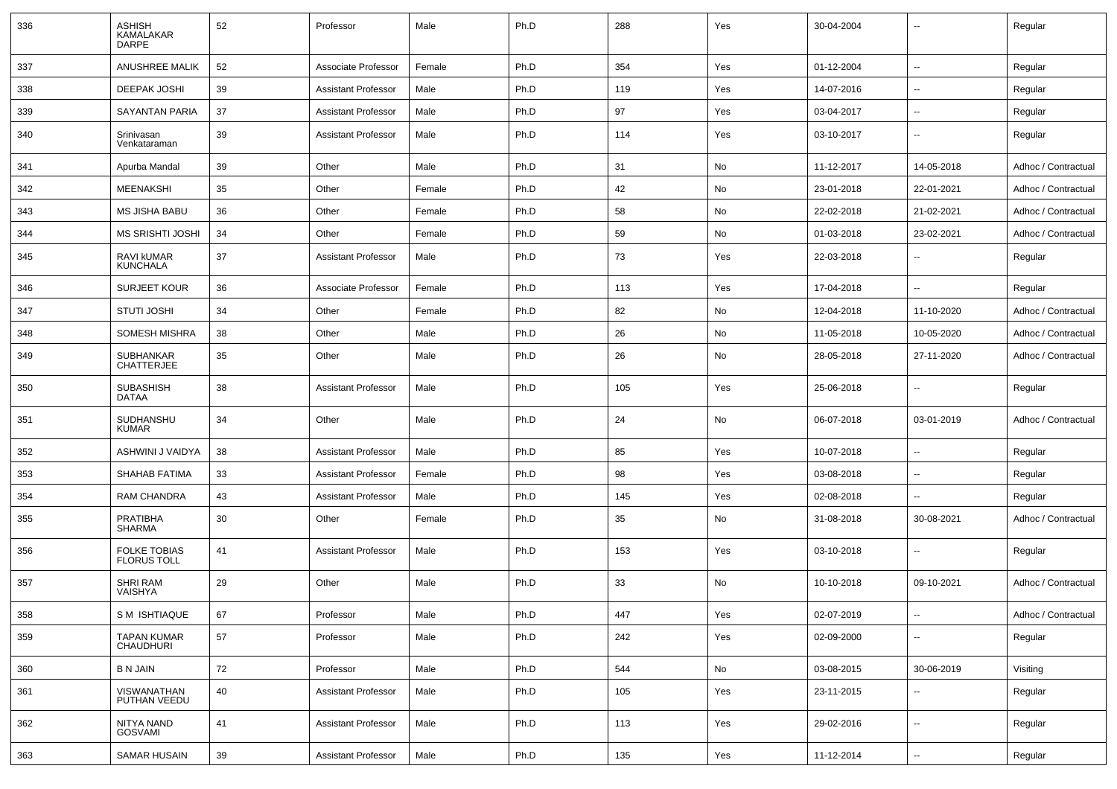| 336 | ASHISH<br><b>KAMALAKAR</b><br>DARPE       | 52 | Professor                  | Male   | Ph.D | 288 | Yes | 30-04-2004 | $\overline{\phantom{a}}$ | Regular             |
|-----|-------------------------------------------|----|----------------------------|--------|------|-----|-----|------------|--------------------------|---------------------|
| 337 | <b>ANUSHREE MALIK</b>                     | 52 | Associate Professor        | Female | Ph.D | 354 | Yes | 01-12-2004 | $\overline{\phantom{a}}$ | Regular             |
| 338 | <b>DEEPAK JOSHI</b>                       | 39 | <b>Assistant Professor</b> | Male   | Ph.D | 119 | Yes | 14-07-2016 | $\sim$                   | Regular             |
| 339 | SAYANTAN PARIA                            | 37 | <b>Assistant Professor</b> | Male   | Ph.D | 97  | Yes | 03-04-2017 | $\overline{\phantom{a}}$ | Regular             |
| 340 | Srinivasan<br>Venkataraman                | 39 | <b>Assistant Professor</b> | Male   | Ph.D | 114 | Yes | 03-10-2017 | $\overline{\phantom{a}}$ | Regular             |
| 341 | Apurba Mandal                             | 39 | Other                      | Male   | Ph.D | 31  | No  | 11-12-2017 | 14-05-2018               | Adhoc / Contractual |
| 342 | MEENAKSHI                                 | 35 | Other                      | Female | Ph.D | 42  | No  | 23-01-2018 | 22-01-2021               | Adhoc / Contractual |
| 343 | <b>MS JISHA BABU</b>                      | 36 | Other                      | Female | Ph.D | 58  | No  | 22-02-2018 | 21-02-2021               | Adhoc / Contractual |
| 344 | <b>MS SRISHTI JOSHI</b>                   | 34 | Other                      | Female | Ph.D | 59  | No  | 01-03-2018 | 23-02-2021               | Adhoc / Contractual |
| 345 | RAVI KUMAR<br><b>KUNCHALA</b>             | 37 | <b>Assistant Professor</b> | Male   | Ph.D | 73  | Yes | 22-03-2018 | $\overline{\phantom{a}}$ | Regular             |
| 346 | <b>SURJEET KOUR</b>                       | 36 | Associate Professor        | Female | Ph.D | 113 | Yes | 17-04-2018 | $\sim$                   | Regular             |
| 347 | <b>STUTI JOSHI</b>                        | 34 | Other                      | Female | Ph.D | 82  | No  | 12-04-2018 | 11-10-2020               | Adhoc / Contractual |
| 348 | <b>SOMESH MISHRA</b>                      | 38 | Other                      | Male   | Ph.D | 26  | No  | 11-05-2018 | 10-05-2020               | Adhoc / Contractual |
| 349 | SUBHANKAR<br><b>CHATTERJEE</b>            | 35 | Other                      | Male   | Ph.D | 26  | No  | 28-05-2018 | 27-11-2020               | Adhoc / Contractual |
| 350 | SUBASHISH<br><b>DATAA</b>                 | 38 | <b>Assistant Professor</b> | Male   | Ph.D | 105 | Yes | 25-06-2018 | $\overline{\phantom{a}}$ | Regular             |
| 351 | SUDHANSHU<br>KUMAR                        | 34 | Other                      | Male   | Ph.D | 24  | No  | 06-07-2018 | 03-01-2019               | Adhoc / Contractual |
| 352 | ASHWINI J VAIDYA                          | 38 | <b>Assistant Professor</b> | Male   | Ph.D | 85  | Yes | 10-07-2018 | $\sim$                   | Regular             |
| 353 | <b>SHAHAB FATIMA</b>                      | 33 | <b>Assistant Professor</b> | Female | Ph.D | 98  | Yes | 03-08-2018 | $\overline{\phantom{a}}$ | Regular             |
| 354 | <b>RAM CHANDRA</b>                        | 43 | <b>Assistant Professor</b> | Male   | Ph.D | 145 | Yes | 02-08-2018 | $\mathbf{u}$             | Regular             |
| 355 | PRATIBHA<br>SHARMA                        | 30 | Other                      | Female | Ph.D | 35  | No  | 31-08-2018 | 30-08-2021               | Adhoc / Contractual |
| 356 | <b>FOLKE TOBIAS</b><br><b>FLORUS TOLL</b> | 41 | <b>Assistant Professor</b> | Male   | Ph.D | 153 | Yes | 03-10-2018 | $\overline{\phantom{a}}$ | Regular             |
| 357 | <b>SHRI RAM</b><br>VAISHYA                | 29 | Other                      | Male   | Ph.D | 33  | No  | 10-10-2018 | 09-10-2021               | Adhoc / Contractual |
| 358 | S M ISHTIAQUE                             | 67 | Professor                  | Male   | Ph.D | 447 | Yes | 02-07-2019 | $\sim$                   | Adhoc / Contractual |
| 359 | <b>TAPAN KUMAR</b><br>CHAUDHURI           | 57 | Professor                  | Male   | Ph.D | 242 | Yes | 02-09-2000 | $\sim$                   | Regular             |
| 360 | <b>B N JAIN</b>                           | 72 | Professor                  | Male   | Ph.D | 544 | No  | 03-08-2015 | 30-06-2019               | Visiting            |
| 361 | VISWANATHAN<br>PUTHAN VEEDU               | 40 | <b>Assistant Professor</b> | Male   | Ph.D | 105 | Yes | 23-11-2015 | $\overline{\phantom{a}}$ | Regular             |
| 362 | NITYA NAND<br>GOSVAMI                     | 41 | <b>Assistant Professor</b> | Male   | Ph.D | 113 | Yes | 29-02-2016 | $\overline{\phantom{a}}$ | Regular             |
| 363 | SAMAR HUSAIN                              | 39 | <b>Assistant Professor</b> | Male   | Ph.D | 135 | Yes | 11-12-2014 | $\overline{\phantom{a}}$ | Regular             |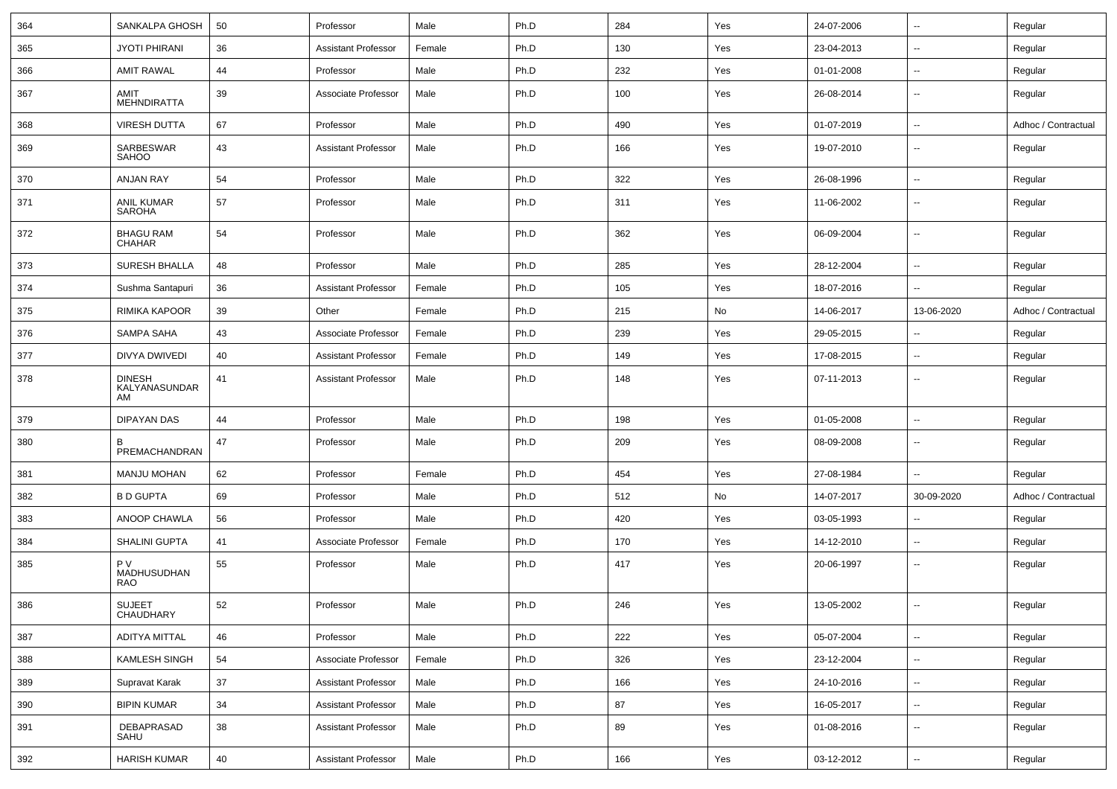| 364 | SANKALPA GHOSH                       | 50     | Professor                  | Male   | Ph.D | 284 | Yes | 24-07-2006 | $\sim$                   | Regular             |
|-----|--------------------------------------|--------|----------------------------|--------|------|-----|-----|------------|--------------------------|---------------------|
| 365 | <b>JYOTI PHIRANI</b>                 | 36     | <b>Assistant Professor</b> | Female | Ph.D | 130 | Yes | 23-04-2013 | ⊷.                       | Regular             |
| 366 | <b>AMIT RAWAL</b>                    | 44     | Professor                  | Male   | Ph.D | 232 | Yes | 01-01-2008 | $\sim$                   | Regular             |
| 367 | AMIT<br>MEHNDIRATTA                  | 39     | Associate Professor        | Male   | Ph.D | 100 | Yes | 26-08-2014 | $\overline{\phantom{a}}$ | Regular             |
| 368 | <b>VIRESH DUTTA</b>                  | 67     | Professor                  | Male   | Ph.D | 490 | Yes | 01-07-2019 | ⊶.                       | Adhoc / Contractual |
| 369 | SARBESWAR<br><b>SAHOO</b>            | 43     | <b>Assistant Professor</b> | Male   | Ph.D | 166 | Yes | 19-07-2010 | --                       | Regular             |
| 370 | <b>ANJAN RAY</b>                     | 54     | Professor                  | Male   | Ph.D | 322 | Yes | 26-08-1996 | ⊷.                       | Regular             |
| 371 | <b>ANIL KUMAR</b><br>SAROHA          | 57     | Professor                  | Male   | Ph.D | 311 | Yes | 11-06-2002 | $\sim$                   | Regular             |
| 372 | <b>BHAGU RAM</b><br>CHAHAR           | 54     | Professor                  | Male   | Ph.D | 362 | Yes | 06-09-2004 | $\sim$                   | Regular             |
| 373 | SURESH BHALLA                        | 48     | Professor                  | Male   | Ph.D | 285 | Yes | 28-12-2004 | $\sim$                   | Regular             |
| 374 | Sushma Santapuri                     | 36     | <b>Assistant Professor</b> | Female | Ph.D | 105 | Yes | 18-07-2016 | $\sim$                   | Regular             |
| 375 | RIMIKA KAPOOR                        | 39     | Other                      | Female | Ph.D | 215 | No  | 14-06-2017 | 13-06-2020               | Adhoc / Contractual |
| 376 | SAMPA SAHA                           | 43     | Associate Professor        | Female | Ph.D | 239 | Yes | 29-05-2015 | $\sim$                   | Regular             |
| 377 | DIVYA DWIVEDI                        | 40     | <b>Assistant Professor</b> | Female | Ph.D | 149 | Yes | 17-08-2015 | --                       | Regular             |
| 378 | <b>DINESH</b><br>KALYANASUNDAR<br>AM | 41     | <b>Assistant Professor</b> | Male   | Ph.D | 148 | Yes | 07-11-2013 | --                       | Regular             |
| 379 | <b>DIPAYAN DAS</b>                   | 44     | Professor                  | Male   | Ph.D | 198 | Yes | 01-05-2008 | ⊷.                       | Regular             |
| 380 | PREMACHANDRAN                        | 47     | Professor                  | Male   | Ph.D | 209 | Yes | 08-09-2008 | Ξ.                       | Regular             |
| 381 | <b>MANJU MOHAN</b>                   | 62     | Professor                  | Female | Ph.D | 454 | Yes | 27-08-1984 | --                       | Regular             |
| 382 | <b>B D GUPTA</b>                     | 69     | Professor                  | Male   | Ph.D | 512 | No  | 14-07-2017 | 30-09-2020               | Adhoc / Contractual |
| 383 | ANOOP CHAWLA                         | 56     | Professor                  | Male   | Ph.D | 420 | Yes | 03-05-1993 | ⊷.                       | Regular             |
| 384 | <b>SHALINI GUPTA</b>                 | 41     | Associate Professor        | Female | Ph.D | 170 | Yes | 14-12-2010 | ⊷.                       | Regular             |
| 385 | P V<br>MADHUSUDHAN<br><b>RAO</b>     | 55     | Professor                  | Male   | Ph.D | 417 | Yes | 20-06-1997 | --                       | Regular             |
| 386 | <b>SUJEET</b><br>CHAUDHARY           | 52     | Professor                  | Male   | Ph.D | 246 | Yes | 13-05-2002 | -−                       | Regular             |
| 387 | <b>ADITYA MITTAL</b>                 | 46     | Professor                  | Male   | Ph.D | 222 | Yes | 05-07-2004 | Щ,                       | Regular             |
| 388 | KAMLESH SINGH                        | 54     | Associate Professor        | Female | Ph.D | 326 | Yes | 23-12-2004 | $\overline{\phantom{a}}$ | Regular             |
| 389 | Supravat Karak                       | 37     | <b>Assistant Professor</b> | Male   | Ph.D | 166 | Yes | 24-10-2016 | $\overline{\phantom{a}}$ | Regular             |
| 390 | <b>BIPIN KUMAR</b>                   | 34     | <b>Assistant Professor</b> | Male   | Ph.D | 87  | Yes | 16-05-2017 | $\sim$                   | Regular             |
| 391 | DEBAPRASAD<br>SAHU                   | 38     | <b>Assistant Professor</b> | Male   | Ph.D | 89  | Yes | 01-08-2016 | $\overline{\phantom{a}}$ | Regular             |
| 392 | <b>HARISH KUMAR</b>                  | $40\,$ | <b>Assistant Professor</b> | Male   | Ph.D | 166 | Yes | 03-12-2012 | Щ,                       | Regular             |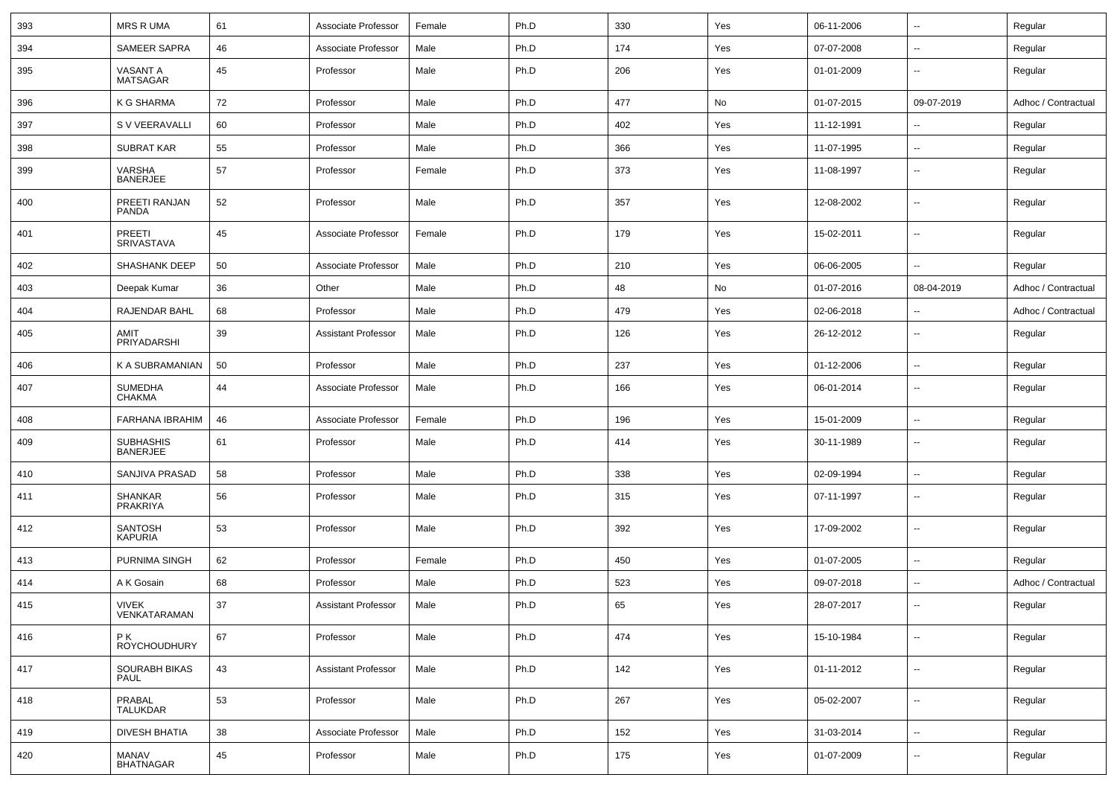| 393 | <b>MRS R UMA</b>                    | 61 | Associate Professor        | Female | Ph.D | 330 | Yes | 06-11-2006 | $\overline{\phantom{a}}$ | Regular             |
|-----|-------------------------------------|----|----------------------------|--------|------|-----|-----|------------|--------------------------|---------------------|
| 394 | <b>SAMEER SAPRA</b>                 | 46 | Associate Professor        | Male   | Ph.D | 174 | Yes | 07-07-2008 | $\sim$                   | Regular             |
| 395 | VASANT A<br><b>MATSAGAR</b>         | 45 | Professor                  | Male   | Ph.D | 206 | Yes | 01-01-2009 | $\sim$                   | Regular             |
| 396 | K G SHARMA                          | 72 | Professor                  | Male   | Ph.D | 477 | No  | 01-07-2015 | 09-07-2019               | Adhoc / Contractual |
| 397 | S V VEERAVALLI                      | 60 | Professor                  | Male   | Ph.D | 402 | Yes | 11-12-1991 | --                       | Regular             |
| 398 | <b>SUBRAT KAR</b>                   | 55 | Professor                  | Male   | Ph.D | 366 | Yes | 11-07-1995 | Ξ.                       | Regular             |
| 399 | VARSHA<br><b>BANERJEE</b>           | 57 | Professor                  | Female | Ph.D | 373 | Yes | 11-08-1997 | $\sim$                   | Regular             |
| 400 | PREETI RANJAN<br>PANDA              | 52 | Professor                  | Male   | Ph.D | 357 | Yes | 12-08-2002 | $\overline{\phantom{a}}$ | Regular             |
| 401 | <b>PREETI</b><br>SRIVASTAVA         | 45 | Associate Professor        | Female | Ph.D | 179 | Yes | 15-02-2011 | $\overline{\phantom{a}}$ | Regular             |
| 402 | <b>SHASHANK DEEP</b>                | 50 | Associate Professor        | Male   | Ph.D | 210 | Yes | 06-06-2005 | $\overline{\phantom{a}}$ | Regular             |
| 403 | Deepak Kumar                        | 36 | Other                      | Male   | Ph.D | 48  | No  | 01-07-2016 | 08-04-2019               | Adhoc / Contractual |
| 404 | RAJENDAR BAHL                       | 68 | Professor                  | Male   | Ph.D | 479 | Yes | 02-06-2018 | ۰.                       | Adhoc / Contractual |
| 405 | AMIT<br>PRIYADARSHI                 | 39 | <b>Assistant Professor</b> | Male   | Ph.D | 126 | Yes | 26-12-2012 | $\sim$                   | Regular             |
| 406 | K A SUBRAMANIAN                     | 50 | Professor                  | Male   | Ph.D | 237 | Yes | 01-12-2006 | $\overline{\phantom{a}}$ | Regular             |
| 407 | <b>SUMEDHA</b><br><b>CHAKMA</b>     | 44 | Associate Professor        | Male   | Ph.D | 166 | Yes | 06-01-2014 | $\sim$                   | Regular             |
| 408 | FARHANA IBRAHIM                     | 46 | Associate Professor        | Female | Ph.D | 196 | Yes | 15-01-2009 | $\sim$                   | Regular             |
| 409 | <b>SUBHASHIS</b><br><b>BANERJEE</b> | 61 | Professor                  | Male   | Ph.D | 414 | Yes | 30-11-1989 | ۰.                       | Regular             |
| 410 | SANJIVA PRASAD                      | 58 | Professor                  | Male   | Ph.D | 338 | Yes | 02-09-1994 | $\sim$                   | Regular             |
| 411 | <b>SHANKAR</b><br><b>PRAKRIYA</b>   | 56 | Professor                  | Male   | Ph.D | 315 | Yes | 07-11-1997 | ۰.                       | Regular             |
| 412 | <b>SANTOSH</b><br><b>KAPURIA</b>    | 53 | Professor                  | Male   | Ph.D | 392 | Yes | 17-09-2002 | Ξ.                       | Regular             |
| 413 | <b>PURNIMA SINGH</b>                | 62 | Professor                  | Female | Ph.D | 450 | Yes | 01-07-2005 | Ξ.                       | Regular             |
| 414 | A K Gosain                          | 68 | Professor                  | Male   | Ph.D | 523 | Yes | 09-07-2018 | Ξ.                       | Adhoc / Contractual |
| 415 | <b>VIVEK</b><br>VENKATARAMAN        | 37 | <b>Assistant Professor</b> | Male   | Ph.D | 65  | Yes | 28-07-2017 | --                       | Regular             |
| 416 | PK.<br><b>ROYCHOUDHURY</b>          | 67 | Professor                  | Male   | Ph.D | 474 | Yes | 15-10-1984 | $\overline{\phantom{a}}$ | Regular             |
| 417 | SOURABH BIKAS<br><b>PAUL</b>        | 43 | <b>Assistant Professor</b> | Male   | Ph.D | 142 | Yes | 01-11-2012 | $\overline{\phantom{a}}$ | Regular             |
| 418 | PRABAL<br><b>TALUKDAR</b>           | 53 | Professor                  | Male   | Ph.D | 267 | Yes | 05-02-2007 | $\overline{\phantom{a}}$ | Regular             |
| 419 | <b>DIVESH BHATIA</b>                | 38 | Associate Professor        | Male   | Ph.D | 152 | Yes | 31-03-2014 | Ξ.                       | Regular             |
| 420 | MANAV<br>BHATNAGAR                  | 45 | Professor                  | Male   | Ph.D | 175 | Yes | 01-07-2009 | $\overline{\phantom{a}}$ | Regular             |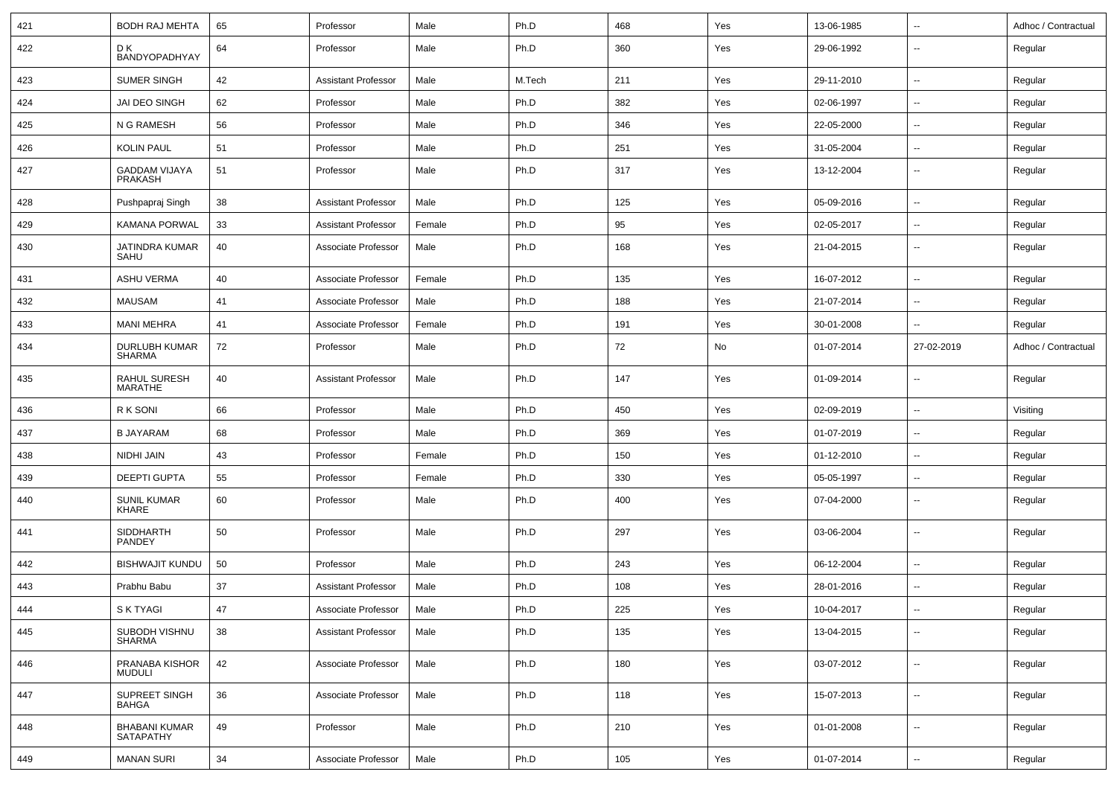| 421 | <b>BODH RAJ MEHTA</b>             | 65 | Professor                  | Male   | Ph.D   | 468 | Yes | 13-06-1985 | --                       | Adhoc / Contractual |
|-----|-----------------------------------|----|----------------------------|--------|--------|-----|-----|------------|--------------------------|---------------------|
| 422 | D K<br>BANDYOPADHYAY              | 64 | Professor                  | Male   | Ph.D   | 360 | Yes | 29-06-1992 | $\overline{a}$           | Regular             |
| 423 | <b>SUMER SINGH</b>                | 42 | <b>Assistant Professor</b> | Male   | M.Tech | 211 | Yes | 29-11-2010 | u.                       | Regular             |
| 424 | JAI DEO SINGH                     | 62 | Professor                  | Male   | Ph.D   | 382 | Yes | 02-06-1997 | $\overline{a}$           | Regular             |
| 425 | N G RAMESH                        | 56 | Professor                  | Male   | Ph.D   | 346 | Yes | 22-05-2000 | ۰.                       | Regular             |
| 426 | <b>KOLIN PAUL</b>                 | 51 | Professor                  | Male   | Ph.D   | 251 | Yes | 31-05-2004 | --                       | Regular             |
| 427 | <b>GADDAM VIJAYA</b><br>PRAKASH   | 51 | Professor                  | Male   | Ph.D   | 317 | Yes | 13-12-2004 | u.                       | Regular             |
| 428 | Pushpapraj Singh                  | 38 | <b>Assistant Professor</b> | Male   | Ph.D   | 125 | Yes | 05-09-2016 | $\overline{\phantom{a}}$ | Regular             |
| 429 | <b>KAMANA PORWAL</b>              | 33 | <b>Assistant Professor</b> | Female | Ph.D   | 95  | Yes | 02-05-2017 | $\overline{\phantom{a}}$ | Regular             |
| 430 | JATINDRA KUMAR<br>SAHU            | 40 | Associate Professor        | Male   | Ph.D   | 168 | Yes | 21-04-2015 | $\overline{a}$           | Regular             |
| 431 | <b>ASHU VERMA</b>                 | 40 | Associate Professor        | Female | Ph.D   | 135 | Yes | 16-07-2012 | --                       | Regular             |
| 432 | <b>MAUSAM</b>                     | 41 | Associate Professor        | Male   | Ph.D   | 188 | Yes | 21-07-2014 | $\overline{a}$           | Regular             |
| 433 | <b>MANI MEHRA</b>                 | 41 | Associate Professor        | Female | Ph.D   | 191 | Yes | 30-01-2008 | ۰.                       | Regular             |
| 434 | DURLUBH KUMAR<br>SHARMA           | 72 | Professor                  | Male   | Ph.D   | 72  | No  | 01-07-2014 | 27-02-2019               | Adhoc / Contractual |
| 435 | RAHUL SURESH<br>MARATHE           | 40 | <b>Assistant Professor</b> | Male   | Ph.D   | 147 | Yes | 01-09-2014 | $\overline{a}$           | Regular             |
| 436 | R K SONI                          | 66 | Professor                  | Male   | Ph.D   | 450 | Yes | 02-09-2019 | --                       | Visiting            |
| 437 | <b>B JAYARAM</b>                  | 68 | Professor                  | Male   | Ph.D   | 369 | Yes | 01-07-2019 | $\overline{\phantom{a}}$ | Regular             |
| 438 | NIDHI JAIN                        | 43 | Professor                  | Female | Ph.D   | 150 | Yes | 01-12-2010 | --                       | Regular             |
| 439 | <b>DEEPTI GUPTA</b>               | 55 | Professor                  | Female | Ph.D   | 330 | Yes | 05-05-1997 | $\overline{a}$           | Regular             |
| 440 | SUNIL KUMAR<br>KHARE              | 60 | Professor                  | Male   | Ph.D   | 400 | Yes | 07-04-2000 | $\overline{a}$           | Regular             |
| 441 | SIDDHARTH<br>PANDEY               | 50 | Professor                  | Male   | Ph.D   | 297 | Yes | 03-06-2004 | $\overline{\phantom{a}}$ | Regular             |
| 442 | <b>BISHWAJIT KUNDU</b>            | 50 | Professor                  | Male   | Ph.D   | 243 | Yes | 06-12-2004 | $\overline{a}$           | Regular             |
| 443 | Prabhu Babu                       | 37 | <b>Assistant Professor</b> | Male   | Ph.D   | 108 | Yes | 28-01-2016 | --                       | Regular             |
| 444 | S K TYAGI                         | 47 | Associate Professor        | Male   | Ph.D   | 225 | Yes | 10-04-2017 |                          | Regular             |
| 445 | SUBODH VISHNU<br>SHARMA           | 38 | <b>Assistant Professor</b> | Male   | Ph.D   | 135 | Yes | 13-04-2015 | Щ,                       | Regular             |
| 446 | PRANABA KISHOR<br><b>MUDULI</b>   | 42 | Associate Professor        | Male   | Ph.D   | 180 | Yes | 03-07-2012 | $\overline{\phantom{a}}$ | Regular             |
| 447 | SUPREET SINGH<br><b>BAHGA</b>     | 36 | Associate Professor        | Male   | Ph.D   | 118 | Yes | 15-07-2013 | Щ,                       | Regular             |
| 448 | <b>BHABANI KUMAR</b><br>SATAPATHY | 49 | Professor                  | Male   | Ph.D   | 210 | Yes | 01-01-2008 | Щ,                       | Regular             |
| 449 | <b>MANAN SURI</b>                 | 34 | Associate Professor        | Male   | Ph.D   | 105 | Yes | 01-07-2014 | $\overline{\phantom{a}}$ | Regular             |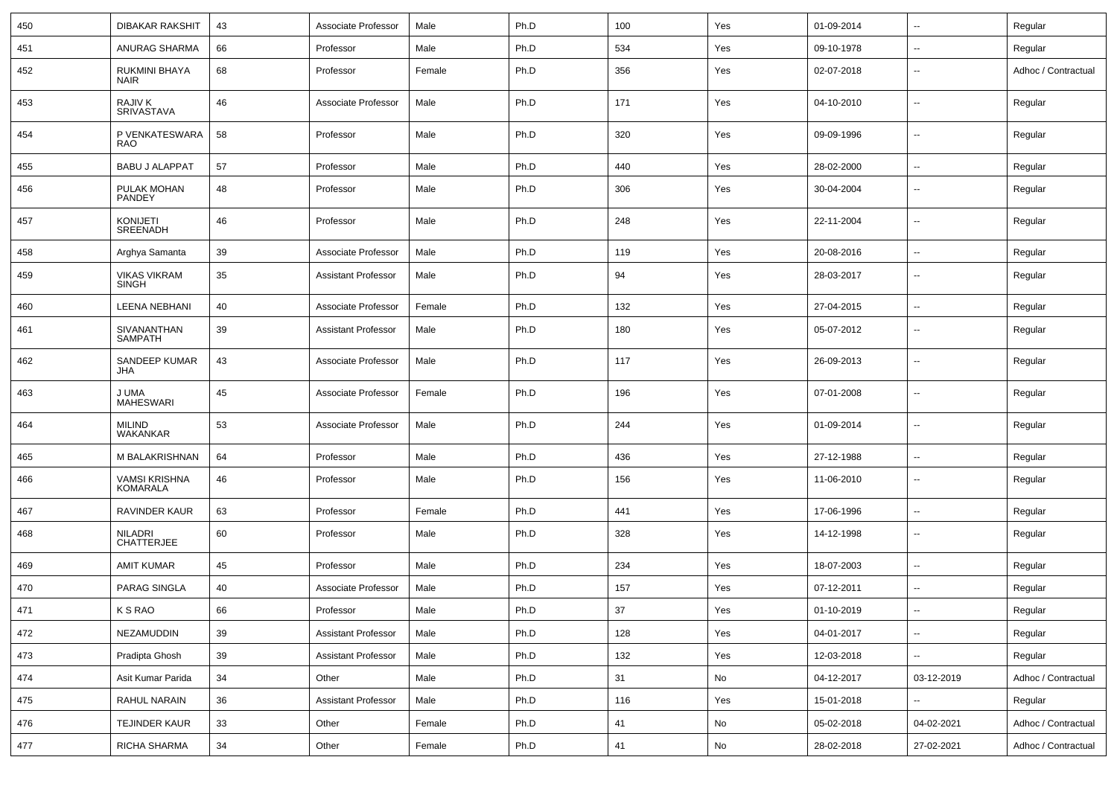| 450 | <b>DIBAKAR RAKSHIT</b>                  | 43     | Associate Professor        | Male   | Ph.D | 100    | Yes | 01-09-2014 | $\overline{\phantom{a}}$ | Regular             |
|-----|-----------------------------------------|--------|----------------------------|--------|------|--------|-----|------------|--------------------------|---------------------|
| 451 | ANURAG SHARMA                           | 66     | Professor                  | Male   | Ph.D | 534    | Yes | 09-10-1978 | Ξ.                       | Regular             |
| 452 | RUKMINI BHAYA<br><b>NAIR</b>            | 68     | Professor                  | Female | Ph.D | 356    | Yes | 02-07-2018 | --                       | Adhoc / Contractual |
| 453 | RAJIV K<br>SRIVASTAVA                   | 46     | Associate Professor        | Male   | Ph.D | 171    | Yes | 04-10-2010 | --                       | Regular             |
| 454 | P VENKATESWARA<br><b>RAO</b>            | 58     | Professor                  | Male   | Ph.D | 320    | Yes | 09-09-1996 | $\overline{\phantom{a}}$ | Regular             |
| 455 | <b>BABU J ALAPPAT</b>                   | 57     | Professor                  | Male   | Ph.D | 440    | Yes | 28-02-2000 | --                       | Regular             |
| 456 | PULAK MOHAN<br>PANDEY                   | 48     | Professor                  | Male   | Ph.D | 306    | Yes | 30-04-2004 | $\overline{\phantom{a}}$ | Regular             |
| 457 | <b>KONIJETI</b><br><b>SREENADH</b>      | 46     | Professor                  | Male   | Ph.D | 248    | Yes | 22-11-2004 | $\overline{\phantom{a}}$ | Regular             |
| 458 | Arghya Samanta                          | 39     | Associate Professor        | Male   | Ph.D | 119    | Yes | 20-08-2016 | $\overline{\phantom{a}}$ | Regular             |
| 459 | <b>VIKAS VIKRAM</b><br><b>SINGH</b>     | 35     | <b>Assistant Professor</b> | Male   | Ph.D | 94     | Yes | 28-03-2017 | $\overline{\phantom{a}}$ | Regular             |
| 460 | <b>LEENA NEBHANI</b>                    | 40     | Associate Professor        | Female | Ph.D | 132    | Yes | 27-04-2015 | $\overline{\phantom{a}}$ | Regular             |
| 461 | SIVANANTHAN<br>SAMPATH                  | 39     | <b>Assistant Professor</b> | Male   | Ph.D | 180    | Yes | 05-07-2012 | --                       | Regular             |
| 462 | SANDEEP KUMAR<br>JHA                    | 43     | Associate Professor        | Male   | Ph.D | 117    | Yes | 26-09-2013 | $\overline{\phantom{a}}$ | Regular             |
| 463 | J UMA<br><b>MAHESWARI</b>               | 45     | Associate Professor        | Female | Ph.D | 196    | Yes | 07-01-2008 | $\overline{\phantom{a}}$ | Regular             |
| 464 | <b>MILIND</b><br>WAKANKAR               | 53     | Associate Professor        | Male   | Ph.D | 244    | Yes | 01-09-2014 | $\overline{\phantom{a}}$ | Regular             |
| 465 | M BALAKRISHNAN                          | 64     | Professor                  | Male   | Ph.D | 436    | Yes | 27-12-1988 | $\overline{\phantom{a}}$ | Regular             |
| 466 | <b>VAMSI KRISHNA</b><br><b>KOMARALA</b> | 46     | Professor                  | Male   | Ph.D | 156    | Yes | 11-06-2010 | --                       | Regular             |
| 467 | RAVINDER KAUR                           | 63     | Professor                  | Female | Ph.D | 441    | Yes | 17-06-1996 | $\overline{\phantom{a}}$ | Regular             |
| 468 | <b>NILADRI</b><br><b>CHATTERJEE</b>     | 60     | Professor                  | Male   | Ph.D | 328    | Yes | 14-12-1998 | $\overline{\phantom{a}}$ | Regular             |
| 469 | AMIT KUMAR                              | 45     | Professor                  | Male   | Ph.D | 234    | Yes | 18-07-2003 | $\overline{\phantom{a}}$ | Regular             |
| 470 | PARAG SINGLA                            | 40     | Associate Professor        | Male   | Ph.D | 157    | Yes | 07-12-2011 | $\overline{\phantom{a}}$ | Regular             |
| 471 | K S RAO                                 | 66     | Professor                  | Male   | Ph.D | $37\,$ | Yes | 01-10-2019 |                          | Regular             |
| 472 | NEZAMUDDIN                              | 39     | <b>Assistant Professor</b> | Male   | Ph.D | 128    | Yes | 04-01-2017 | $\overline{\phantom{a}}$ | Regular             |
| 473 | Pradipta Ghosh                          | 39     | <b>Assistant Professor</b> | Male   | Ph.D | 132    | Yes | 12-03-2018 | Щ,                       | Regular             |
| 474 | Asit Kumar Parida                       | 34     | Other                      | Male   | Ph.D | 31     | No  | 04-12-2017 | 03-12-2019               | Adhoc / Contractual |
| 475 | RAHUL NARAIN                            | 36     | <b>Assistant Professor</b> | Male   | Ph.D | 116    | Yes | 15-01-2018 | $\sim$                   | Regular             |
| 476 | TEJINDER KAUR                           | 33     | Other                      | Female | Ph.D | 41     | No  | 05-02-2018 | 04-02-2021               | Adhoc / Contractual |
| 477 | RICHA SHARMA                            | $34\,$ | Other                      | Female | Ph.D | 41     | No  | 28-02-2018 | 27-02-2021               | Adhoc / Contractual |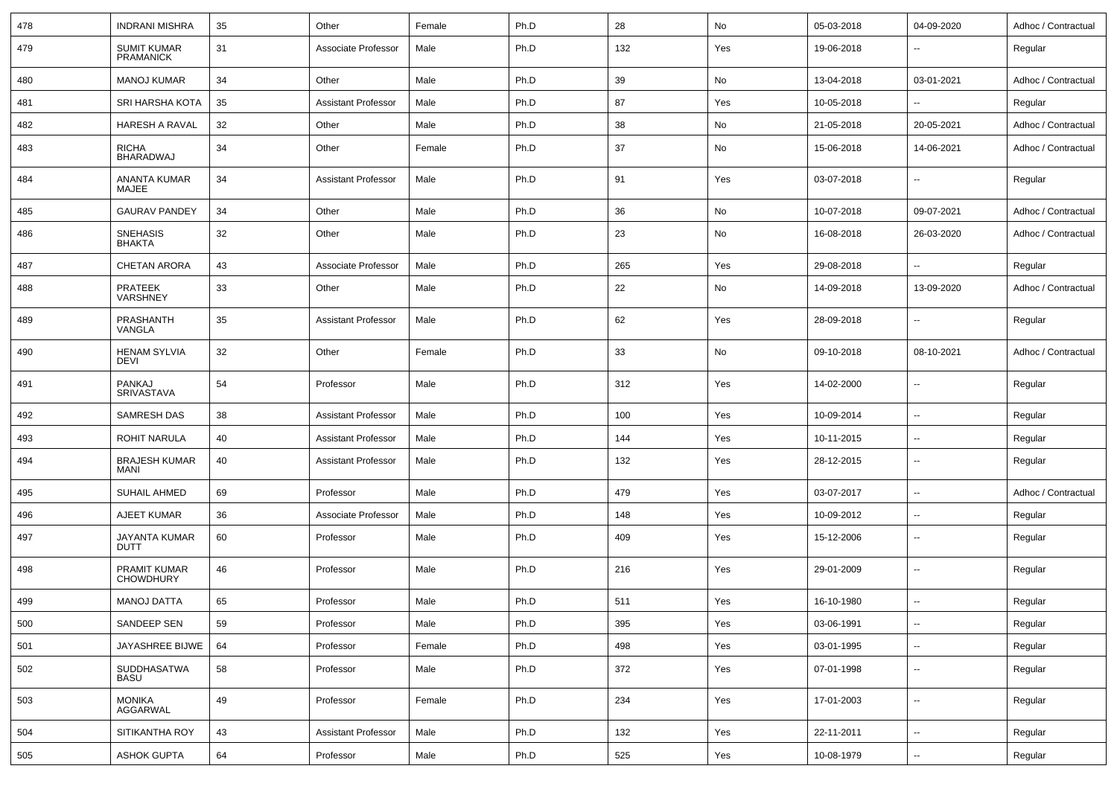| 478 | <b>INDRANI MISHRA</b>                   | 35 | Other                      | Female | Ph.D | 28  | No  | 05-03-2018 | 04-09-2020               | Adhoc / Contractual |
|-----|-----------------------------------------|----|----------------------------|--------|------|-----|-----|------------|--------------------------|---------------------|
| 479 | <b>SUMIT KUMAR</b><br><b>PRAMANICK</b>  | 31 | Associate Professor        | Male   | Ph.D | 132 | Yes | 19-06-2018 | $\overline{\phantom{a}}$ | Regular             |
| 480 | <b>MANOJ KUMAR</b>                      | 34 | Other                      | Male   | Ph.D | 39  | No  | 13-04-2018 | 03-01-2021               | Adhoc / Contractual |
| 481 | SRI HARSHA KOTA                         | 35 | <b>Assistant Professor</b> | Male   | Ph.D | 87  | Yes | 10-05-2018 | $\overline{\phantom{a}}$ | Regular             |
| 482 | <b>HARESH A RAVAL</b>                   | 32 | Other                      | Male   | Ph.D | 38  | No  | 21-05-2018 | 20-05-2021               | Adhoc / Contractual |
| 483 | <b>RICHA</b><br><b>BHARADWAJ</b>        | 34 | Other                      | Female | Ph.D | 37  | No  | 15-06-2018 | 14-06-2021               | Adhoc / Contractual |
| 484 | ANANTA KUMAR<br>MAJEE                   | 34 | <b>Assistant Professor</b> | Male   | Ph.D | 91  | Yes | 03-07-2018 | $\overline{\phantom{a}}$ | Regular             |
| 485 | <b>GAURAV PANDEY</b>                    | 34 | Other                      | Male   | Ph.D | 36  | No  | 10-07-2018 | 09-07-2021               | Adhoc / Contractual |
| 486 | <b>SNEHASIS</b><br><b>BHAKTA</b>        | 32 | Other                      | Male   | Ph.D | 23  | No  | 16-08-2018 | 26-03-2020               | Adhoc / Contractual |
| 487 | <b>CHETAN ARORA</b>                     | 43 | Associate Professor        | Male   | Ph.D | 265 | Yes | 29-08-2018 | $\overline{a}$           | Regular             |
| 488 | PRATEEK<br>VARSHNEY                     | 33 | Other                      | Male   | Ph.D | 22  | No  | 14-09-2018 | 13-09-2020               | Adhoc / Contractual |
| 489 | <b>PRASHANTH</b><br>VANGLA              | 35 | <b>Assistant Professor</b> | Male   | Ph.D | 62  | Yes | 28-09-2018 | $\overline{\phantom{a}}$ | Regular             |
| 490 | <b>HENAM SYLVIA</b><br><b>DEVI</b>      | 32 | Other                      | Female | Ph.D | 33  | No  | 09-10-2018 | 08-10-2021               | Adhoc / Contractual |
| 491 | PANKAJ<br><b>SRIVASTAVA</b>             | 54 | Professor                  | Male   | Ph.D | 312 | Yes | 14-02-2000 | $\overline{\phantom{a}}$ | Regular             |
| 492 | <b>SAMRESH DAS</b>                      | 38 | <b>Assistant Professor</b> | Male   | Ph.D | 100 | Yes | 10-09-2014 | $\sim$                   | Regular             |
| 493 | <b>ROHIT NARULA</b>                     | 40 | Assistant Professor        | Male   | Ph.D | 144 | Yes | 10-11-2015 | $\overline{\phantom{a}}$ | Regular             |
| 494 | <b>BRAJESH KUMAR</b><br><b>MANI</b>     | 40 | <b>Assistant Professor</b> | Male   | Ph.D | 132 | Yes | 28-12-2015 | $\sim$                   | Regular             |
| 495 | <b>SUHAIL AHMED</b>                     | 69 | Professor                  | Male   | Ph.D | 479 | Yes | 03-07-2017 | $\sim$                   | Adhoc / Contractual |
| 496 | AJEET KUMAR                             | 36 | Associate Professor        | Male   | Ph.D | 148 | Yes | 10-09-2012 | $\overline{\phantom{a}}$ | Regular             |
| 497 | <b>JAYANTA KUMAR</b><br><b>DUTT</b>     | 60 | Professor                  | Male   | Ph.D | 409 | Yes | 15-12-2006 | $\overline{\phantom{a}}$ | Regular             |
| 498 | <b>PRAMIT KUMAR</b><br><b>CHOWDHURY</b> | 46 | Professor                  | Male   | Ph.D | 216 | Yes | 29-01-2009 | $\overline{\phantom{a}}$ | Regular             |
| 499 | <b>MANOJ DATTA</b>                      | 65 | Professor                  | Male   | Ph.D | 511 | Yes | 16-10-1980 |                          | Regular             |
| 500 | SANDEEP SEN                             | 59 | Professor                  | Male   | Ph.D | 395 | Yes | 03-06-1991 | $\sim$                   | Regular             |
| 501 | JAYASHREE BIJWE                         | 64 | Professor                  | Female | Ph.D | 498 | Yes | 03-01-1995 | $\sim$                   | Regular             |
| 502 | SUDDHASATWA<br><b>BASU</b>              | 58 | Professor                  | Male   | Ph.D | 372 | Yes | 07-01-1998 | $\sim$                   | Regular             |
| 503 | <b>MONIKA</b><br>AGGARWAL               | 49 | Professor                  | Female | Ph.D | 234 | Yes | 17-01-2003 | $\sim$                   | Regular             |
| 504 | SITIKANTHA ROY                          | 43 | <b>Assistant Professor</b> | Male   | Ph.D | 132 | Yes | 22-11-2011 | $\sim$                   | Regular             |
| 505 | <b>ASHOK GUPTA</b>                      | 64 | Professor                  | Male   | Ph.D | 525 | Yes | 10-08-1979 | $\sim$                   | Regular             |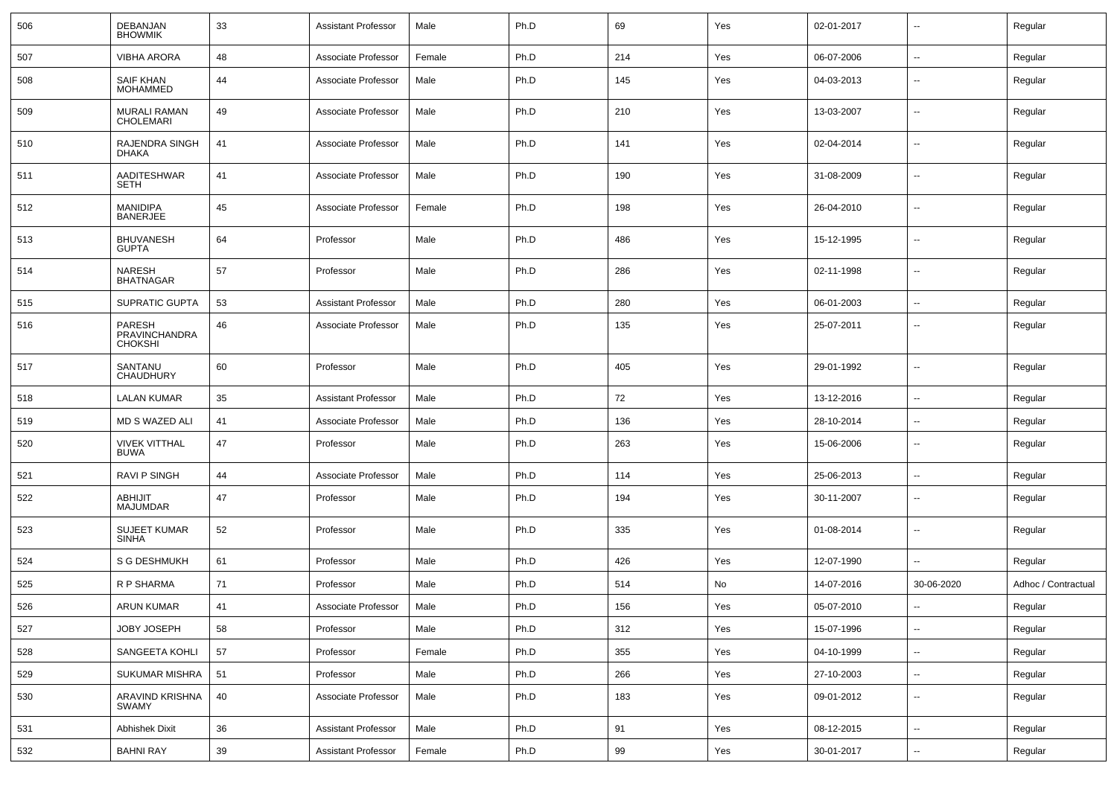| 506 | DEBANJAN<br><b>BHOWMIK</b>                | 33 | <b>Assistant Professor</b> | Male   | Ph.D | 69  | Yes | 02-01-2017 | --                       | Regular             |
|-----|-------------------------------------------|----|----------------------------|--------|------|-----|-----|------------|--------------------------|---------------------|
| 507 | <b>VIBHA ARORA</b>                        | 48 | Associate Professor        | Female | Ph.D | 214 | Yes | 06-07-2006 | $\overline{\phantom{a}}$ | Regular             |
| 508 | SAIF KHAN<br><b>MOHAMMED</b>              | 44 | Associate Professor        | Male   | Ph.D | 145 | Yes | 04-03-2013 | --                       | Regular             |
| 509 | <b>MURALI RAMAN</b><br>CHOLEMARI          | 49 | Associate Professor        | Male   | Ph.D | 210 | Yes | 13-03-2007 | $\sim$                   | Regular             |
| 510 | RAJENDRA SINGH<br><b>DHAKA</b>            | 41 | Associate Professor        | Male   | Ph.D | 141 | Yes | 02-04-2014 | $\overline{a}$           | Regular             |
| 511 | AADITESHWAR<br><b>SETH</b>                | 41 | Associate Professor        | Male   | Ph.D | 190 | Yes | 31-08-2009 | $\overline{\phantom{a}}$ | Regular             |
| 512 | <b>MANIDIPA</b><br><b>BANERJEE</b>        | 45 | Associate Professor        | Female | Ph.D | 198 | Yes | 26-04-2010 | $\sim$                   | Regular             |
| 513 | <b>BHUVANESH</b><br><b>GUPTA</b>          | 64 | Professor                  | Male   | Ph.D | 486 | Yes | 15-12-1995 | $\overline{a}$           | Regular             |
| 514 | <b>NARESH</b><br><b>BHATNAGAR</b>         | 57 | Professor                  | Male   | Ph.D | 286 | Yes | 02-11-1998 | $\overline{a}$           | Regular             |
| 515 | SUPRATIC GUPTA                            | 53 | <b>Assistant Professor</b> | Male   | Ph.D | 280 | Yes | 06-01-2003 | $\sim$                   | Regular             |
| 516 | PARESH<br>PRAVINCHANDRA<br><b>CHOKSHI</b> | 46 | Associate Professor        | Male   | Ph.D | 135 | Yes | 25-07-2011 | $-$                      | Regular             |
| 517 | SANTANU<br><b>CHAUDHURY</b>               | 60 | Professor                  | Male   | Ph.D | 405 | Yes | 29-01-1992 | $\overline{\phantom{a}}$ | Regular             |
| 518 | <b>LALAN KUMAR</b>                        | 35 | <b>Assistant Professor</b> | Male   | Ph.D | 72  | Yes | 13-12-2016 | $\sim$                   | Regular             |
| 519 | MD S WAZED ALI                            | 41 | Associate Professor        | Male   | Ph.D | 136 | Yes | 28-10-2014 | $\overline{\phantom{a}}$ | Regular             |
| 520 | <b>VIVEK VITTHAL</b><br>BUWA              | 47 | Professor                  | Male   | Ph.D | 263 | Yes | 15-06-2006 | --                       | Regular             |
| 521 | <b>RAVI P SINGH</b>                       | 44 | Associate Professor        | Male   | Ph.D | 114 | Yes | 25-06-2013 | ۰.                       | Regular             |
| 522 | ABHIJIT<br><b>MAJUMDAR</b>                | 47 | Professor                  | Male   | Ph.D | 194 | Yes | 30-11-2007 | $\sim$                   | Regular             |
| 523 | <b>SUJEET KUMAR</b><br><b>SINHA</b>       | 52 | Professor                  | Male   | Ph.D | 335 | Yes | 01-08-2014 | $\sim$                   | Regular             |
| 524 | S G DESHMUKH                              | 61 | Professor                  | Male   | Ph.D | 426 | Yes | 12-07-1990 | $\mathbf{u}$             | Regular             |
| 525 | R P SHARMA                                | 71 | Professor                  | Male   | Ph.D | 514 | No  | 14-07-2016 | 30-06-2020               | Adhoc / Contractual |
| 526 | <b>ARUN KUMAR</b>                         | 41 | Associate Professor        | Male   | Ph.D | 156 | Yes | 05-07-2010 | $\mathbf{u}$             | Regular             |
| 527 | JOBY JOSEPH                               | 58 | Professor                  | Male   | Ph.D | 312 | Yes | 15-07-1996 | u.                       | Regular             |
| 528 | SANGEETA KOHLI                            | 57 | Professor                  | Female | Ph.D | 355 | Yes | 04-10-1999 | $\sim$                   | Regular             |
| 529 | SUKUMAR MISHRA                            | 51 | Professor                  | Male   | Ph.D | 266 | Yes | 27-10-2003 | $\overline{\phantom{a}}$ | Regular             |
| 530 | ARAVIND KRISHNA<br>SWAMY                  | 40 | Associate Professor        | Male   | Ph.D | 183 | Yes | 09-01-2012 | $\sim$                   | Regular             |
| 531 | <b>Abhishek Dixit</b>                     | 36 | <b>Assistant Professor</b> | Male   | Ph.D | 91  | Yes | 08-12-2015 | $\overline{\phantom{a}}$ | Regular             |
| 532 | <b>BAHNI RAY</b>                          | 39 | <b>Assistant Professor</b> | Female | Ph.D | 99  | Yes | 30-01-2017 | $\sim$                   | Regular             |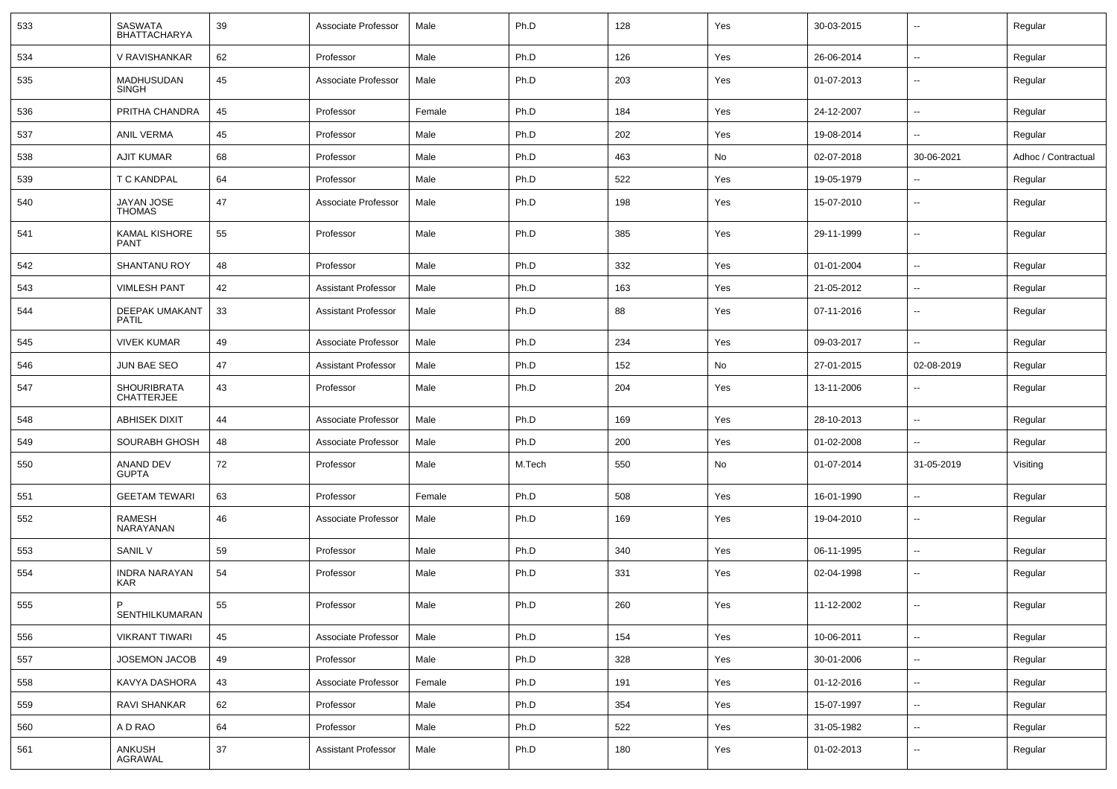| 533 | SASWATA<br><b>BHATTACHARYA</b>      | 39 | Associate Professor        | Male   | Ph.D   | 128 | Yes | 30-03-2015 | --                       | Regular             |
|-----|-------------------------------------|----|----------------------------|--------|--------|-----|-----|------------|--------------------------|---------------------|
| 534 | V RAVISHANKAR                       | 62 | Professor                  | Male   | Ph.D   | 126 | Yes | 26-06-2014 | $\overline{\phantom{a}}$ | Regular             |
| 535 | MADHUSUDAN<br>SINGH                 | 45 | Associate Professor        | Male   | Ph.D   | 203 | Yes | 01-07-2013 | $\overline{\phantom{a}}$ | Regular             |
| 536 | PRITHA CHANDRA                      | 45 | Professor                  | Female | Ph.D   | 184 | Yes | 24-12-2007 | -−                       | Regular             |
| 537 | <b>ANIL VERMA</b>                   | 45 | Professor                  | Male   | Ph.D   | 202 | Yes | 19-08-2014 | $\overline{\phantom{a}}$ | Regular             |
| 538 | <b>AJIT KUMAR</b>                   | 68 | Professor                  | Male   | Ph.D   | 463 | No  | 02-07-2018 | 30-06-2021               | Adhoc / Contractual |
| 539 | T C KANDPAL                         | 64 | Professor                  | Male   | Ph.D   | 522 | Yes | 19-05-1979 |                          | Regular             |
| 540 | JAYAN JOSE<br><b>THOMAS</b>         | 47 | Associate Professor        | Male   | Ph.D   | 198 | Yes | 15-07-2010 | $\overline{\phantom{a}}$ | Regular             |
| 541 | <b>KAMAL KISHORE</b><br><b>PANT</b> | 55 | Professor                  | Male   | Ph.D   | 385 | Yes | 29-11-1999 | Ξ.                       | Regular             |
| 542 | <b>SHANTANU ROY</b>                 | 48 | Professor                  | Male   | Ph.D   | 332 | Yes | 01-01-2004 | $\overline{\phantom{a}}$ | Regular             |
| 543 | <b>VIMLESH PANT</b>                 | 42 | <b>Assistant Professor</b> | Male   | Ph.D   | 163 | Yes | 21-05-2012 | $\overline{\phantom{a}}$ | Regular             |
| 544 | DEEPAK UMAKANT<br>PATIL             | 33 | <b>Assistant Professor</b> | Male   | Ph.D   | 88  | Yes | 07-11-2016 | ⊷.                       | Regular             |
| 545 | <b>VIVEK KUMAR</b>                  | 49 | Associate Professor        | Male   | Ph.D   | 234 | Yes | 09-03-2017 | --                       | Regular             |
| 546 | JUN BAE SEO                         | 47 | <b>Assistant Professor</b> | Male   | Ph.D   | 152 | No  | 27-01-2015 | 02-08-2019               | Regular             |
| 547 | <b>SHOURIBRATA</b><br>CHATTERJEE    | 43 | Professor                  | Male   | Ph.D   | 204 | Yes | 13-11-2006 | --                       | Regular             |
| 548 | <b>ABHISEK DIXIT</b>                | 44 | Associate Professor        | Male   | Ph.D   | 169 | Yes | 28-10-2013 | --                       | Regular             |
| 549 | SOURABH GHOSH                       | 48 | Associate Professor        | Male   | Ph.D   | 200 | Yes | 01-02-2008 |                          | Regular             |
| 550 | ANAND DEV<br><b>GUPTA</b>           | 72 | Professor                  | Male   | M.Tech | 550 | No  | 01-07-2014 | 31-05-2019               | Visiting            |
| 551 | <b>GEETAM TEWARI</b>                | 63 | Professor                  | Female | Ph.D   | 508 | Yes | 16-01-1990 | $\overline{\phantom{a}}$ | Regular             |
| 552 | <b>RAMESH</b><br>NARAYANAN          | 46 | Associate Professor        | Male   | Ph.D   | 169 | Yes | 19-04-2010 | $\overline{\phantom{a}}$ | Regular             |
| 553 | <b>SANIL V</b>                      | 59 | Professor                  | Male   | Ph.D   | 340 | Yes | 06-11-1995 | ⊷.                       | Regular             |
| 554 | <b>INDRA NARAYAN</b><br>KAR         | 54 | Professor                  | Male   | Ph.D   | 331 | Yes | 02-04-1998 | --                       | Regular             |
| 555 | P<br>SENTHILKUMARAN                 | 55 | Professor                  | Male   | Ph.D   | 260 | Yes | 11-12-2002 | $\overline{\phantom{a}}$ | Regular             |
| 556 | <b>VIKRANT TIWARI</b>               | 45 | Associate Professor        | Male   | Ph.D   | 154 | Yes | 10-06-2011 | $\sim$                   | Regular             |
| 557 | JOSEMON JACOB                       | 49 | Professor                  | Male   | Ph.D   | 328 | Yes | 30-01-2006 | Ξ.                       | Regular             |
| 558 | KAVYA DASHORA                       | 43 | Associate Professor        | Female | Ph.D   | 191 | Yes | 01-12-2016 | ⊷.                       | Regular             |
| 559 | <b>RAVI SHANKAR</b>                 | 62 | Professor                  | Male   | Ph.D   | 354 | Yes | 15-07-1997 | $\overline{\phantom{a}}$ | Regular             |
| 560 | A D RAO                             | 64 | Professor                  | Male   | Ph.D   | 522 | Yes | 31-05-1982 | $\overline{\phantom{a}}$ | Regular             |
| 561 | ANKUSH<br>AGRAWAL                   | 37 | <b>Assistant Professor</b> | Male   | Ph.D   | 180 | Yes | 01-02-2013 | ⊷.                       | Regular             |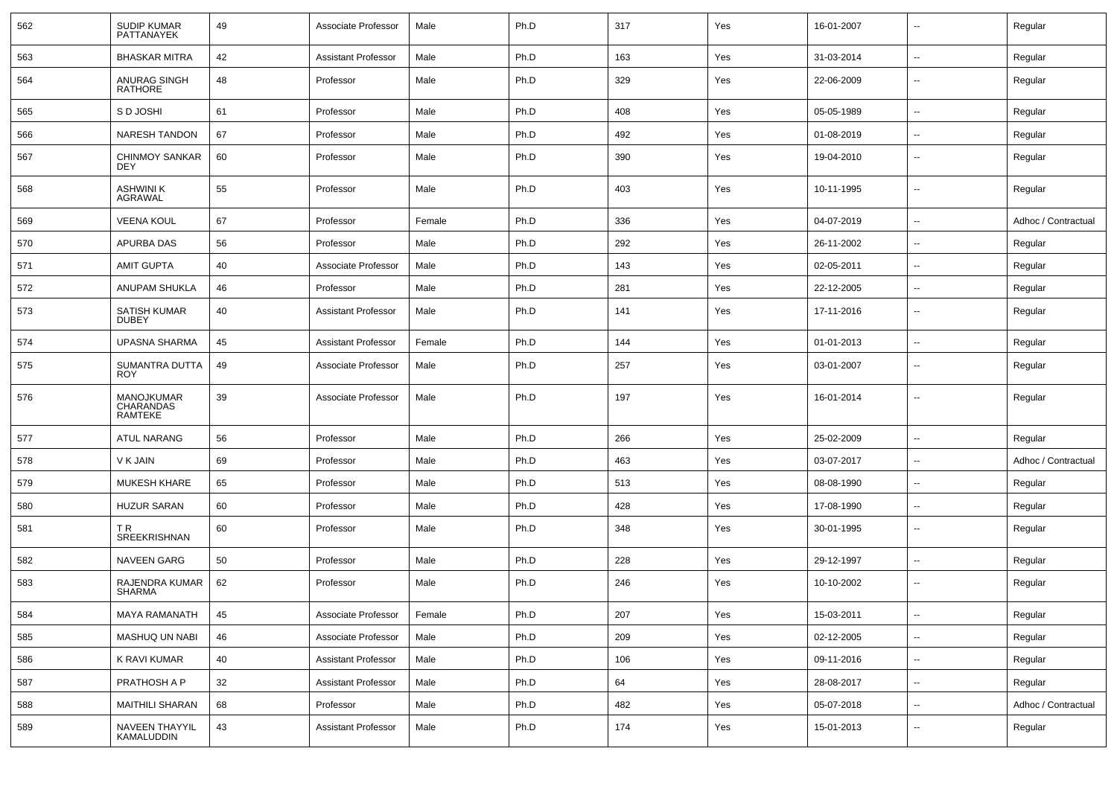| 562 | <b>SUDIP KUMAR</b><br>PATTANAYEK          | 49 | Associate Professor        | Male   | Ph.D | 317 | Yes | 16-01-2007 | $\overline{\phantom{a}}$ | Regular             |
|-----|-------------------------------------------|----|----------------------------|--------|------|-----|-----|------------|--------------------------|---------------------|
| 563 | <b>BHASKAR MITRA</b>                      | 42 | <b>Assistant Professor</b> | Male   | Ph.D | 163 | Yes | 31-03-2014 | ⊷.                       | Regular             |
| 564 | ANURAG SINGH<br><b>RATHORE</b>            | 48 | Professor                  | Male   | Ph.D | 329 | Yes | 22-06-2009 | --                       | Regular             |
| 565 | S D JOSHI                                 | 61 | Professor                  | Male   | Ph.D | 408 | Yes | 05-05-1989 | $\overline{\phantom{a}}$ | Regular             |
| 566 | <b>NARESH TANDON</b>                      | 67 | Professor                  | Male   | Ph.D | 492 | Yes | 01-08-2019 | --                       | Regular             |
| 567 | CHINMOY SANKAR<br><b>DEY</b>              | 60 | Professor                  | Male   | Ph.D | 390 | Yes | 19-04-2010 | -−                       | Regular             |
| 568 | <b>ASHWINI K</b><br><b>AGRAWAL</b>        | 55 | Professor                  | Male   | Ph.D | 403 | Yes | 10-11-1995 | --                       | Regular             |
| 569 | <b>VEENA KOUL</b>                         | 67 | Professor                  | Female | Ph.D | 336 | Yes | 04-07-2019 | $\overline{\phantom{a}}$ | Adhoc / Contractual |
| 570 | APURBA DAS                                | 56 | Professor                  | Male   | Ph.D | 292 | Yes | 26-11-2002 | $\overline{\phantom{a}}$ | Regular             |
| 571 | <b>AMIT GUPTA</b>                         | 40 | Associate Professor        | Male   | Ph.D | 143 | Yes | 02-05-2011 | $\overline{\phantom{a}}$ | Regular             |
| 572 | <b>ANUPAM SHUKLA</b>                      | 46 | Professor                  | Male   | Ph.D | 281 | Yes | 22-12-2005 | ⊷.                       | Regular             |
| 573 | <b>SATISH KUMAR</b><br><b>DUBEY</b>       | 40 | <b>Assistant Professor</b> | Male   | Ph.D | 141 | Yes | 17-11-2016 | --                       | Regular             |
| 574 | UPASNA SHARMA                             | 45 | <b>Assistant Professor</b> | Female | Ph.D | 144 | Yes | 01-01-2013 | $\overline{\phantom{a}}$ | Regular             |
| 575 | SUMANTRA DUTTA<br>ROY                     | 49 | Associate Professor        | Male   | Ph.D | 257 | Yes | 03-01-2007 | --                       | Regular             |
| 576 | MANOJKUMAR<br>CHARANDAS<br><b>RAMTEKE</b> | 39 | Associate Professor        | Male   | Ph.D | 197 | Yes | 16-01-2014 | --                       | Regular             |
| 577 | ATUL NARANG                               | 56 | Professor                  | Male   | Ph.D | 266 | Yes | 25-02-2009 | $\overline{\phantom{a}}$ | Regular             |
| 578 | V K JAIN                                  | 69 | Professor                  | Male   | Ph.D | 463 | Yes | 03-07-2017 | $\overline{\phantom{a}}$ | Adhoc / Contractual |
| 579 | <b>MUKESH KHARE</b>                       | 65 | Professor                  | Male   | Ph.D | 513 | Yes | 08-08-1990 | --                       | Regular             |
| 580 | <b>HUZUR SARAN</b>                        | 60 | Professor                  | Male   | Ph.D | 428 | Yes | 17-08-1990 | $\overline{\phantom{a}}$ | Regular             |
| 581 | TR.<br>SREEKRISHNAN                       | 60 | Professor                  | Male   | Ph.D | 348 | Yes | 30-01-1995 | ⊷.                       | Regular             |
| 582 | <b>NAVEEN GARG</b>                        | 50 | Professor                  | Male   | Ph.D | 228 | Yes | 29-12-1997 | $\overline{\phantom{a}}$ | Regular             |
| 583 | RAJENDRA KUMAR<br><b>SHARMA</b>           | 62 | Professor                  | Male   | Ph.D | 246 | Yes | 10-10-2002 | --                       | Regular             |
| 584 | MAYA RAMANATH                             | 45 | Associate Professor        | Female | Ph.D | 207 | Yes | 15-03-2011 | $\sim$                   | Regular             |
| 585 | MASHUQ UN NABI                            | 46 | Associate Professor        | Male   | Ph.D | 209 | Yes | 02-12-2005 | $\sim$                   | Regular             |
| 586 | K RAVI KUMAR                              | 40 | <b>Assistant Professor</b> | Male   | Ph.D | 106 | Yes | 09-11-2016 | $\overline{\phantom{a}}$ | Regular             |
| 587 | PRATHOSH A P                              | 32 | <b>Assistant Professor</b> | Male   | Ph.D | 64  | Yes | 28-08-2017 | $\sim$                   | Regular             |
| 588 | <b>MAITHILI SHARAN</b>                    | 68 | Professor                  | Male   | Ph.D | 482 | Yes | 05-07-2018 | $\sim$                   | Adhoc / Contractual |
| 589 | NAVEEN THAYYIL<br>KAMALUDDIN              | 43 | <b>Assistant Professor</b> | Male   | Ph.D | 174 | Yes | 15-01-2013 | н.                       | Regular             |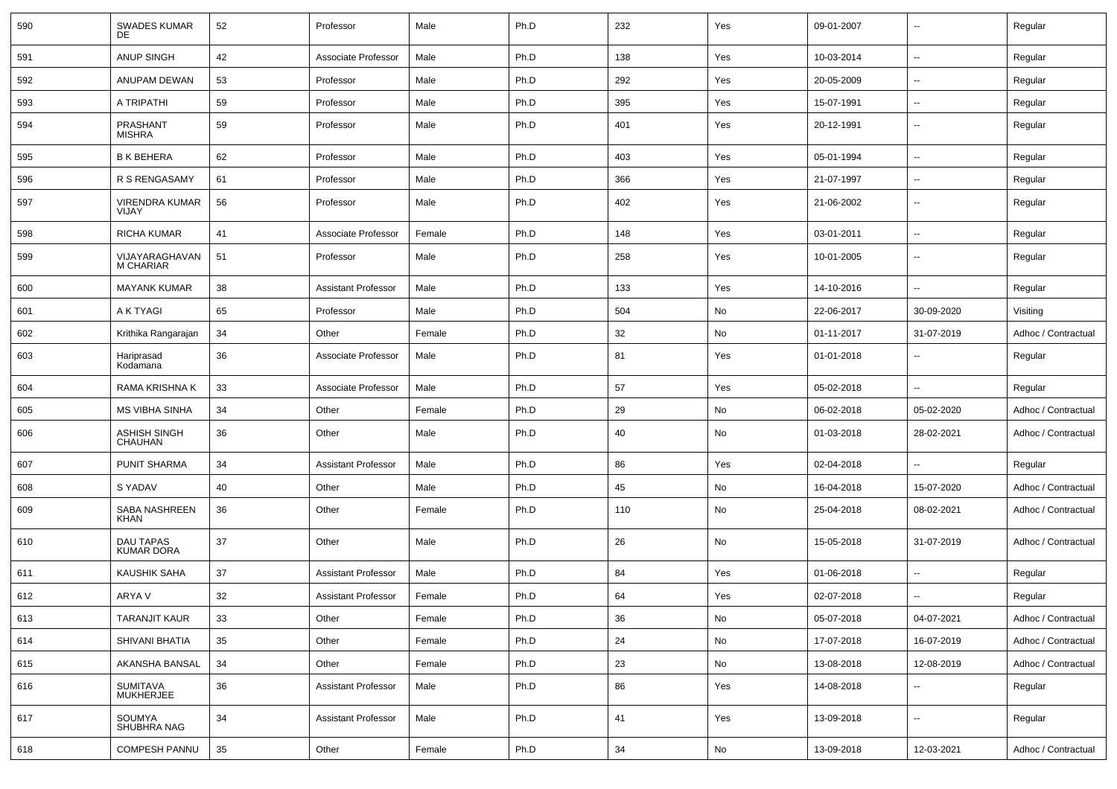| 590 | <b>SWADES KUMAR</b><br>DE           | 52 | Professor                  | Male   | Ph.D | 232 | Yes | 09-01-2007 | ⊷.                       | Regular             |
|-----|-------------------------------------|----|----------------------------|--------|------|-----|-----|------------|--------------------------|---------------------|
| 591 | <b>ANUP SINGH</b>                   | 42 | Associate Professor        | Male   | Ph.D | 138 | Yes | 10-03-2014 | $\overline{\phantom{a}}$ | Regular             |
| 592 | ANUPAM DEWAN                        | 53 | Professor                  | Male   | Ph.D | 292 | Yes | 20-05-2009 | Ξ.                       | Regular             |
| 593 | A TRIPATHI                          | 59 | Professor                  | Male   | Ph.D | 395 | Yes | 15-07-1991 | ⊷.                       | Regular             |
| 594 | PRASHANT<br><b>MISHRA</b>           | 59 | Professor                  | Male   | Ph.D | 401 | Yes | 20-12-1991 | Ξ.                       | Regular             |
| 595 | <b>B K BEHERA</b>                   | 62 | Professor                  | Male   | Ph.D | 403 | Yes | 05-01-1994 | -−                       | Regular             |
| 596 | R S RENGASAMY                       | 61 | Professor                  | Male   | Ph.D | 366 | Yes | 21-07-1997 | Ξ.                       | Regular             |
| 597 | VIRENDRA KUMAR<br>VIJAY             | 56 | Professor                  | Male   | Ph.D | 402 | Yes | 21-06-2002 | $\mathbf{u}$             | Regular             |
| 598 | RICHA KUMAR                         | 41 | Associate Professor        | Female | Ph.D | 148 | Yes | 03-01-2011 | $\sim$                   | Regular             |
| 599 | VIJAYARAGHAVAN<br><b>M CHARIAR</b>  | 51 | Professor                  | Male   | Ph.D | 258 | Yes | 10-01-2005 | ⊶.                       | Regular             |
| 600 | <b>MAYANK KUMAR</b>                 | 38 | <b>Assistant Professor</b> | Male   | Ph.D | 133 | Yes | 14-10-2016 | ÷.                       | Regular             |
| 601 | A K TYAGI                           | 65 | Professor                  | Male   | Ph.D | 504 | No  | 22-06-2017 | 30-09-2020               | Visiting            |
| 602 | Krithika Rangarajan                 | 34 | Other                      | Female | Ph.D | 32  | No  | 01-11-2017 | 31-07-2019               | Adhoc / Contractual |
| 603 | Hariprasad<br>Kodamana              | 36 | Associate Professor        | Male   | Ph.D | 81  | Yes | 01-01-2018 | --                       | Regular             |
| 604 | RAMA KRISHNA K                      | 33 | Associate Professor        | Male   | Ph.D | 57  | Yes | 05-02-2018 | --                       | Regular             |
| 605 | MS VIBHA SINHA                      | 34 | Other                      | Female | Ph.D | 29  | No  | 06-02-2018 | 05-02-2020               | Adhoc / Contractual |
| 606 | <b>ASHISH SINGH</b><br>CHAUHAN      | 36 | Other                      | Male   | Ph.D | 40  | No  | 01-03-2018 | 28-02-2021               | Adhoc / Contractual |
| 607 | <b>PUNIT SHARMA</b>                 | 34 | <b>Assistant Professor</b> | Male   | Ph.D | 86  | Yes | 02-04-2018 |                          | Regular             |
| 608 | S YADAV                             | 40 | Other                      | Male   | Ph.D | 45  | No  | 16-04-2018 | 15-07-2020               | Adhoc / Contractual |
| 609 | SABA NASHREEN<br><b>KHAN</b>        | 36 | Other                      | Female | Ph.D | 110 | No  | 25-04-2018 | 08-02-2021               | Adhoc / Contractual |
| 610 | DAU TAPAS<br><b>KUMAR DORA</b>      | 37 | Other                      | Male   | Ph.D | 26  | No  | 15-05-2018 | 31-07-2019               | Adhoc / Contractual |
| 611 | <b>KAUSHIK SAHA</b>                 | 37 | <b>Assistant Professor</b> | Male   | Ph.D | 84  | Yes | 01-06-2018 | ⊷.                       | Regular             |
| 612 | ARYA V                              | 32 | <b>Assistant Professor</b> | Female | Ph.D | 64  | Yes | 02-07-2018 | --                       | Regular             |
| 613 | <b>TARANJIT KAUR</b>                | 33 | Other                      | Female | Ph.D | 36  | No  | 05-07-2018 | 04-07-2021               | Adhoc / Contractual |
| 614 | SHIVANI BHATIA                      | 35 | Other                      | Female | Ph.D | 24  | No  | 17-07-2018 | 16-07-2019               | Adhoc / Contractual |
| 615 | AKANSHA BANSAL                      | 34 | Other                      | Female | Ph.D | 23  | No  | 13-08-2018 | 12-08-2019               | Adhoc / Contractual |
| 616 | <b>SUMITAVA</b><br><b>MUKHERJEE</b> | 36 | <b>Assistant Professor</b> | Male   | Ph.D | 86  | Yes | 14-08-2018 | $\overline{\phantom{a}}$ | Regular             |
| 617 | SOUMYA<br>SHUBHRA NAG               | 34 | <b>Assistant Professor</b> | Male   | Ph.D | 41  | Yes | 13-09-2018 | Щ,                       | Regular             |
| 618 | COMPESH PANNU                       | 35 | Other                      | Female | Ph.D | 34  | No  | 13-09-2018 | 12-03-2021               | Adhoc / Contractual |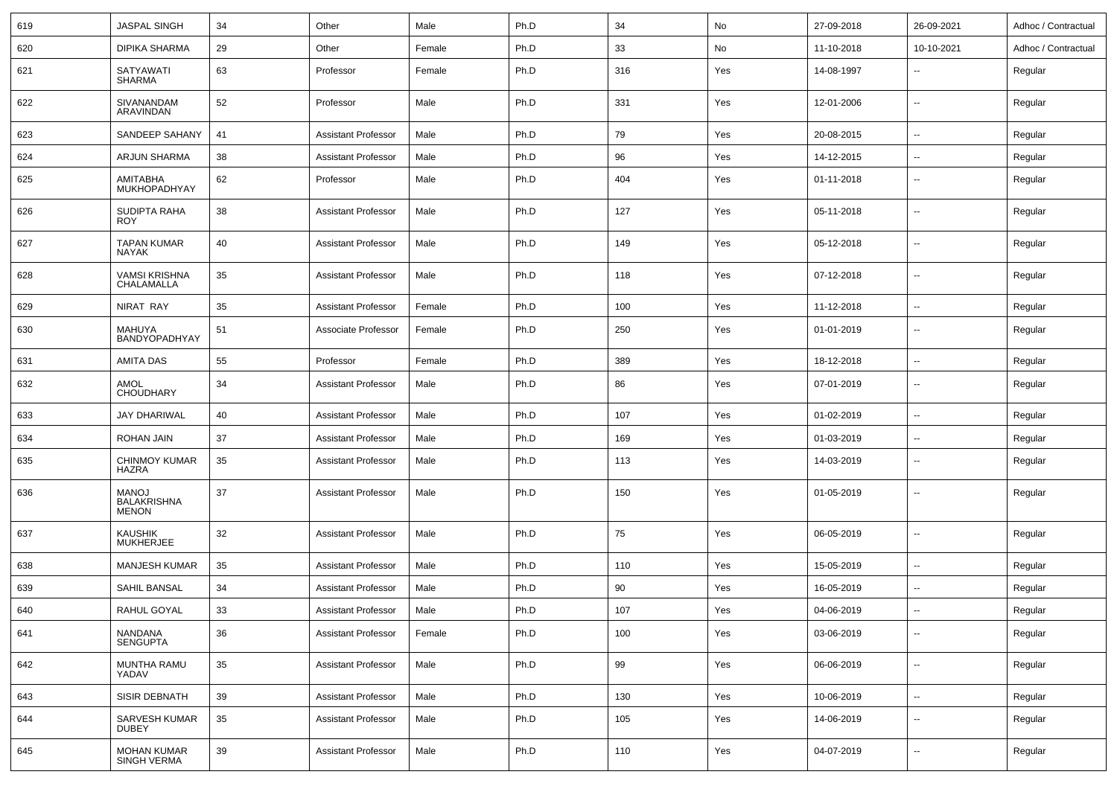| 619 | <b>JASPAL SINGH</b>                                | 34 | Other                      | Male   | Ph.D | 34  | No  | 27-09-2018 | 26-09-2021               | Adhoc / Contractual |
|-----|----------------------------------------------------|----|----------------------------|--------|------|-----|-----|------------|--------------------------|---------------------|
| 620 | <b>DIPIKA SHARMA</b>                               | 29 | Other                      | Female | Ph.D | 33  | No  | 11-10-2018 | 10-10-2021               | Adhoc / Contractual |
| 621 | SATYAWATI<br>SHARMA                                | 63 | Professor                  | Female | Ph.D | 316 | Yes | 14-08-1997 | --                       | Regular             |
| 622 | SIVANANDAM<br>ARAVINDAN                            | 52 | Professor                  | Male   | Ph.D | 331 | Yes | 12-01-2006 | $\overline{\phantom{a}}$ | Regular             |
| 623 | SANDEEP SAHANY                                     | 41 | <b>Assistant Professor</b> | Male   | Ph.D | 79  | Yes | 20-08-2015 | $\overline{\phantom{a}}$ | Regular             |
| 624 | ARJUN SHARMA                                       | 38 | <b>Assistant Professor</b> | Male   | Ph.D | 96  | Yes | 14-12-2015 | $\overline{\phantom{a}}$ | Regular             |
| 625 | AMITABHA<br>MUKHOPADHYAY                           | 62 | Professor                  | Male   | Ph.D | 404 | Yes | 01-11-2018 | $\overline{\phantom{a}}$ | Regular             |
| 626 | SUDIPTA RAHA<br><b>ROY</b>                         | 38 | <b>Assistant Professor</b> | Male   | Ph.D | 127 | Yes | 05-11-2018 | $\overline{\phantom{a}}$ | Regular             |
| 627 | <b>TAPAN KUMAR</b><br><b>NAYAK</b>                 | 40 | <b>Assistant Professor</b> | Male   | Ph.D | 149 | Yes | 05-12-2018 | --                       | Regular             |
| 628 | <b>VAMSI KRISHNA</b><br>CHALAMALLA                 | 35 | <b>Assistant Professor</b> | Male   | Ph.D | 118 | Yes | 07-12-2018 | $\overline{\phantom{a}}$ | Regular             |
| 629 | NIRAT RAY                                          | 35 | <b>Assistant Professor</b> | Female | Ph.D | 100 | Yes | 11-12-2018 | $\overline{\phantom{a}}$ | Regular             |
| 630 | MAHUYA<br>BANDYOPADHYAY                            | 51 | Associate Professor        | Female | Ph.D | 250 | Yes | 01-01-2019 | $\overline{\phantom{a}}$ | Regular             |
| 631 | <b>AMITA DAS</b>                                   | 55 | Professor                  | Female | Ph.D | 389 | Yes | 18-12-2018 | $\overline{\phantom{a}}$ | Regular             |
| 632 | <b>AMOL</b><br><b>CHOUDHARY</b>                    | 34 | <b>Assistant Professor</b> | Male   | Ph.D | 86  | Yes | 07-01-2019 | $\overline{\phantom{a}}$ | Regular             |
| 633 | <b>JAY DHARIWAL</b>                                | 40 | <b>Assistant Professor</b> | Male   | Ph.D | 107 | Yes | 01-02-2019 | Щ,                       | Regular             |
| 634 | ROHAN JAIN                                         | 37 | <b>Assistant Professor</b> | Male   | Ph.D | 169 | Yes | 01-03-2019 | $\overline{\phantom{a}}$ | Regular             |
| 635 | <b>CHINMOY KUMAR</b><br>HAZRA                      | 35 | <b>Assistant Professor</b> | Male   | Ph.D | 113 | Yes | 14-03-2019 | $\overline{\phantom{a}}$ | Regular             |
| 636 | <b>MANOJ</b><br><b>BALAKRISHNA</b><br><b>MENON</b> | 37 | <b>Assistant Professor</b> | Male   | Ph.D | 150 | Yes | 01-05-2019 | --                       | Regular             |
| 637 | <b>KAUSHIK</b><br><b>MUKHERJEE</b>                 | 32 | <b>Assistant Professor</b> | Male   | Ph.D | 75  | Yes | 06-05-2019 | $\overline{\phantom{a}}$ | Regular             |
| 638 | <b>MANJESH KUMAR</b>                               | 35 | <b>Assistant Professor</b> | Male   | Ph.D | 110 | Yes | 15-05-2019 | $\overline{\phantom{a}}$ | Regular             |
| 639 | SAHIL BANSAL                                       | 34 | <b>Assistant Professor</b> | Male   | Ph.D | 90  | Yes | 16-05-2019 | $\overline{\phantom{a}}$ | Regular             |
| 640 | RAHUL GOYAL                                        | 33 | <b>Assistant Professor</b> | Male   | Ph.D | 107 | Yes | 04-06-2019 | $\overline{\phantom{a}}$ | Regular             |
| 641 | NANDANA<br>SENGUPTA                                | 36 | Assistant Professor        | Female | Ph.D | 100 | Yes | 03-06-2019 | Щ,                       | Regular             |
| 642 | MUNTHA RAMU<br>YADAV                               | 35 | <b>Assistant Professor</b> | Male   | Ph.D | 99  | Yes | 06-06-2019 | $\sim$                   | Regular             |
| 643 | SISIR DEBNATH                                      | 39 | <b>Assistant Professor</b> | Male   | Ph.D | 130 | Yes | 10-06-2019 | $\overline{\phantom{a}}$ | Regular             |
| 644 | SARVESH KUMAR<br><b>DUBEY</b>                      | 35 | <b>Assistant Professor</b> | Male   | Ph.D | 105 | Yes | 14-06-2019 | Щ,                       | Regular             |
| 645 | <b>MOHAN KUMAR</b><br>SINGH VERMA                  | 39 | <b>Assistant Professor</b> | Male   | Ph.D | 110 | Yes | 04-07-2019 | $\overline{\phantom{a}}$ | Regular             |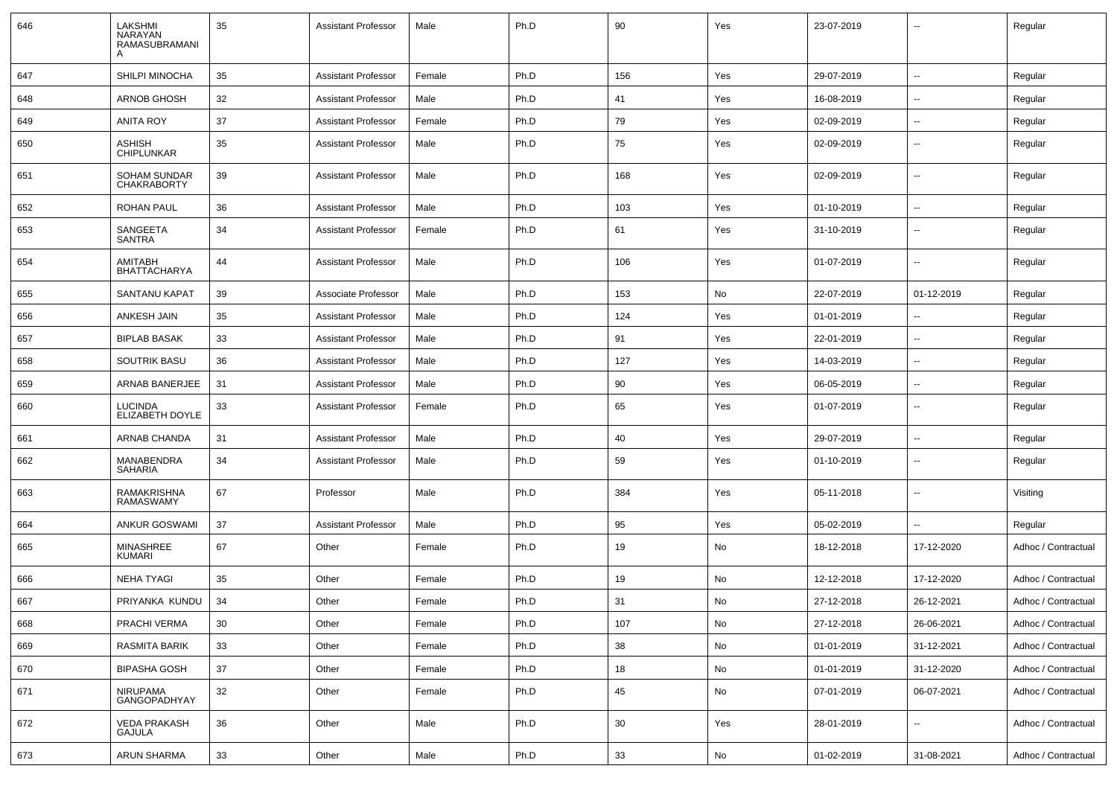| 646 | LAKSHMI<br>NARAYAN<br>RAMASUBRAMANI<br>A  | 35 | <b>Assistant Professor</b> | Male   | Ph.D | 90  | Yes | 23-07-2019 | $\overline{\phantom{a}}$ | Regular             |
|-----|-------------------------------------------|----|----------------------------|--------|------|-----|-----|------------|--------------------------|---------------------|
| 647 | SHILPI MINOCHA                            | 35 | <b>Assistant Professor</b> | Female | Ph.D | 156 | Yes | 29-07-2019 | $\overline{\phantom{a}}$ | Regular             |
| 648 | <b>ARNOB GHOSH</b>                        | 32 | <b>Assistant Professor</b> | Male   | Ph.D | 41  | Yes | 16-08-2019 | --                       | Regular             |
| 649 | <b>ANITA ROY</b>                          | 37 | <b>Assistant Professor</b> | Female | Ph.D | 79  | Yes | 02-09-2019 | $\overline{\phantom{a}}$ | Regular             |
| 650 | ASHISH<br><b>CHIPLUNKAR</b>               | 35 | <b>Assistant Professor</b> | Male   | Ph.D | 75  | Yes | 02-09-2019 | $\overline{\phantom{a}}$ | Regular             |
| 651 | <b>SOHAM SUNDAR</b><br><b>CHAKRABORTY</b> | 39 | <b>Assistant Professor</b> | Male   | Ph.D | 168 | Yes | 02-09-2019 | $\overline{\phantom{a}}$ | Regular             |
| 652 | ROHAN PAUL                                | 36 | <b>Assistant Professor</b> | Male   | Ph.D | 103 | Yes | 01-10-2019 | $\overline{\phantom{a}}$ | Regular             |
| 653 | SANGEETA<br>SANTRA                        | 34 | <b>Assistant Professor</b> | Female | Ph.D | 61  | Yes | 31-10-2019 | --                       | Regular             |
| 654 | AMITABH<br><b>BHATTACHARYA</b>            | 44 | <b>Assistant Professor</b> | Male   | Ph.D | 106 | Yes | 01-07-2019 | $\overline{\phantom{a}}$ | Regular             |
| 655 | <b>SANTANU KAPAT</b>                      | 39 | Associate Professor        | Male   | Ph.D | 153 | No  | 22-07-2019 | 01-12-2019               | Regular             |
| 656 | ANKESH JAIN                               | 35 | <b>Assistant Professor</b> | Male   | Ph.D | 124 | Yes | 01-01-2019 | $\overline{\phantom{a}}$ | Regular             |
| 657 | <b>BIPLAB BASAK</b>                       | 33 | <b>Assistant Professor</b> | Male   | Ph.D | 91  | Yes | 22-01-2019 | $\overline{\phantom{a}}$ | Regular             |
| 658 | <b>SOUTRIK BASU</b>                       | 36 | <b>Assistant Professor</b> | Male   | Ph.D | 127 | Yes | 14-03-2019 | $\overline{\phantom{a}}$ | Regular             |
| 659 | ARNAB BANERJEE                            | 31 | <b>Assistant Professor</b> | Male   | Ph.D | 90  | Yes | 06-05-2019 | $\overline{\phantom{a}}$ | Regular             |
| 660 | <b>LUCINDA</b><br>ELIZABETH DOYLE         | 33 | <b>Assistant Professor</b> | Female | Ph.D | 65  | Yes | 01-07-2019 | $\overline{\phantom{a}}$ | Regular             |
| 661 | ARNAB CHANDA                              | 31 | <b>Assistant Professor</b> | Male   | Ph.D | 40  | Yes | 29-07-2019 | $\overline{\phantom{a}}$ | Regular             |
| 662 | MANABENDRA<br>SAHARIA                     | 34 | <b>Assistant Professor</b> | Male   | Ph.D | 59  | Yes | 01-10-2019 | $\overline{\phantom{a}}$ | Regular             |
| 663 | RAMAKRISHNA<br>RAMASWAMY                  | 67 | Professor                  | Male   | Ph.D | 384 | Yes | 05-11-2018 | $\overline{\phantom{a}}$ | Visiting            |
| 664 | <b>ANKUR GOSWAMI</b>                      | 37 | <b>Assistant Professor</b> | Male   | Ph.D | 95  | Yes | 05-02-2019 | $\overline{\phantom{a}}$ | Regular             |
| 665 | <b>MINASHREE</b><br>KUMARI                | 67 | Other                      | Female | Ph.D | 19  | No  | 18-12-2018 | 17-12-2020               | Adhoc / Contractual |
| 666 | <b>NEHA TYAGI</b>                         | 35 | Other                      | Female | Ph.D | 19  | No  | 12-12-2018 | 17-12-2020               | Adhoc / Contractual |
| 667 | PRIYANKA KUNDU                            | 34 | Other                      | Female | Ph.D | 31  | No  | 27-12-2018 | 26-12-2021               | Adhoc / Contractual |
| 668 | PRACHI VERMA                              | 30 | Other                      | Female | Ph.D | 107 | No  | 27-12-2018 | 26-06-2021               | Adhoc / Contractual |
| 669 | <b>RASMITA BARIK</b>                      | 33 | Other                      | Female | Ph.D | 38  | No  | 01-01-2019 | 31-12-2021               | Adhoc / Contractual |
| 670 | <b>BIPASHA GOSH</b>                       | 37 | Other                      | Female | Ph.D | 18  | No  | 01-01-2019 | 31-12-2020               | Adhoc / Contractual |
| 671 | NIRUPAMA<br>GANGOPADHYAY                  | 32 | Other                      | Female | Ph.D | 45  | No  | 07-01-2019 | 06-07-2021               | Adhoc / Contractual |
| 672 | <b>VEDA PRAKASH</b><br>GAJULA             | 36 | Other                      | Male   | Ph.D | 30  | Yes | 28-01-2019 | Щ,                       | Adhoc / Contractual |
| 673 | <b>ARUN SHARMA</b>                        | 33 | Other                      | Male   | Ph.D | 33  | No  | 01-02-2019 | 31-08-2021               | Adhoc / Contractual |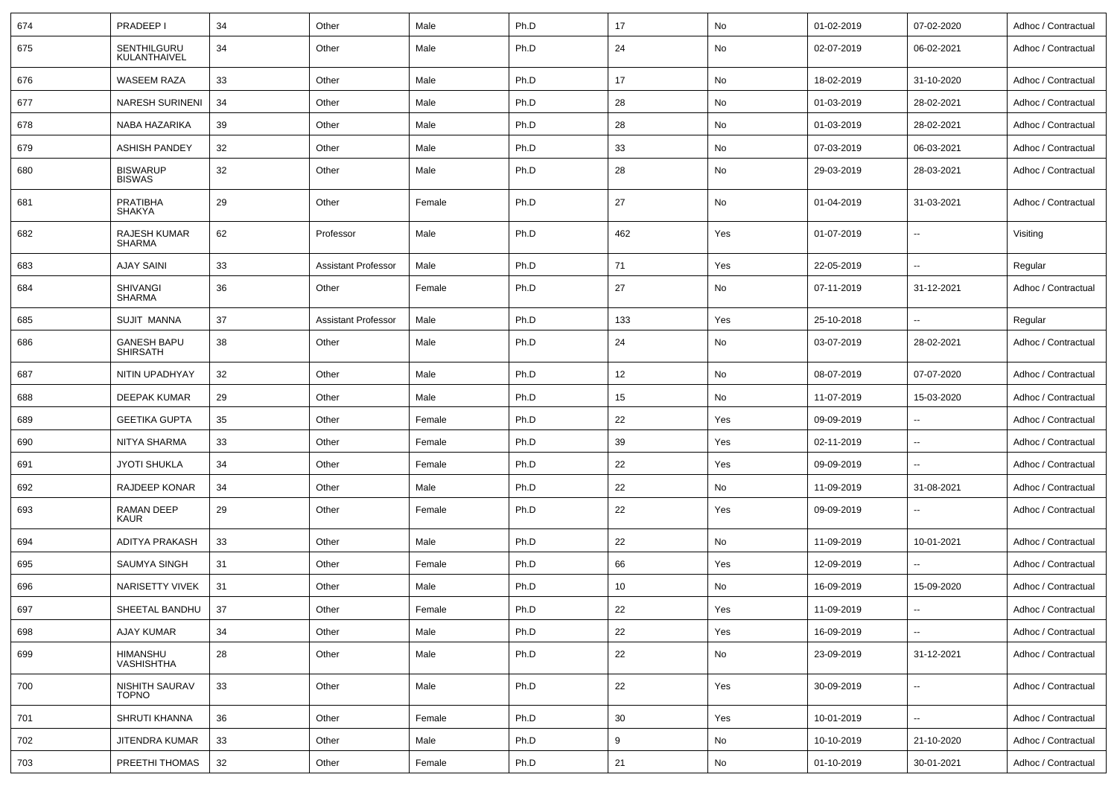| 674 | PRADEEP I                             | 34     | Other                      | Male   | Ph.D | 17  | No  | 01-02-2019 | 07-02-2020               | Adhoc / Contractual |
|-----|---------------------------------------|--------|----------------------------|--------|------|-----|-----|------------|--------------------------|---------------------|
| 675 | SENTHILGURU<br>KULANTHAIVEL           | 34     | Other                      | Male   | Ph.D | 24  | No  | 02-07-2019 | 06-02-2021               | Adhoc / Contractual |
| 676 | <b>WASEEM RAZA</b>                    | 33     | Other                      | Male   | Ph.D | 17  | No  | 18-02-2019 | 31-10-2020               | Adhoc / Contractual |
| 677 | <b>NARESH SURINENI</b>                | 34     | Other                      | Male   | Ph.D | 28  | No  | 01-03-2019 | 28-02-2021               | Adhoc / Contractual |
| 678 | NABA HAZARIKA                         | 39     | Other                      | Male   | Ph.D | 28  | No  | 01-03-2019 | 28-02-2021               | Adhoc / Contractual |
| 679 | <b>ASHISH PANDEY</b>                  | 32     | Other                      | Male   | Ph.D | 33  | No  | 07-03-2019 | 06-03-2021               | Adhoc / Contractual |
| 680 | <b>BISWARUP</b><br><b>BISWAS</b>      | 32     | Other                      | Male   | Ph.D | 28  | No  | 29-03-2019 | 28-03-2021               | Adhoc / Contractual |
| 681 | <b>PRATIBHA</b><br><b>SHAKYA</b>      | 29     | Other                      | Female | Ph.D | 27  | No  | 01-04-2019 | 31-03-2021               | Adhoc / Contractual |
| 682 | RAJESH KUMAR<br><b>SHARMA</b>         | 62     | Professor                  | Male   | Ph.D | 462 | Yes | 01-07-2019 | --                       | Visiting            |
| 683 | <b>AJAY SAINI</b>                     | 33     | Assistant Professor        | Male   | Ph.D | 71  | Yes | 22-05-2019 | $\ddot{\phantom{a}}$     | Regular             |
| 684 | SHIVANGI<br><b>SHARMA</b>             | 36     | Other                      | Female | Ph.D | 27  | No  | 07-11-2019 | 31-12-2021               | Adhoc / Contractual |
| 685 | <b>SUJIT MANNA</b>                    | 37     | <b>Assistant Professor</b> | Male   | Ph.D | 133 | Yes | 25-10-2018 | Ξ.                       | Regular             |
| 686 | <b>GANESH BAPU</b><br><b>SHIRSATH</b> | 38     | Other                      | Male   | Ph.D | 24  | No  | 03-07-2019 | 28-02-2021               | Adhoc / Contractual |
| 687 | NITIN UPADHYAY                        | 32     | Other                      | Male   | Ph.D | 12  | No  | 08-07-2019 | 07-07-2020               | Adhoc / Contractual |
| 688 | <b>DEEPAK KUMAR</b>                   | 29     | Other                      | Male   | Ph.D | 15  | No  | 11-07-2019 | 15-03-2020               | Adhoc / Contractual |
| 689 | <b>GEETIKA GUPTA</b>                  | 35     | Other                      | Female | Ph.D | 22  | Yes | 09-09-2019 |                          | Adhoc / Contractual |
| 690 | NITYA SHARMA                          | 33     | Other                      | Female | Ph.D | 39  | Yes | 02-11-2019 | $-$                      | Adhoc / Contractual |
| 691 | <b>JYOTI SHUKLA</b>                   | 34     | Other                      | Female | Ph.D | 22  | Yes | 09-09-2019 |                          | Adhoc / Contractual |
| 692 | RAJDEEP KONAR                         | 34     | Other                      | Male   | Ph.D | 22  | No  | 11-09-2019 | 31-08-2021               | Adhoc / Contractual |
| 693 | RAMAN DEEP<br><b>KAUR</b>             | 29     | Other                      | Female | Ph.D | 22  | Yes | 09-09-2019 | ۰.                       | Adhoc / Contractual |
| 694 | <b>ADITYA PRAKASH</b>                 | 33     | Other                      | Male   | Ph.D | 22  | No  | 11-09-2019 | 10-01-2021               | Adhoc / Contractual |
| 695 | <b>SAUMYA SINGH</b>                   | 31     | Other                      | Female | Ph.D | 66  | Yes | 12-09-2019 |                          | Adhoc / Contractual |
| 696 | NARISETTY VIVEK                       | 31     | Other                      | Male   | Ph.D | 10  | No  | 16-09-2019 | 15-09-2020               | Adhoc / Contractual |
| 697 | SHEETAL BANDHU                        | $37\,$ | Other                      | Female | Ph.D | 22  | Yes | 11-09-2019 |                          | Adhoc / Contractual |
| 698 | <b>AJAY KUMAR</b>                     | 34     | Other                      | Male   | Ph.D | 22  | Yes | 16-09-2019 | ÷.                       | Adhoc / Contractual |
| 699 | HIMANSHU<br>VASHISHTHA                | 28     | Other                      | Male   | Ph.D | 22  | No  | 23-09-2019 | 31-12-2021               | Adhoc / Contractual |
| 700 | NISHITH SAURAV<br><b>TOPNO</b>        | 33     | Other                      | Male   | Ph.D | 22  | Yes | 30-09-2019 | $\overline{\phantom{a}}$ | Adhoc / Contractual |
| 701 | SHRUTI KHANNA                         | 36     | Other                      | Female | Ph.D | 30  | Yes | 10-01-2019 | Щ,                       | Adhoc / Contractual |
| 702 | JITENDRA KUMAR                        | 33     | Other                      | Male   | Ph.D | 9   | No  | 10-10-2019 | 21-10-2020               | Adhoc / Contractual |
| 703 | PREETHI THOMAS                        | 32     | Other                      | Female | Ph.D | 21  | No  | 01-10-2019 | 30-01-2021               | Adhoc / Contractual |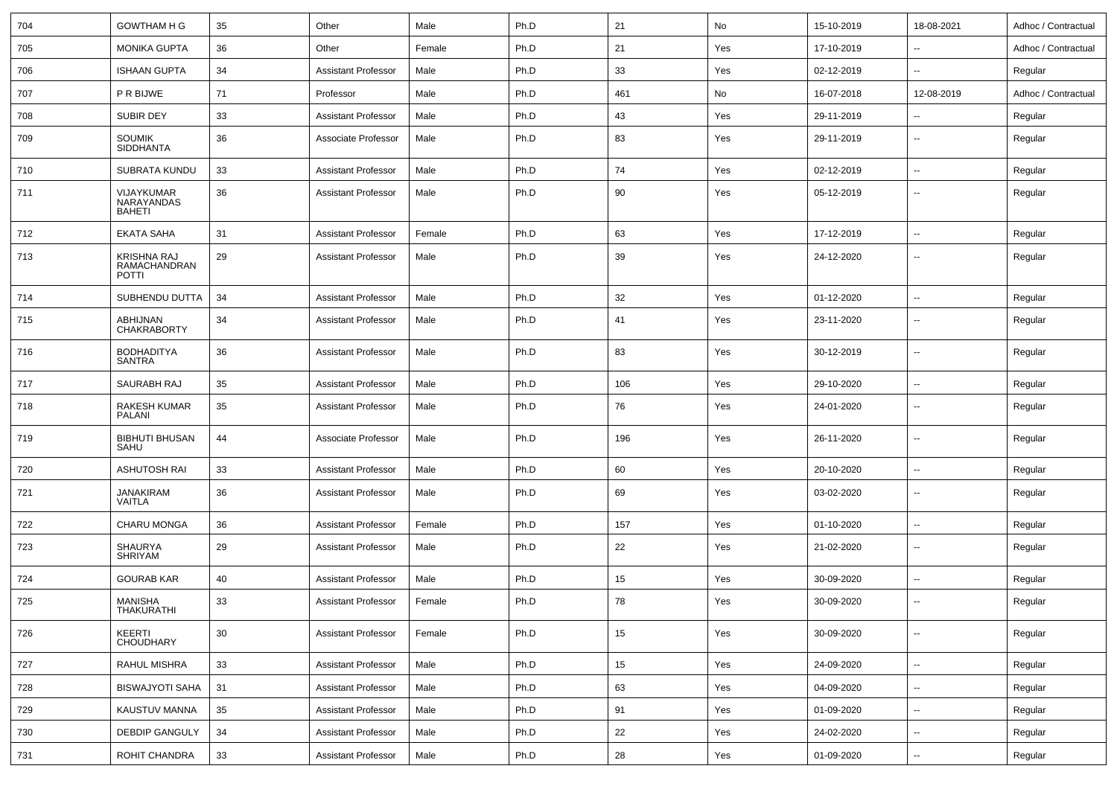| 704 | <b>GOWTHAM H G</b>                          | 35 | Other                      | Male   | Ph.D | 21  | No  | 15-10-2019 | 18-08-2021               | Adhoc / Contractual |
|-----|---------------------------------------------|----|----------------------------|--------|------|-----|-----|------------|--------------------------|---------------------|
| 705 | <b>MONIKA GUPTA</b>                         | 36 | Other                      | Female | Ph.D | 21  | Yes | 17-10-2019 | $\overline{\phantom{a}}$ | Adhoc / Contractual |
| 706 | <b>ISHAAN GUPTA</b>                         | 34 | <b>Assistant Professor</b> | Male   | Ph.D | 33  | Yes | 02-12-2019 | $\overline{\phantom{a}}$ | Regular             |
| 707 | P R BIJWE                                   | 71 | Professor                  | Male   | Ph.D | 461 | No  | 16-07-2018 | 12-08-2019               | Adhoc / Contractual |
| 708 | <b>SUBIR DEY</b>                            | 33 | <b>Assistant Professor</b> | Male   | Ph.D | 43  | Yes | 29-11-2019 | $\overline{\phantom{a}}$ | Regular             |
| 709 | <b>SOUMIK</b><br><b>SIDDHANTA</b>           | 36 | Associate Professor        | Male   | Ph.D | 83  | Yes | 29-11-2019 | $\overline{\phantom{a}}$ | Regular             |
| 710 | <b>SUBRATA KUNDU</b>                        | 33 | <b>Assistant Professor</b> | Male   | Ph.D | 74  | Yes | 02-12-2019 | $\overline{\phantom{a}}$ | Regular             |
| 711 | VIJAYKUMAR<br>NARAYANDAS<br><b>BAHETI</b>   | 36 | <b>Assistant Professor</b> | Male   | Ph.D | 90  | Yes | 05-12-2019 | $\overline{\phantom{a}}$ | Regular             |
| 712 | <b>EKATA SAHA</b>                           | 31 | <b>Assistant Professor</b> | Female | Ph.D | 63  | Yes | 17-12-2019 | $\overline{\phantom{a}}$ | Regular             |
| 713 | KRISHNA RAJ<br>RAMACHANDRAN<br><b>POTTI</b> | 29 | <b>Assistant Professor</b> | Male   | Ph.D | 39  | Yes | 24-12-2020 | $\overline{\phantom{a}}$ | Regular             |
| 714 | <b>SUBHENDU DUTTA</b>                       | 34 | <b>Assistant Professor</b> | Male   | Ph.D | 32  | Yes | 01-12-2020 | $\overline{\phantom{a}}$ | Regular             |
| 715 | ABHIJNAN<br><b>CHAKRABORTY</b>              | 34 | <b>Assistant Professor</b> | Male   | Ph.D | 41  | Yes | 23-11-2020 | $\mathbf{u}$             | Regular             |
| 716 | <b>BODHADITYA</b><br><b>SANTRA</b>          | 36 | <b>Assistant Professor</b> | Male   | Ph.D | 83  | Yes | 30-12-2019 | $\overline{\phantom{a}}$ | Regular             |
| 717 | SAURABH RAJ                                 | 35 | <b>Assistant Professor</b> | Male   | Ph.D | 106 | Yes | 29-10-2020 | $\overline{\phantom{a}}$ | Regular             |
| 718 | RAKESH KUMAR<br>PALANI                      | 35 | <b>Assistant Professor</b> | Male   | Ph.D | 76  | Yes | 24-01-2020 | $\overline{\phantom{a}}$ | Regular             |
| 719 | <b>BIBHUTI BHUSAN</b><br>SAHU               | 44 | Associate Professor        | Male   | Ph.D | 196 | Yes | 26-11-2020 | $\overline{\phantom{a}}$ | Regular             |
| 720 | <b>ASHUTOSH RAI</b>                         | 33 | <b>Assistant Professor</b> | Male   | Ph.D | 60  | Yes | 20-10-2020 | $\overline{\phantom{a}}$ | Regular             |
| 721 | JANAKIRAM<br>VAITLA                         | 36 | <b>Assistant Professor</b> | Male   | Ph.D | 69  | Yes | 03-02-2020 | $\overline{\phantom{a}}$ | Regular             |
| 722 | <b>CHARU MONGA</b>                          | 36 | <b>Assistant Professor</b> | Female | Ph.D | 157 | Yes | 01-10-2020 | $\overline{\phantom{a}}$ | Regular             |
| 723 | SHAURYA<br><b>SHRIYAM</b>                   | 29 | <b>Assistant Professor</b> | Male   | Ph.D | 22  | Yes | 21-02-2020 | $\mathbf{u}$             | Regular             |
| 724 | <b>GOURAB KAR</b>                           | 40 | <b>Assistant Professor</b> | Male   | Ph.D | 15  | Yes | 30-09-2020 | $\overline{\phantom{a}}$ | Regular             |
| 725 | <b>MANISHA</b><br>THAKURATHI                | 33 | <b>Assistant Professor</b> | Female | Ph.D | 78  | Yes | 30-09-2020 | $\overline{\phantom{a}}$ | Regular             |
| 726 | KEERTI<br><b>CHOUDHARY</b>                  | 30 | <b>Assistant Professor</b> | Female | Ph.D | 15  | Yes | 30-09-2020 | $\overline{\phantom{a}}$ | Regular             |
| 727 | RAHUL MISHRA                                | 33 | <b>Assistant Professor</b> | Male   | Ph.D | 15  | Yes | 24-09-2020 | ۰.                       | Regular             |
| 728 | <b>BISWAJYOTI SAHA</b>                      | 31 | <b>Assistant Professor</b> | Male   | Ph.D | 63  | Yes | 04-09-2020 | $\overline{\phantom{a}}$ | Regular             |
| 729 | KAUSTUV MANNA                               | 35 | <b>Assistant Professor</b> | Male   | Ph.D | 91  | Yes | 01-09-2020 | $\overline{\phantom{a}}$ | Regular             |
| 730 | <b>DEBDIP GANGULY</b>                       | 34 | <b>Assistant Professor</b> | Male   | Ph.D | 22  | Yes | 24-02-2020 | $\overline{\phantom{a}}$ | Regular             |
| 731 | ROHIT CHANDRA                               | 33 | <b>Assistant Professor</b> | Male   | Ph.D | 28  | Yes | 01-09-2020 | $\overline{\phantom{a}}$ | Regular             |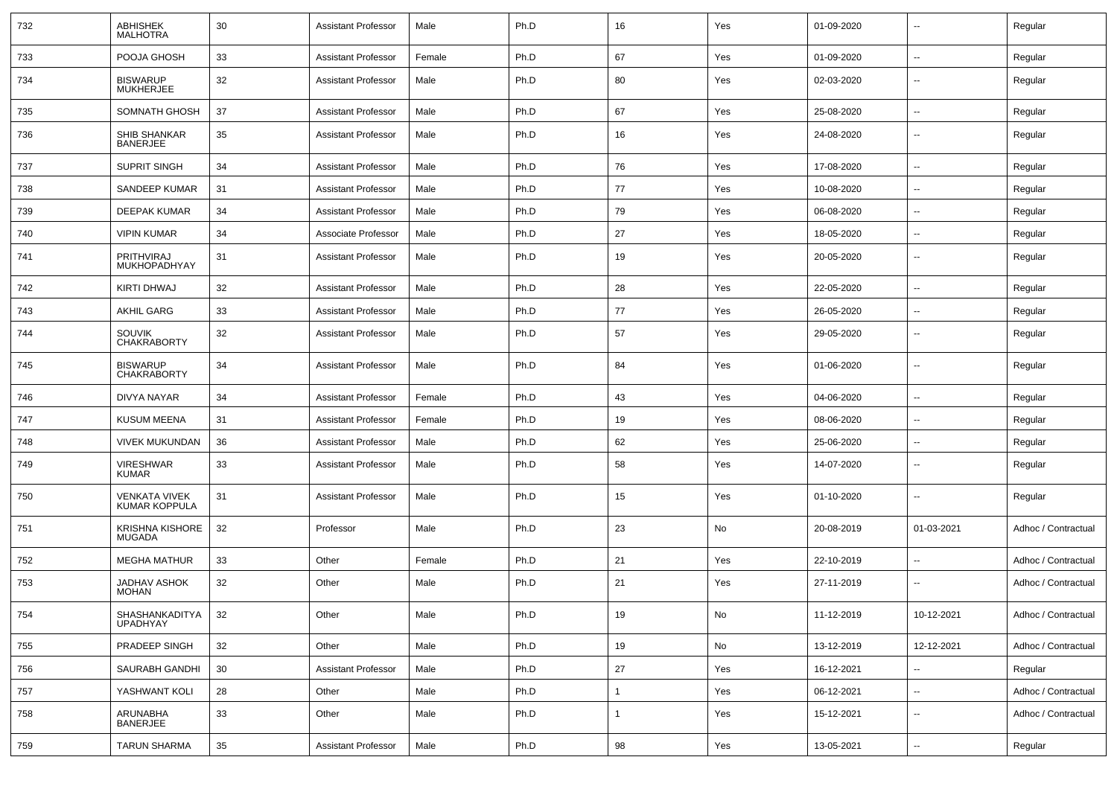| 732 | <b>ABHISHEK</b><br><b>MALHOTRA</b>           | 30 | <b>Assistant Professor</b> | Male   | Ph.D | 16             | Yes | 01-09-2020 | ۰.                       | Regular             |
|-----|----------------------------------------------|----|----------------------------|--------|------|----------------|-----|------------|--------------------------|---------------------|
| 733 | POOJA GHOSH                                  | 33 | <b>Assistant Professor</b> | Female | Ph.D | 67             | Yes | 01-09-2020 | --                       | Regular             |
| 734 | <b>BISWARUP</b><br><b>MUKHERJEE</b>          | 32 | <b>Assistant Professor</b> | Male   | Ph.D | 80             | Yes | 02-03-2020 | ۰.                       | Regular             |
| 735 | SOMNATH GHOSH                                | 37 | <b>Assistant Professor</b> | Male   | Ph.D | 67             | Yes | 25-08-2020 | $\overline{a}$           | Regular             |
| 736 | SHIB SHANKAR<br><b>BANERJEE</b>              | 35 | <b>Assistant Professor</b> | Male   | Ph.D | 16             | Yes | 24-08-2020 | ۰.                       | Regular             |
| 737 | <b>SUPRIT SINGH</b>                          | 34 | <b>Assistant Professor</b> | Male   | Ph.D | 76             | Yes | 17-08-2020 | --                       | Regular             |
| 738 | SANDEEP KUMAR                                | 31 | <b>Assistant Professor</b> | Male   | Ph.D | 77             | Yes | 10-08-2020 | ۰.                       | Regular             |
| 739 | DEEPAK KUMAR                                 | 34 | <b>Assistant Professor</b> | Male   | Ph.D | 79             | Yes | 06-08-2020 | $\sim$                   | Regular             |
| 740 | <b>VIPIN KUMAR</b>                           | 34 | Associate Professor        | Male   | Ph.D | 27             | Yes | 18-05-2020 | ۰.                       | Regular             |
| 741 | PRITHVIRAJ<br>MUKHOPADHYAY                   | 31 | <b>Assistant Professor</b> | Male   | Ph.D | 19             | Yes | 20-05-2020 | ۰.                       | Regular             |
| 742 | KIRTI DHWAJ                                  | 32 | <b>Assistant Professor</b> | Male   | Ph.D | 28             | Yes | 22-05-2020 | $\overline{\phantom{a}}$ | Regular             |
| 743 | AKHIL GARG                                   | 33 | <b>Assistant Professor</b> | Male   | Ph.D | 77             | Yes | 26-05-2020 | $\overline{\phantom{a}}$ | Regular             |
| 744 | <b>SOUVIK</b><br><b>CHAKRABORTY</b>          | 32 | <b>Assistant Professor</b> | Male   | Ph.D | 57             | Yes | 29-05-2020 | --                       | Regular             |
| 745 | <b>BISWARUP</b><br><b>CHAKRABORTY</b>        | 34 | <b>Assistant Professor</b> | Male   | Ph.D | 84             | Yes | 01-06-2020 | ۰.                       | Regular             |
| 746 | DIVYA NAYAR                                  | 34 | <b>Assistant Professor</b> | Female | Ph.D | 43             | Yes | 04-06-2020 | $\overline{\phantom{a}}$ | Regular             |
| 747 | <b>KUSUM MEENA</b>                           | 31 | <b>Assistant Professor</b> | Female | Ph.D | 19             | Yes | 08-06-2020 | ۰.                       | Regular             |
| 748 | <b>VIVEK MUKUNDAN</b>                        | 36 | <b>Assistant Professor</b> | Male   | Ph.D | 62             | Yes | 25-06-2020 | $\overline{a}$           | Regular             |
| 749 | <b>VIRESHWAR</b><br><b>KUMAR</b>             | 33 | <b>Assistant Professor</b> | Male   | Ph.D | 58             | Yes | 14-07-2020 | $\overline{\phantom{a}}$ | Regular             |
| 750 | <b>VENKATA VIVEK</b><br><b>KUMAR KOPPULA</b> | 31 | <b>Assistant Professor</b> | Male   | Ph.D | 15             | Yes | 01-10-2020 | $\overline{\phantom{a}}$ | Regular             |
| 751 | KRISHNA KISHORE<br>MUGADA                    | 32 | Professor                  | Male   | Ph.D | 23             | No  | 20-08-2019 | 01-03-2021               | Adhoc / Contractual |
| 752 | <b>MEGHA MATHUR</b>                          | 33 | Other                      | Female | Ph.D | 21             | Yes | 22-10-2019 | $\overline{\phantom{a}}$ | Adhoc / Contractual |
| 753 | <b>JADHAV ASHOK</b><br><b>MOHAN</b>          | 32 | Other                      | Male   | Ph.D | 21             | Yes | 27-11-2019 | ۰.                       | Adhoc / Contractual |
| 754 | SHASHANKADITYA<br><b>UPADHYAY</b>            | 32 | Other                      | Male   | Ph.D | 19             | No  | 11-12-2019 | 10-12-2021               | Adhoc / Contractual |
| 755 | PRADEEP SINGH                                | 32 | Other                      | Male   | Ph.D | 19             | No  | 13-12-2019 | 12-12-2021               | Adhoc / Contractual |
| 756 | SAURABH GANDHI                               | 30 | <b>Assistant Professor</b> | Male   | Ph.D | 27             | Yes | 16-12-2021 | Ξ.                       | Regular             |
| 757 | YASHWANT KOLI                                | 28 | Other                      | Male   | Ph.D | $\mathbf{1}$   | Yes | 06-12-2021 | --                       | Adhoc / Contractual |
| 758 | ARUNABHA<br>BANERJEE                         | 33 | Other                      | Male   | Ph.D | $\overline{1}$ | Yes | 15-12-2021 | --                       | Adhoc / Contractual |
| 759 | <b>TARUN SHARMA</b>                          | 35 | <b>Assistant Professor</b> | Male   | Ph.D | 98             | Yes | 13-05-2021 | --                       | Regular             |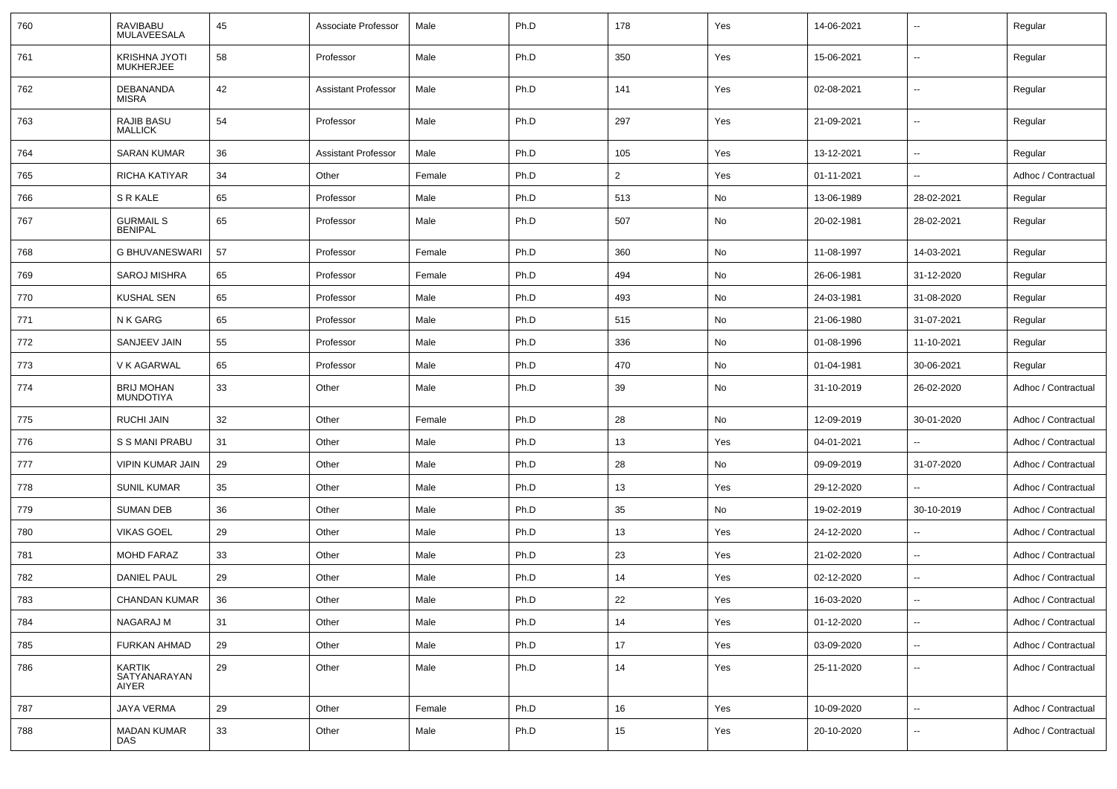| 760 | RAVIBABU<br><b>MULAVEESALA</b>           | 45 | Associate Professor        | Male   | Ph.D | 178            | Yes | 14-06-2021 |                          | Regular             |
|-----|------------------------------------------|----|----------------------------|--------|------|----------------|-----|------------|--------------------------|---------------------|
| 761 | <b>KRISHNA JYOTI</b><br><b>MUKHERJEE</b> | 58 | Professor                  | Male   | Ph.D | 350            | Yes | 15-06-2021 | --                       | Regular             |
| 762 | DEBANANDA<br><b>MISRA</b>                | 42 | <b>Assistant Professor</b> | Male   | Ph.D | 141            | Yes | 02-08-2021 | $\overline{\phantom{a}}$ | Regular             |
| 763 | RAJIB BASU<br><b>MALLICK</b>             | 54 | Professor                  | Male   | Ph.D | 297            | Yes | 21-09-2021 | --                       | Regular             |
| 764 | <b>SARAN KUMAR</b>                       | 36 | <b>Assistant Professor</b> | Male   | Ph.D | 105            | Yes | 13-12-2021 | --                       | Regular             |
| 765 | RICHA KATIYAR                            | 34 | Other                      | Female | Ph.D | $\overline{2}$ | Yes | 01-11-2021 | $\overline{\phantom{a}}$ | Adhoc / Contractual |
| 766 | S R KALE                                 | 65 | Professor                  | Male   | Ph.D | 513            | No  | 13-06-1989 | 28-02-2021               | Regular             |
| 767 | <b>GURMAIL S</b><br><b>BENIPAL</b>       | 65 | Professor                  | Male   | Ph.D | 507            | No  | 20-02-1981 | 28-02-2021               | Regular             |
| 768 | <b>G BHUVANESWARI</b>                    | 57 | Professor                  | Female | Ph.D | 360            | No  | 11-08-1997 | 14-03-2021               | Regular             |
| 769 | <b>SAROJ MISHRA</b>                      | 65 | Professor                  | Female | Ph.D | 494            | No  | 26-06-1981 | 31-12-2020               | Regular             |
| 770 | <b>KUSHAL SEN</b>                        | 65 | Professor                  | Male   | Ph.D | 493            | No  | 24-03-1981 | 31-08-2020               | Regular             |
| 771 | N K GARG                                 | 65 | Professor                  | Male   | Ph.D | 515            | No  | 21-06-1980 | 31-07-2021               | Regular             |
| 772 | SANJEEV JAIN                             | 55 | Professor                  | Male   | Ph.D | 336            | No  | 01-08-1996 | 11-10-2021               | Regular             |
| 773 | V K AGARWAL                              | 65 | Professor                  | Male   | Ph.D | 470            | No  | 01-04-1981 | 30-06-2021               | Regular             |
| 774 | <b>BRIJ MOHAN</b><br><b>MUNDOTIYA</b>    | 33 | Other                      | Male   | Ph.D | 39             | No  | 31-10-2019 | 26-02-2020               | Adhoc / Contractual |
| 775 | <b>RUCHI JAIN</b>                        | 32 | Other                      | Female | Ph.D | 28             | No  | 12-09-2019 | 30-01-2020               | Adhoc / Contractual |
| 776 | S S MANI PRABU                           | 31 | Other                      | Male   | Ph.D | 13             | Yes | 04-01-2021 | $\overline{\phantom{a}}$ | Adhoc / Contractual |
| 777 | <b>VIPIN KUMAR JAIN</b>                  | 29 | Other                      | Male   | Ph.D | 28             | No  | 09-09-2019 | 31-07-2020               | Adhoc / Contractual |
| 778 | <b>SUNIL KUMAR</b>                       | 35 | Other                      | Male   | Ph.D | 13             | Yes | 29-12-2020 |                          | Adhoc / Contractual |
| 779 | <b>SUMAN DEB</b>                         | 36 | Other                      | Male   | Ph.D | 35             | No  | 19-02-2019 | 30-10-2019               | Adhoc / Contractual |
| 780 | <b>VIKAS GOEL</b>                        | 29 | Other                      | Male   | Ph.D | 13             | Yes | 24-12-2020 | --                       | Adhoc / Contractual |
| 781 | <b>MOHD FARAZ</b>                        | 33 | Other                      | Male   | Ph.D | 23             | Yes | 21-02-2020 | $\overline{\phantom{a}}$ | Adhoc / Contractual |
| 782 | <b>DANIEL PAUL</b>                       | 29 | Other                      | Male   | Ph.D | 14             | Yes | 02-12-2020 | $\overline{\phantom{a}}$ | Adhoc / Contractual |
| 783 | CHANDAN KUMAR                            | 36 | Other                      | Male   | Ph.D | 22             | Yes | 16-03-2020 | $\overline{\phantom{a}}$ | Adhoc / Contractual |
| 784 | NAGARAJ M                                | 31 | Other                      | Male   | Ph.D | 14             | Yes | 01-12-2020 | --                       | Adhoc / Contractual |
| 785 | FURKAN AHMAD                             | 29 | Other                      | Male   | Ph.D | 17             | Yes | 03-09-2020 | Щ,                       | Adhoc / Contractual |
| 786 | KARTIK<br>SATYANARAYAN<br>AIYER          | 29 | Other                      | Male   | Ph.D | 14             | Yes | 25-11-2020 | Щ,                       | Adhoc / Contractual |
| 787 | <b>JAYA VERMA</b>                        | 29 | Other                      | Female | Ph.D | 16             | Yes | 10-09-2020 | Щ,                       | Adhoc / Contractual |
| 788 | <b>MADAN KUMAR</b><br><b>DAS</b>         | 33 | Other                      | Male   | Ph.D | 15             | Yes | 20-10-2020 | ۰.                       | Adhoc / Contractual |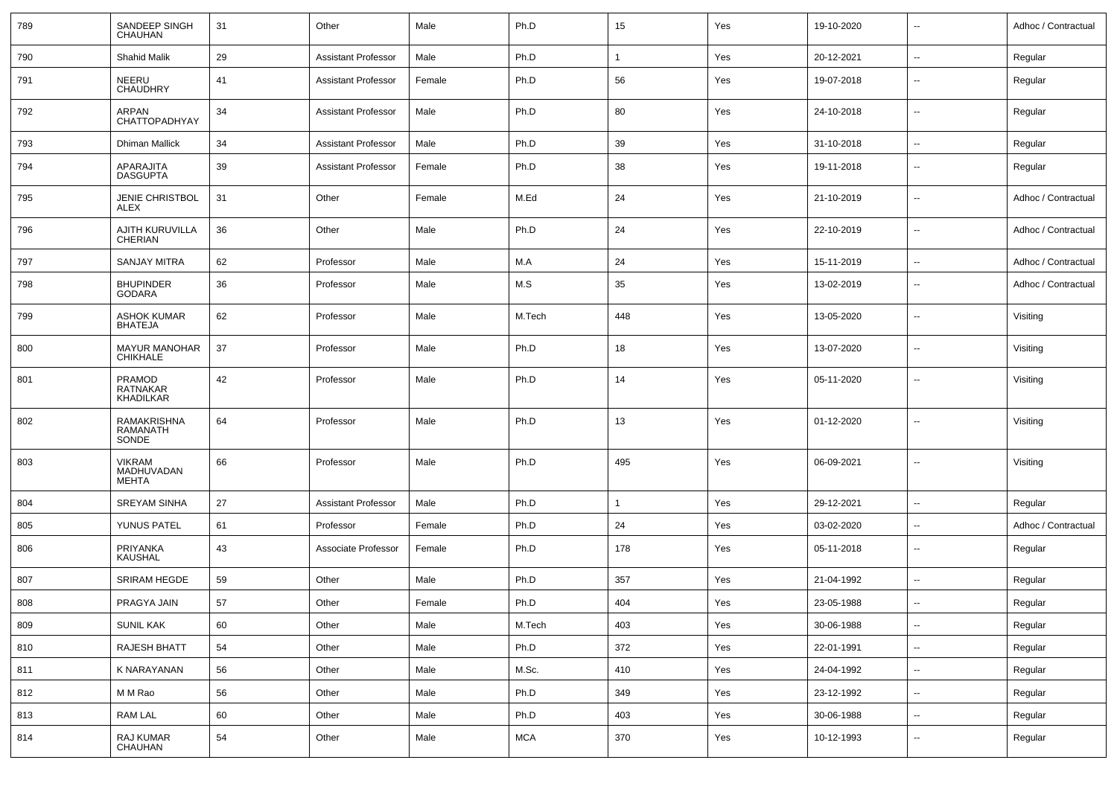| 789 | SANDEEP SINGH<br><b>CHAUHAN</b>               | 31 | Other                      | Male   | Ph.D       | 15           | Yes | 19-10-2020 | $\overline{\phantom{a}}$ | Adhoc / Contractual |
|-----|-----------------------------------------------|----|----------------------------|--------|------------|--------------|-----|------------|--------------------------|---------------------|
| 790 | <b>Shahid Malik</b>                           | 29 | <b>Assistant Professor</b> | Male   | Ph.D       | $\mathbf{1}$ | Yes | 20-12-2021 | $\overline{\phantom{a}}$ | Regular             |
| 791 | NEERU<br><b>CHAUDHRY</b>                      | 41 | <b>Assistant Professor</b> | Female | Ph.D       | 56           | Yes | 19-07-2018 | $\overline{\phantom{a}}$ | Regular             |
| 792 | ARPAN<br>CHATTOPADHYAY                        | 34 | <b>Assistant Professor</b> | Male   | Ph.D       | 80           | Yes | 24-10-2018 | $\overline{\phantom{a}}$ | Regular             |
| 793 | <b>Dhiman Mallick</b>                         | 34 | <b>Assistant Professor</b> | Male   | Ph.D       | 39           | Yes | 31-10-2018 | $\overline{\phantom{a}}$ | Regular             |
| 794 | APARAJITA<br><b>DASGUPTA</b>                  | 39 | <b>Assistant Professor</b> | Female | Ph.D       | 38           | Yes | 19-11-2018 | $\overline{\phantom{a}}$ | Regular             |
| 795 | <b>JENIE CHRISTBOL</b><br>ALEX                | 31 | Other                      | Female | M.Ed       | 24           | Yes | 21-10-2019 | $\overline{\phantom{a}}$ | Adhoc / Contractual |
| 796 | AJITH KURUVILLA<br><b>CHERIAN</b>             | 36 | Other                      | Male   | Ph.D       | 24           | Yes | 22-10-2019 | $\overline{\phantom{a}}$ | Adhoc / Contractual |
| 797 | <b>SANJAY MITRA</b>                           | 62 | Professor                  | Male   | M.A        | 24           | Yes | 15-11-2019 | $\overline{\phantom{a}}$ | Adhoc / Contractual |
| 798 | <b>BHUPINDER</b><br><b>GODARA</b>             | 36 | Professor                  | Male   | M.S        | 35           | Yes | 13-02-2019 | $\overline{\phantom{a}}$ | Adhoc / Contractual |
| 799 | ASHOK KUMAR<br><b>BHATEJA</b>                 | 62 | Professor                  | Male   | M.Tech     | 448          | Yes | 13-05-2020 | $\overline{\phantom{a}}$ | Visiting            |
| 800 | <b>MAYUR MANOHAR</b><br><b>CHIKHALE</b>       | 37 | Professor                  | Male   | Ph.D       | 18           | Yes | 13-07-2020 | $\overline{\phantom{a}}$ | Visiting            |
| 801 | <b>PRAMOD</b><br><b>RATNAKAR</b><br>KHADILKAR | 42 | Professor                  | Male   | Ph.D       | 14           | Yes | 05-11-2020 | $\overline{\phantom{a}}$ | Visiting            |
| 802 | RAMAKRISHNA<br><b>RAMANATH</b><br>SONDE       | 64 | Professor                  | Male   | Ph.D       | 13           | Yes | 01-12-2020 | $\mathbf{u}$             | Visiting            |
| 803 | <b>VIKRAM</b><br>MADHUVADAN<br>MEHTA          | 66 | Professor                  | Male   | Ph.D       | 495          | Yes | 06-09-2021 | $\overline{\phantom{a}}$ | Visiting            |
| 804 | <b>SREYAM SINHA</b>                           | 27 | <b>Assistant Professor</b> | Male   | Ph.D       | $\mathbf 1$  | Yes | 29-12-2021 | $\overline{\phantom{a}}$ | Regular             |
| 805 | YUNUS PATEL                                   | 61 | Professor                  | Female | Ph.D       | 24           | Yes | 03-02-2020 | $\overline{\phantom{a}}$ | Adhoc / Contractual |
| 806 | PRIYANKA<br><b>KAUSHAL</b>                    | 43 | Associate Professor        | Female | Ph.D       | 178          | Yes | 05-11-2018 | $\overline{\phantom{a}}$ | Regular             |
| 807 | <b>SRIRAM HEGDE</b>                           | 59 | Other                      | Male   | Ph.D       | 357          | Yes | 21-04-1992 | $\mathbf{u}$             | Regular             |
| 808 | PRAGYA JAIN                                   | 57 | Other                      | Female | Ph.D       | 404          | Yes | 23-05-1988 | $\overline{\phantom{a}}$ | Regular             |
| 809 | <b>SUNIL KAK</b>                              | 60 | Other                      | Male   | M.Tech     | 403          | Yes | 30-06-1988 | Ξ.                       | Regular             |
| 810 | RAJESH BHATT                                  | 54 | Other                      | Male   | Ph.D       | 372          | Yes | 22-01-1991 | $\overline{\phantom{a}}$ | Regular             |
| 811 | K NARAYANAN                                   | 56 | Other                      | Male   | M.Sc.      | 410          | Yes | 24-04-1992 | $\overline{\phantom{a}}$ | Regular             |
| 812 | M M Rao                                       | 56 | Other                      | Male   | Ph.D       | 349          | Yes | 23-12-1992 | ۰.                       | Regular             |
| 813 | RAM LAL                                       | 60 | Other                      | Male   | Ph.D       | 403          | Yes | 30-06-1988 | ۰.                       | Regular             |
| 814 | RAJ KUMAR<br>CHAUHAN                          | 54 | Other                      | Male   | <b>MCA</b> | 370          | Yes | 10-12-1993 | $\overline{\phantom{a}}$ | Regular             |